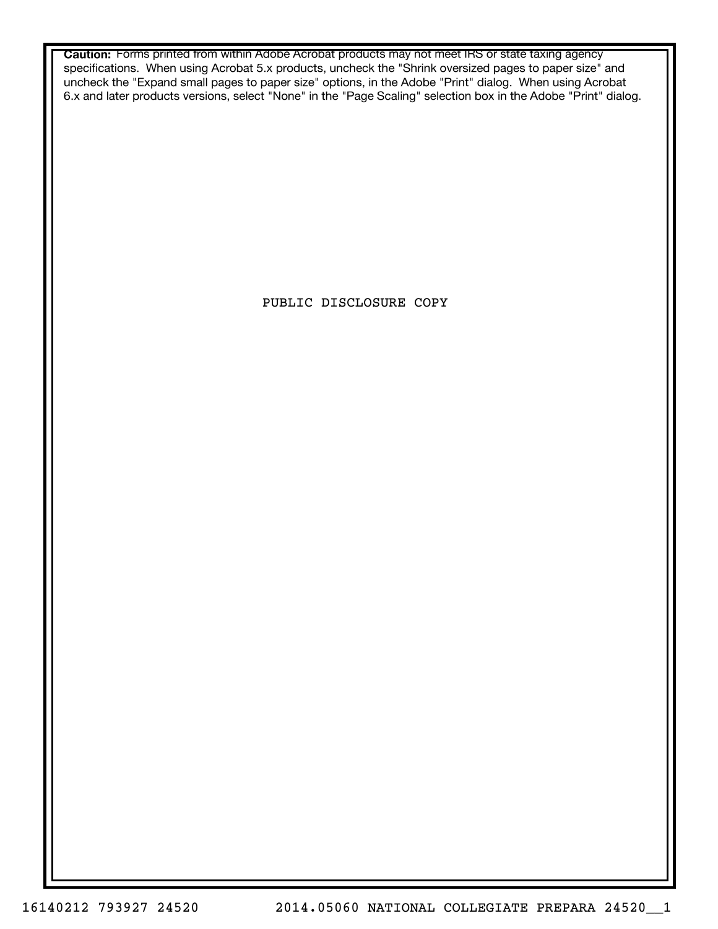**Caution:** Forms printed from within Adobe Acrobat products may not meet IRS or state taxing agency specifications. When using Acrobat 5.x products, uncheck the "Shrink oversized pages to paper size" and uncheck the "Expand small pages to paper size" options, in the Adobe "Print" dialog. When using Acrobat 6.x and later products versions, select "None" in the "Page Scaling" selection box in the Adobe "Print" dialog.

PUBLIC DISCLOSURE COPY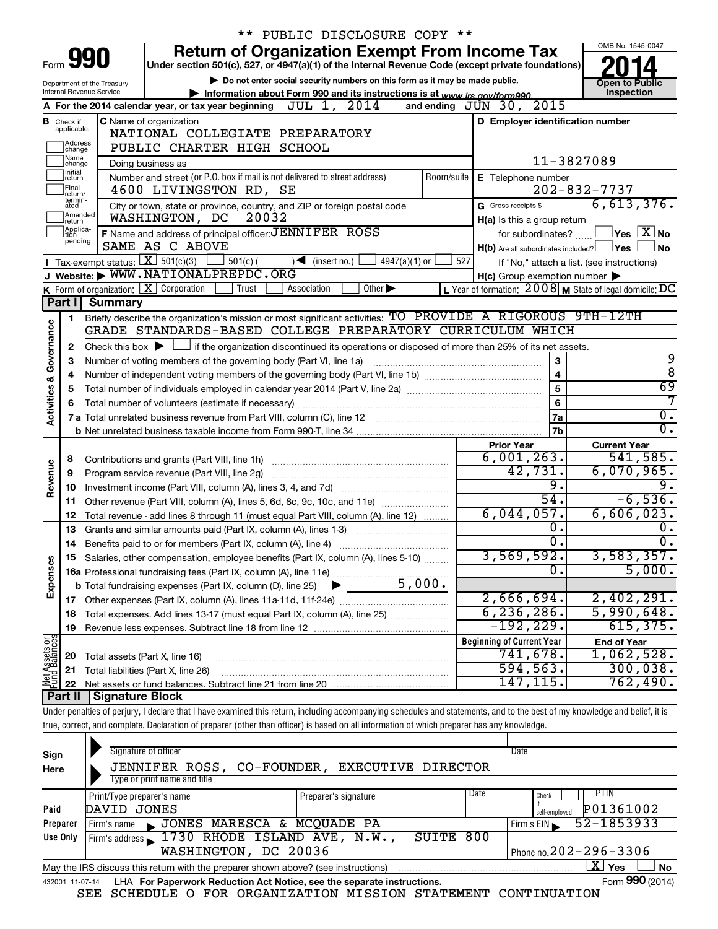|                                |                               |                                                        | ** PUBLIC DISCLOSURE COPY **                                                                                                                                               |                                                                        |                                            |  |  |  |
|--------------------------------|-------------------------------|--------------------------------------------------------|----------------------------------------------------------------------------------------------------------------------------------------------------------------------------|------------------------------------------------------------------------|--------------------------------------------|--|--|--|
|                                |                               |                                                        | <b>Return of Organization Exempt From Income Tax</b>                                                                                                                       |                                                                        | OMB No. 1545-0047                          |  |  |  |
| Form 990                       |                               |                                                        | Under section 501(c), 527, or 4947(a)(1) of the Internal Revenue Code (except private foundations)                                                                         |                                                                        |                                            |  |  |  |
|                                |                               | Department of the Treasury<br>Internal Revenue Service | Do not enter social security numbers on this form as it may be made public.                                                                                                |                                                                        | <b>Open to Public</b>                      |  |  |  |
|                                |                               |                                                        | Information about Form 990 and its instructions is at www.irs.gov/form990.<br>A For the 2014 calendar year, or tax year beginning $JUL$ 1, $2014$                          | 2015<br>and ending $JUN$ 30,                                           | Inspection                                 |  |  |  |
|                                |                               |                                                        | <b>C</b> Name of organization                                                                                                                                              | D Employer identification number                                       |                                            |  |  |  |
|                                | <b>B</b> Check if applicable: |                                                        | NATIONAL COLLEGIATE PREPARATORY                                                                                                                                            |                                                                        |                                            |  |  |  |
|                                | Address<br> change            |                                                        | PUBLIC CHARTER HIGH SCHOOL                                                                                                                                                 |                                                                        |                                            |  |  |  |
|                                | Name<br>change                |                                                        | Doing business as                                                                                                                                                          |                                                                        | 11-3827089                                 |  |  |  |
|                                | Initial<br>return             |                                                        | Number and street (or P.O. box if mail is not delivered to street address)<br>Room/suite                                                                                   | E Telephone number                                                     |                                            |  |  |  |
|                                | Final<br>return/              |                                                        | 4600 LIVINGSTON RD, SE                                                                                                                                                     |                                                                        | $202 - 832 - 7737$                         |  |  |  |
|                                | termin-<br>ated               |                                                        | City or town, state or province, country, and ZIP or foreign postal code                                                                                                   | G Gross receipts \$                                                    | 6,613,376.                                 |  |  |  |
|                                | Amended<br>Ireturn            |                                                        | WASHINGTON, DC<br>20032                                                                                                                                                    | H(a) Is this a group return                                            |                                            |  |  |  |
|                                | Applica-<br>Ition<br>pending  |                                                        | F Name and address of principal officer: JENNIFER ROSS                                                                                                                     | for subordinates?                                                      | $\Box$ Yes $\Box X$ No                     |  |  |  |
|                                |                               |                                                        | SAME AS C ABOVE                                                                                                                                                            | $H(b)$ Are all subordinates included? $\Box$ Yes $\Box$                | No                                         |  |  |  |
|                                |                               |                                                        | Tax-exempt status: $X \over 301(c)(3)$<br>∫ 501(c) (<br>$\sqrt{\bullet}$ (insert no.)<br>$4947(a)(1)$ or                                                                   | 527                                                                    | If "No," attach a list. (see instructions) |  |  |  |
|                                |                               |                                                        | J Website: WWW.NATIONALPREPDC.ORG                                                                                                                                          | $H(c)$ Group exemption number $\blacktriangleright$                    |                                            |  |  |  |
|                                | Part I                        | <b>Summary</b>                                         | <b>K</b> Form of organization: $\boxed{\mathbf{X}}$ Corporation<br>Other $\blacktriangleright$<br>Trust<br>Association                                                     | L Year of formation: $2008$ M State of legal domicile: $\overline{DC}$ |                                            |  |  |  |
|                                |                               |                                                        | Briefly describe the organization's mission or most significant activities: TO PROVIDE A RIGOROUS 9TH-12TH                                                                 |                                                                        |                                            |  |  |  |
|                                | 1                             |                                                        | GRADE STANDARDS-BASED COLLEGE PREPARATORY CURRICULUM WHICH                                                                                                                 |                                                                        |                                            |  |  |  |
| Governance                     | 2                             |                                                        | Check this box $\blacktriangleright$ $\Box$ if the organization discontinued its operations or disposed of more than 25% of its net assets.                                |                                                                        |                                            |  |  |  |
|                                | з                             |                                                        |                                                                                                                                                                            |                                                                        | 9                                          |  |  |  |
|                                | 4                             |                                                        | Number of voting members of the governing body (Part VI, line 1a)<br>3<br>4                                                                                                |                                                                        |                                            |  |  |  |
|                                | 5                             |                                                        |                                                                                                                                                                            | 5                                                                      | ह<br>69                                    |  |  |  |
|                                | 6                             |                                                        |                                                                                                                                                                            | 6                                                                      | 7                                          |  |  |  |
| <b>Activities &amp;</b>        |                               |                                                        |                                                                                                                                                                            | 7a                                                                     | $\overline{0}$ .                           |  |  |  |
|                                |                               |                                                        |                                                                                                                                                                            | 7b                                                                     | $\overline{0}$ .                           |  |  |  |
|                                |                               |                                                        |                                                                                                                                                                            | <b>Prior Year</b>                                                      | <b>Current Year</b>                        |  |  |  |
|                                | 8                             |                                                        |                                                                                                                                                                            | 6,001,263.                                                             | 541,585.                                   |  |  |  |
|                                | 9                             |                                                        | Program service revenue (Part VIII, line 2g)                                                                                                                               | 42,731.                                                                | 6,070,965.                                 |  |  |  |
| Revenue                        | 10                            |                                                        |                                                                                                                                                                            | 9.                                                                     |                                            |  |  |  |
|                                |                               |                                                        | 11 Other revenue (Part VIII, column (A), lines 5, 6d, 8c, 9c, 10c, and 11e)                                                                                                | 54.                                                                    | $-6,536.$                                  |  |  |  |
|                                | 12                            |                                                        | Total revenue - add lines 8 through 11 (must equal Part VIII, column (A), line 12)                                                                                         | 6,044,057.                                                             | 6,606,023.                                 |  |  |  |
|                                | 13                            |                                                        | Grants and similar amounts paid (Part IX, column (A), lines 1-3)                                                                                                           | о.                                                                     | $0$ .                                      |  |  |  |
|                                |                               |                                                        |                                                                                                                                                                            | $\overline{\mathfrak{o}}$ .                                            | $\overline{0}$ .                           |  |  |  |
|                                |                               |                                                        | Salaries, other compensation, employee benefits (Part IX, column (A), lines 5-10)                                                                                          | 3,569,592 <b>.</b>                                                     | 3,583,357.                                 |  |  |  |
|                                |                               |                                                        |                                                                                                                                                                            | $\overline{0}$ .                                                       | 5,000.                                     |  |  |  |
| Expenses                       |                               |                                                        |                                                                                                                                                                            | 2,666,694.                                                             | 2,402,291.                                 |  |  |  |
|                                |                               |                                                        |                                                                                                                                                                            | 6, 236, 286.                                                           | 5,990,648.                                 |  |  |  |
|                                | 18                            |                                                        | Total expenses. Add lines 13-17 (must equal Part IX, column (A), line 25)                                                                                                  | $-192,229.$                                                            | 615, 375.                                  |  |  |  |
|                                | 19                            |                                                        |                                                                                                                                                                            | <b>Beginning of Current Year</b>                                       | <b>End of Year</b>                         |  |  |  |
|                                | 20                            | Total assets (Part X, line 16)                         |                                                                                                                                                                            | 741,678.                                                               | 1,062,528.                                 |  |  |  |
|                                | 21                            |                                                        | Total liabilities (Part X, line 26)                                                                                                                                        | 594, 563.                                                              | 300,038.                                   |  |  |  |
| Net Assets or<br>Fund Balances | 22                            |                                                        |                                                                                                                                                                            | 147, 115.                                                              | 762,490.                                   |  |  |  |
|                                | Part II                       | <b>Signature Block</b>                                 |                                                                                                                                                                            |                                                                        |                                            |  |  |  |
|                                |                               |                                                        | Under penalties of perjury, I declare that I have examined this return, including accompanying schedules and statements, and to the best of my knowledge and belief, it is |                                                                        |                                            |  |  |  |
|                                |                               |                                                        | true, correct, and complete. Declaration of preparer (other than officer) is based on all information of which preparer has any knowledge.                                 |                                                                        |                                            |  |  |  |
|                                |                               |                                                        |                                                                                                                                                                            |                                                                        |                                            |  |  |  |

| Sign<br>Here | Signature of officer<br>JENNIFER ROSS, CO-FOUNDER,<br>Type or print name and title                           | <b>EXECUTIVE DIRECTOR</b>    | Date |                            |  |  |  |  |  |
|--------------|--------------------------------------------------------------------------------------------------------------|------------------------------|------|----------------------------|--|--|--|--|--|
|              | Print/Type preparer's name                                                                                   | Preparer's signature         | Date | PTIN<br>Check              |  |  |  |  |  |
| Paid         | JONES<br>DAVID                                                                                               |                              |      | P01361002<br>self-emploved |  |  |  |  |  |
| Preparer     | JONES MARESCA & MCQUADE PA<br>Firm's name                                                                    |                              |      | 52-1853933<br>Firm's $EIN$ |  |  |  |  |  |
| Use Only     | Firm's address 1730 RHODE ISLAND AVE, N.W.,                                                                  | 800                          |      |                            |  |  |  |  |  |
|              | WASHINGTON, DC 20036                                                                                         | Phone no. $202 - 296 - 3306$ |      |                            |  |  |  |  |  |
|              | x.<br>Yes<br><b>No</b><br>May the IRS discuss this return with the preparer shown above? (see instructions)  |                              |      |                            |  |  |  |  |  |
|              | Form 990 (2014)<br>LHA For Paperwork Reduction Act Notice, see the separate instructions.<br>432001 11-07-14 |                              |      |                            |  |  |  |  |  |

SEE SCHEDULE O FOR ORGANIZATION MISSION STATEMENT CONTINUATION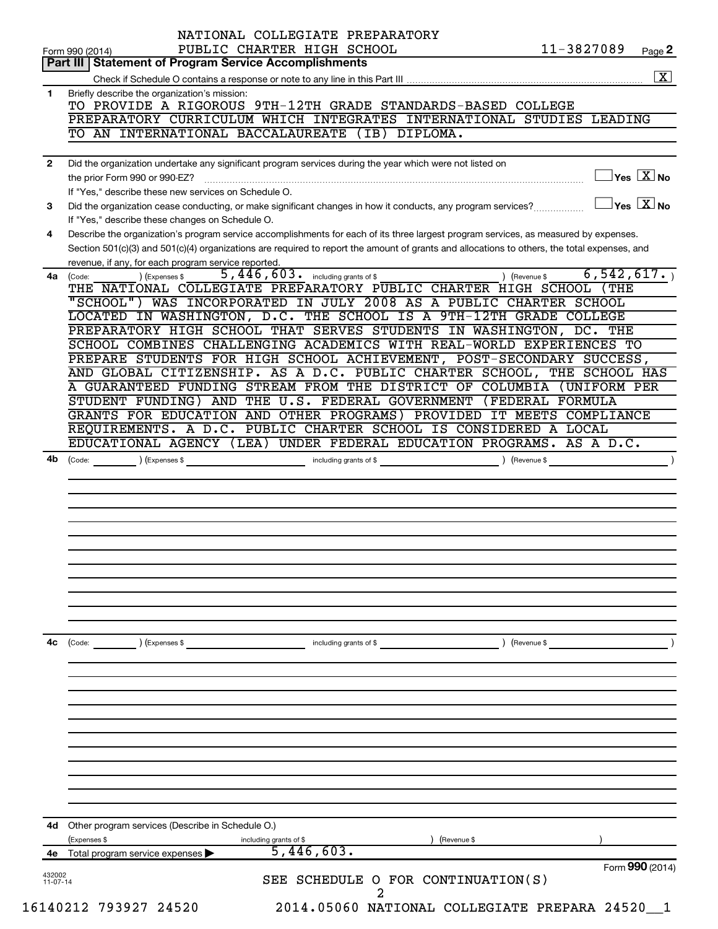|                                                         | Form 990 (2014)                                                                                                                                                                                        |
|---------------------------------------------------------|--------------------------------------------------------------------------------------------------------------------------------------------------------------------------------------------------------|
| 4е                                                      | 4d Other program services (Describe in Schedule O.)<br>(Expenses \$<br>Revenue \$<br>including grants of \$<br>5,446,603.<br>Total program service expenses                                            |
|                                                         |                                                                                                                                                                                                        |
|                                                         |                                                                                                                                                                                                        |
|                                                         |                                                                                                                                                                                                        |
| 4c                                                      | ) (Revenue \$<br>(Code: ) (Expenses \$<br>including grants of \$                                                                                                                                       |
|                                                         |                                                                                                                                                                                                        |
|                                                         |                                                                                                                                                                                                        |
|                                                         |                                                                                                                                                                                                        |
| 4b                                                      | Code: (Code: ) (Expenses \$ contract including grants of \$ code: ) (Revenue \$                                                                                                                        |
|                                                         | REQUIREMENTS. A D.C. PUBLIC CHARTER SCHOOL IS CONSIDERED A LOCAL<br>EDUCATIONAL AGENCY (LEA) UNDER FEDERAL EDUCATION PROGRAMS. AS A D.C.                                                               |
|                                                         | STUDENT FUNDING) AND THE U.S. FEDERAL GOVERNMENT (FEDERAL FORMULA<br>GRANTS FOR EDUCATION AND OTHER PROGRAMS) PROVIDED IT MEETS COMPLIANCE                                                             |
|                                                         | AND GLOBAL CITIZENSHIP. AS A D.C. PUBLIC CHARTER SCHOOL, THE SCHOOL HAS<br>A GUARANTEED FUNDING STREAM FROM THE DISTRICT OF COLUMBIA (UNIFORM PER                                                      |
|                                                         | SCHOOL COMBINES CHALLENGING ACADEMICS WITH REAL-WORLD EXPERIENCES TO<br>PREPARE STUDENTS FOR HIGH SCHOOL ACHIEVEMENT, POST-SECONDARY SUCCESS,                                                          |
|                                                         | PREPARATORY HIGH SCHOOL THAT SERVES STUDENTS IN WASHINGTON, DC. THE                                                                                                                                    |
|                                                         | "SCHOOL") WAS INCORPORATED IN JULY 2008 AS A PUBLIC CHARTER SCHOOL<br>LOCATED IN WASHINGTON, D.C. THE SCHOOL IS A 9TH-12TH GRADE COLLEGE                                                               |
|                                                         | 5,446,603. including grants of \$<br>6,542,617.<br>) (Revenue \$<br>) (Expenses \$<br>4a (Code:<br>THE NATIONAL COLLEGIATE PREPARATORY PUBLIC CHARTER HIGH SCHOOL (THE                                 |
|                                                         | Section 501(c)(3) and 501(c)(4) organizations are required to report the amount of grants and allocations to others, the total expenses, and<br>revenue, if any, for each program service reported.    |
| 4                                                       | If "Yes," describe these changes on Schedule O.<br>Describe the organization's program service accomplishments for each of its three largest program services, as measured by expenses.                |
| 3                                                       | $\Box$ Yes $~\boxed{\text{X}}$ No<br>Did the organization cease conducting, or make significant changes in how it conducts, any program services?                                                      |
| $\overline{2}$                                          | Did the organization undertake any significant program services during the year which were not listed on<br>$\Box$ Yes $\boxed{\mathrm{X}}$ No<br>If "Yes," describe these new services on Schedule O. |
|                                                         | TO AN INTERNATIONAL BACCALAUREATE (IB) DIPLOMA.                                                                                                                                                        |
|                                                         | TO PROVIDE A RIGOROUS 9TH-12TH GRADE STANDARDS-BASED COLLEGE<br>PREPARATORY CURRICULUM WHICH INTEGRATES INTERNATIONAL STUDIES LEADING                                                                  |
| 1                                                       | $\boxed{\text{X}}$<br>Briefly describe the organization's mission:                                                                                                                                     |
| Part III   Statement of Program Service Accomplishments |                                                                                                                                                                                                        |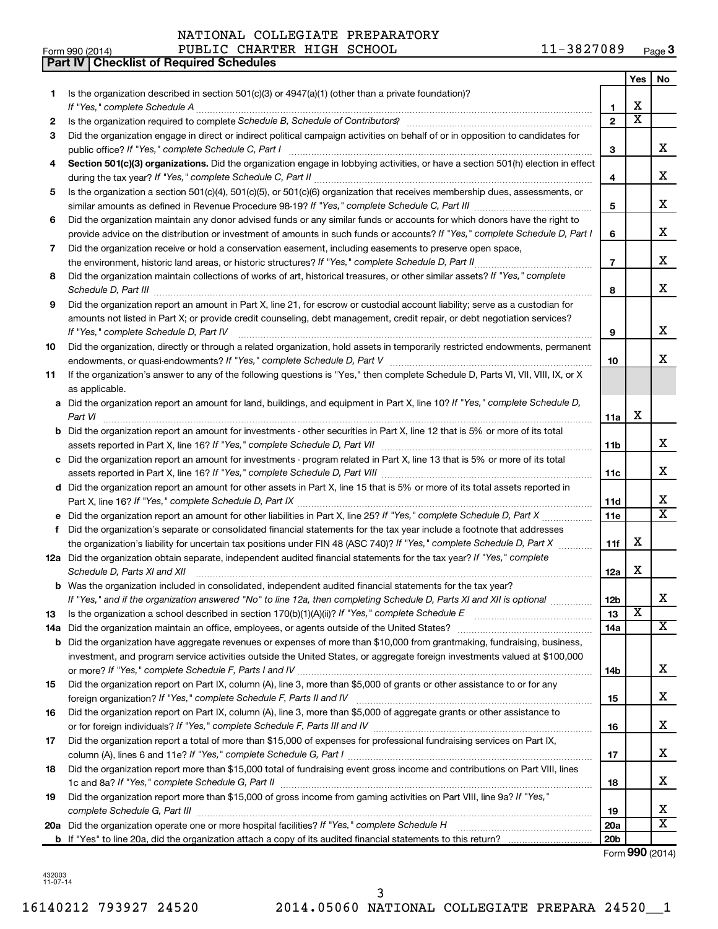**Part IV Checklist of Required Schedules**

|     |                                                                                                                                                                     |                   | Yes                     | No                      |
|-----|---------------------------------------------------------------------------------------------------------------------------------------------------------------------|-------------------|-------------------------|-------------------------|
| 1   | Is the organization described in section $501(c)(3)$ or $4947(a)(1)$ (other than a private foundation)?                                                             |                   |                         |                         |
|     | If "Yes," complete Schedule A                                                                                                                                       | 1                 | х                       |                         |
| 2   |                                                                                                                                                                     | $\mathbf{2}$      | $\overline{\text{x}}$   |                         |
| З   | Did the organization engage in direct or indirect political campaign activities on behalf of or in opposition to candidates for                                     |                   |                         |                         |
|     | public office? If "Yes," complete Schedule C, Part I                                                                                                                | 3                 |                         | x                       |
| 4   | Section 501(c)(3) organizations. Did the organization engage in lobbying activities, or have a section 501(h) election in effect                                    |                   |                         | x                       |
|     | Is the organization a section 501(c)(4), 501(c)(5), or 501(c)(6) organization that receives membership dues, assessments, or                                        | 4                 |                         |                         |
| 5   |                                                                                                                                                                     | 5                 |                         | x                       |
| 6   | Did the organization maintain any donor advised funds or any similar funds or accounts for which donors have the right to                                           |                   |                         |                         |
|     | provide advice on the distribution or investment of amounts in such funds or accounts? If "Yes," complete Schedule D, Part I                                        | 6                 |                         | x                       |
| 7   | Did the organization receive or hold a conservation easement, including easements to preserve open space,                                                           |                   |                         |                         |
|     | the environment, historic land areas, or historic structures? If "Yes," complete Schedule D, Part II                                                                | $\overline{7}$    |                         | x                       |
| 8   | Did the organization maintain collections of works of art, historical treasures, or other similar assets? If "Yes," complete                                        | 8                 |                         | x                       |
| 9   | Did the organization report an amount in Part X, line 21, for escrow or custodial account liability; serve as a custodian for                                       |                   |                         |                         |
|     | amounts not listed in Part X; or provide credit counseling, debt management, credit repair, or debt negotiation services?<br>If "Yes," complete Schedule D, Part IV | 9                 |                         | x                       |
| 10  | Did the organization, directly or through a related organization, hold assets in temporarily restricted endowments, permanent                                       |                   |                         |                         |
|     |                                                                                                                                                                     | 10                |                         | x.                      |
| 11  | If the organization's answer to any of the following questions is "Yes," then complete Schedule D, Parts VI, VII, VIII, IX, or X                                    |                   |                         |                         |
|     | as applicable.                                                                                                                                                      |                   |                         |                         |
|     | a Did the organization report an amount for land, buildings, and equipment in Part X, line 10? If "Yes," complete Schedule D,                                       |                   |                         |                         |
|     |                                                                                                                                                                     | 11a               | х                       |                         |
|     | <b>b</b> Did the organization report an amount for investments - other securities in Part X, line 12 that is 5% or more of its total                                |                   |                         |                         |
|     |                                                                                                                                                                     | 11b               |                         | x                       |
|     | c Did the organization report an amount for investments - program related in Part X, line 13 that is 5% or more of its total                                        |                   |                         |                         |
|     |                                                                                                                                                                     | 11c               |                         | x                       |
|     | d Did the organization report an amount for other assets in Part X, line 15 that is 5% or more of its total assets reported in                                      |                   |                         | x                       |
|     |                                                                                                                                                                     | 11d<br><b>11e</b> |                         | $\overline{\mathtt{x}}$ |
| f   | Did the organization's separate or consolidated financial statements for the tax year include a footnote that addresses                                             |                   |                         |                         |
|     | the organization's liability for uncertain tax positions under FIN 48 (ASC 740)? If "Yes," complete Schedule D, Part X                                              | 11f               | x                       |                         |
|     | 12a Did the organization obtain separate, independent audited financial statements for the tax year? If "Yes," complete                                             |                   |                         |                         |
|     | Schedule D, Parts XI and XII                                                                                                                                        | 12a               | x                       |                         |
|     | <b>b</b> Was the organization included in consolidated, independent audited financial statements for the tax year?                                                  |                   |                         |                         |
|     | If "Yes," and if the organization answered "No" to line 12a, then completing Schedule D, Parts XI and XII is optional                                               | 12 <sub>b</sub>   |                         | х                       |
| 13  |                                                                                                                                                                     | 13                | $\overline{\mathbf{x}}$ |                         |
| 14a |                                                                                                                                                                     | 14a               |                         | $\overline{\mathbf{X}}$ |
|     | <b>b</b> Did the organization have aggregate revenues or expenses of more than \$10,000 from grantmaking, fundraising, business,                                    |                   |                         |                         |
|     | investment, and program service activities outside the United States, or aggregate foreign investments valued at \$100,000                                          |                   |                         |                         |
|     |                                                                                                                                                                     | 14b               |                         | x                       |
| 15  | Did the organization report on Part IX, column (A), line 3, more than \$5,000 of grants or other assistance to or for any                                           | 15                |                         | x                       |
| 16  | Did the organization report on Part IX, column (A), line 3, more than \$5,000 of aggregate grants or other assistance to                                            |                   |                         |                         |
|     |                                                                                                                                                                     | 16                |                         | x                       |
| 17  | Did the organization report a total of more than \$15,000 of expenses for professional fundraising services on Part IX,                                             |                   |                         |                         |
|     |                                                                                                                                                                     | 17                |                         | x                       |
| 18  | Did the organization report more than \$15,000 total of fundraising event gross income and contributions on Part VIII, lines                                        | 18                |                         | x                       |
| 19  | Did the organization report more than \$15,000 of gross income from gaming activities on Part VIII, line 9a? If "Yes,"                                              |                   |                         |                         |
|     |                                                                                                                                                                     | 19                |                         | x                       |
|     | 20a Did the organization operate one or more hospital facilities? If "Yes," complete Schedule H                                                                     | 20a               |                         | $\overline{\mathtt{x}}$ |
|     |                                                                                                                                                                     | 20 <sub>b</sub>   |                         |                         |
|     |                                                                                                                                                                     |                   |                         | Form 990 (2014)         |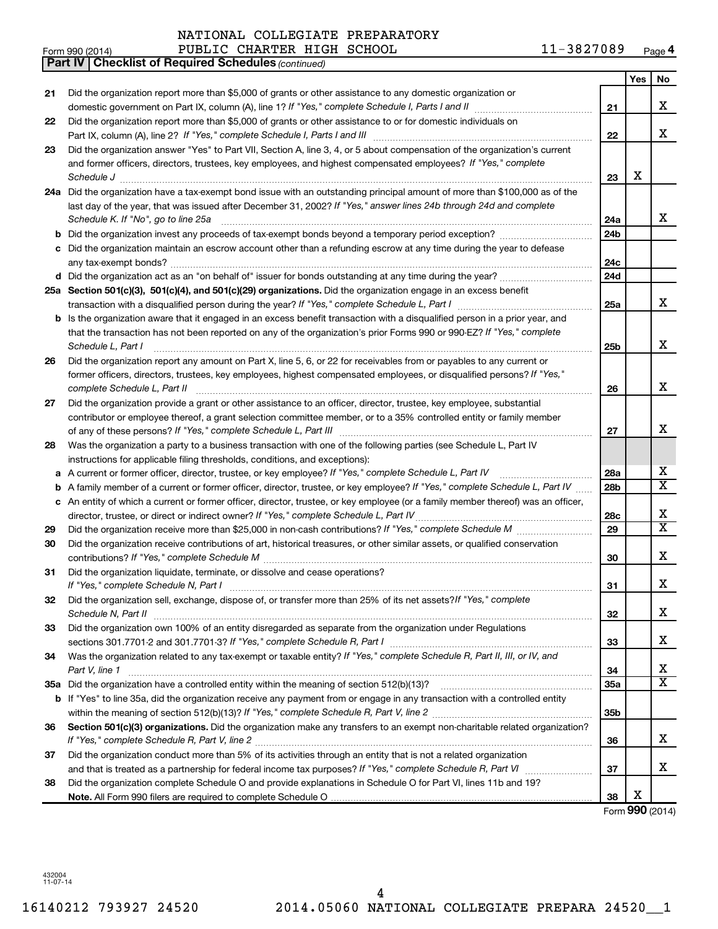|    | 11-3827089<br>PUBLIC CHARTER HIGH SCHOOL<br>Form 990 (2014)                                                                     |                 |     | Page 4                  |
|----|---------------------------------------------------------------------------------------------------------------------------------|-----------------|-----|-------------------------|
|    | <b>Part IV   Checklist of Required Schedules (continued)</b>                                                                    |                 |     |                         |
|    |                                                                                                                                 |                 | Yes | No                      |
| 21 | Did the organization report more than \$5,000 of grants or other assistance to any domestic organization or                     |                 |     |                         |
|    | domestic government on Part IX, column (A), line 1? If "Yes," complete Schedule I, Parts I and II                               | 21              |     | x                       |
| 22 | Did the organization report more than \$5,000 of grants or other assistance to or for domestic individuals on                   |                 |     |                         |
|    |                                                                                                                                 | 22              |     | x                       |
| 23 | Did the organization answer "Yes" to Part VII, Section A, line 3, 4, or 5 about compensation of the organization's current      |                 |     |                         |
|    | and former officers, directors, trustees, key employees, and highest compensated employees? If "Yes," complete                  |                 |     |                         |
|    | Schedule J                                                                                                                      | 23              | х   |                         |
|    | 24a Did the organization have a tax-exempt bond issue with an outstanding principal amount of more than \$100,000 as of the     |                 |     |                         |
|    | last day of the year, that was issued after December 31, 2002? If "Yes," answer lines 24b through 24d and complete              |                 |     |                         |
|    | Schedule K. If "No", go to line 25a                                                                                             | 24a             |     | x                       |
| b  | Did the organization invest any proceeds of tax-exempt bonds beyond a temporary period exception?                               | 24 <sub>b</sub> |     |                         |
| с  | Did the organization maintain an escrow account other than a refunding escrow at any time during the year to defease            |                 |     |                         |
|    |                                                                                                                                 | 24c             |     |                         |
|    |                                                                                                                                 | 24d             |     |                         |
|    | 25a Section 501(c)(3), 501(c)(4), and 501(c)(29) organizations. Did the organization engage in an excess benefit                |                 |     |                         |
|    |                                                                                                                                 | 25a             |     | x                       |
| b  | Is the organization aware that it engaged in an excess benefit transaction with a disqualified person in a prior year, and      |                 |     |                         |
|    | that the transaction has not been reported on any of the organization's prior Forms 990 or 990-EZ? If "Yes," complete           |                 |     |                         |
|    | Schedule L, Part I                                                                                                              | 25b             |     | x                       |
| 26 | Did the organization report any amount on Part X, line 5, 6, or 22 for receivables from or payables to any current or           |                 |     |                         |
|    | former officers, directors, trustees, key employees, highest compensated employees, or disqualified persons? If "Yes,"          |                 |     |                         |
|    |                                                                                                                                 | 26              |     | x                       |
|    | complete Schedule L, Part II                                                                                                    |                 |     |                         |
| 27 | Did the organization provide a grant or other assistance to an officer, director, trustee, key employee, substantial            |                 |     |                         |
|    | contributor or employee thereof, a grant selection committee member, or to a 35% controlled entity or family member             |                 |     | X                       |
|    |                                                                                                                                 | 27              |     |                         |
| 28 | Was the organization a party to a business transaction with one of the following parties (see Schedule L, Part IV               |                 |     |                         |
|    | instructions for applicable filing thresholds, conditions, and exceptions):                                                     |                 |     | х                       |
| а  | A current or former officer, director, trustee, or key employee? If "Yes," complete Schedule L, Part IV                         | 28a             |     | $\overline{X}$          |
| b  | A family member of a current or former officer, director, trustee, or key employee? If "Yes," complete Schedule L, Part IV      | 28 <sub>b</sub> |     |                         |
| с  | An entity of which a current or former officer, director, trustee, or key employee (or a family member thereof) was an officer, |                 |     | х                       |
|    | director, trustee, or direct or indirect owner? If "Yes," complete Schedule L, Part IV                                          | 28c             |     | $\overline{X}$          |
| 29 |                                                                                                                                 | 29              |     |                         |
| 30 | Did the organization receive contributions of art, historical treasures, or other similar assets, or qualified conservation     |                 |     |                         |
|    |                                                                                                                                 | 30              |     | x                       |
| 31 | Did the organization liquidate, terminate, or dissolve and cease operations?                                                    |                 |     |                         |
|    | If "Yes," complete Schedule N, Part I                                                                                           | 31              |     | Х                       |
| 32 | Did the organization sell, exchange, dispose of, or transfer more than 25% of its net assets? If "Yes," complete                |                 |     |                         |
|    | Schedule N, Part II                                                                                                             | 32              |     | х                       |
| 33 | Did the organization own 100% of an entity disregarded as separate from the organization under Regulations                      |                 |     |                         |
|    |                                                                                                                                 | 33              |     | х                       |
| 34 | Was the organization related to any tax-exempt or taxable entity? If "Yes," complete Schedule R, Part II, III, or IV, and       |                 |     |                         |
|    | Part V, line 1                                                                                                                  | 34              |     | х                       |
|    |                                                                                                                                 | 35a             |     | $\overline{\mathbf{x}}$ |
|    | b If "Yes" to line 35a, did the organization receive any payment from or engage in any transaction with a controlled entity     |                 |     |                         |
|    |                                                                                                                                 | 35b             |     |                         |
| 36 | Section 501(c)(3) organizations. Did the organization make any transfers to an exempt non-charitable related organization?      |                 |     |                         |
|    |                                                                                                                                 | 36              |     | x                       |
| 37 | Did the organization conduct more than 5% of its activities through an entity that is not a related organization                |                 |     |                         |
|    |                                                                                                                                 | 37              |     | x                       |
| 38 | Did the organization complete Schedule O and provide explanations in Schedule O for Part VI, lines 11b and 19?                  |                 |     |                         |
|    |                                                                                                                                 | 38              | х   |                         |
|    |                                                                                                                                 |                 |     | Form 990 (2014)         |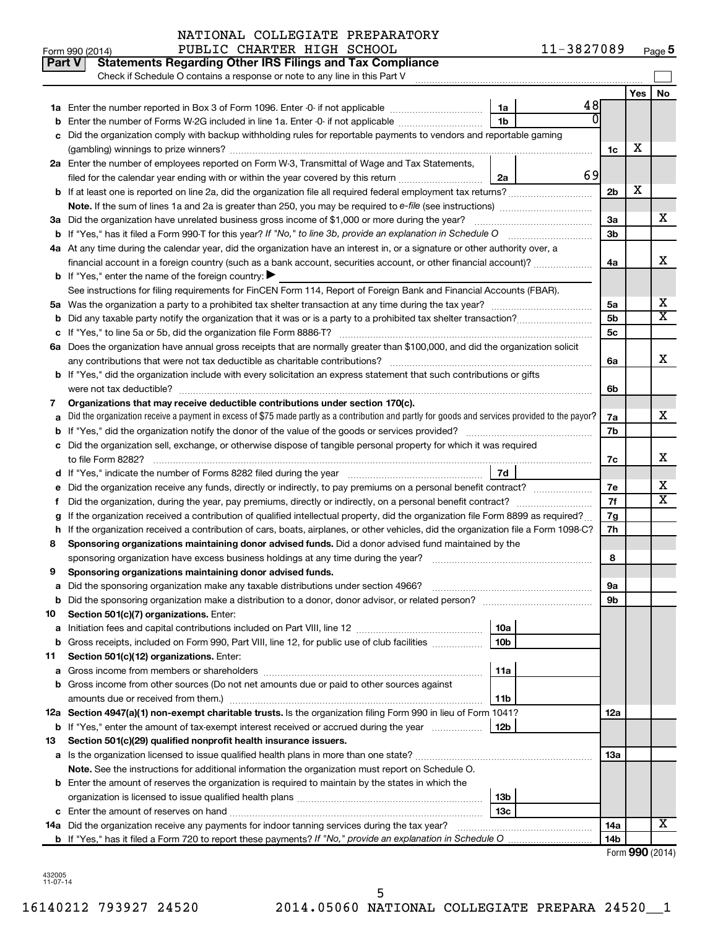|    | Part V<br><b>Statements Regarding Other IRS Filings and Tax Compliance</b><br>Check if Schedule O contains a response or note to any line in this Part V |    |                 |     |           |
|----|----------------------------------------------------------------------------------------------------------------------------------------------------------|----|-----------------|-----|-----------|
|    |                                                                                                                                                          |    |                 | Yes | <b>No</b> |
|    | 1a                                                                                                                                                       | 48 |                 |     |           |
|    | 1 <sub>b</sub><br>Enter the number of Forms W-2G included in line 1a. Enter -0- if not applicable                                                        | N  |                 |     |           |
|    | Did the organization comply with backup withholding rules for reportable payments to vendors and reportable gaming                                       |    |                 |     |           |
|    |                                                                                                                                                          |    | 1c              | х   |           |
|    | 2a Enter the number of employees reported on Form W-3, Transmittal of Wage and Tax Statements,                                                           |    |                 |     |           |
|    | filed for the calendar year ending with or within the year covered by this return<br>2a                                                                  | 69 |                 |     |           |
|    |                                                                                                                                                          |    | 2b              | х   |           |
|    |                                                                                                                                                          |    |                 |     |           |
|    | 3a Did the organization have unrelated business gross income of \$1,000 or more during the year?                                                         |    | За              |     | x         |
|    | <b>b</b> If "Yes," has it filed a Form 990-T for this year? If "No," to line 3b, provide an explanation in Schedule O                                    |    | 3b              |     |           |
|    | 4a At any time during the calendar year, did the organization have an interest in, or a signature or other authority over, a                             |    |                 |     |           |
|    | financial account in a foreign country (such as a bank account, securities account, or other financial account)?                                         |    | 4a              |     | x         |
|    | <b>b</b> If "Yes," enter the name of the foreign country: $\blacktriangleright$                                                                          |    |                 |     |           |
|    | See instructions for filing requirements for FinCEN Form 114, Report of Foreign Bank and Financial Accounts (FBAR).                                      |    |                 |     |           |
|    |                                                                                                                                                          |    | 5a              |     | х         |
|    |                                                                                                                                                          |    | 5b              |     | X         |
|    |                                                                                                                                                          |    | 5с              |     |           |
|    | 6a Does the organization have annual gross receipts that are normally greater than \$100,000, and did the organization solicit                           |    |                 |     |           |
|    |                                                                                                                                                          |    | 6a              |     | X         |
|    | b If "Yes," did the organization include with every solicitation an express statement that such contributions or gifts                                   |    |                 |     |           |
|    | were not tax deductible?                                                                                                                                 |    | 6b              |     |           |
| 7  | Organizations that may receive deductible contributions under section 170(c).                                                                            |    |                 |     |           |
|    | Did the organization receive a payment in excess of \$75 made partly as a contribution and partly for goods and services provided to the payor?          |    | 7a              |     | X         |
|    |                                                                                                                                                          |    | 7b              |     |           |
| с  | Did the organization sell, exchange, or otherwise dispose of tangible personal property for which it was required                                        |    |                 |     |           |
|    |                                                                                                                                                          |    | 7c              |     | X         |
|    | 7d                                                                                                                                                       |    |                 |     |           |
|    |                                                                                                                                                          |    | 7е              |     | х<br>X    |
| t  | Did the organization, during the year, pay premiums, directly or indirectly, on a personal benefit contract?                                             |    | 7f              |     |           |
|    | If the organization received a contribution of qualified intellectual property, did the organization file Form 8899 as required?                         |    | 7g              |     |           |
| h  | If the organization received a contribution of cars, boats, airplanes, or other vehicles, did the organization file a Form 1098-C?                       |    | 7h              |     |           |
| 8  | Sponsoring organizations maintaining donor advised funds. Did a donor advised fund maintained by the                                                     |    |                 |     |           |
|    |                                                                                                                                                          |    | 8               |     |           |
| 9  | Sponsoring organizations maintaining donor advised funds.                                                                                                |    |                 |     |           |
|    | <b>b</b> Did the sponsoring organization make a distribution to a donor, donor advisor, or related person?                                               |    | υа<br>9b        |     |           |
| 10 | Section 501(c)(7) organizations. Enter:                                                                                                                  |    |                 |     |           |
| а  | 10a                                                                                                                                                      |    |                 |     |           |
|    | 10 <sub>b</sub><br>b Gross receipts, included on Form 990, Part VIII, line 12, for public use of club facilities                                         |    |                 |     |           |
| 11 | Section 501(c)(12) organizations. Enter:                                                                                                                 |    |                 |     |           |
| а  | 11a                                                                                                                                                      |    |                 |     |           |
|    | b Gross income from other sources (Do not net amounts due or paid to other sources against                                                               |    |                 |     |           |
|    | amounts due or received from them.)<br>11b                                                                                                               |    |                 |     |           |
|    | 12a Section 4947(a)(1) non-exempt charitable trusts. Is the organization filing Form 990 in lieu of Form 1041?                                           |    | 12a             |     |           |
|    | b If "Yes," enter the amount of tax-exempt interest received or accrued during the year<br>12b                                                           |    |                 |     |           |
| 13 | Section 501(c)(29) qualified nonprofit health insurance issuers.                                                                                         |    |                 |     |           |
|    | a Is the organization licensed to issue qualified health plans in more than one state?                                                                   |    | 13a             |     |           |
|    | Note. See the instructions for additional information the organization must report on Schedule O.                                                        |    |                 |     |           |
|    | <b>b</b> Enter the amount of reserves the organization is required to maintain by the states in which the                                                |    |                 |     |           |
|    | 13 <sub>b</sub>                                                                                                                                          |    |                 |     |           |
|    | 13 <sub>c</sub>                                                                                                                                          |    |                 |     |           |
|    | 14a Did the organization receive any payments for indoor tanning services during the tax year?                                                           |    | 14a             |     | x.        |
|    |                                                                                                                                                          |    | 14 <sub>b</sub> |     |           |
|    |                                                                                                                                                          |    |                 |     |           |

| Form 990 (2014) |  |  |
|-----------------|--|--|
|-----------------|--|--|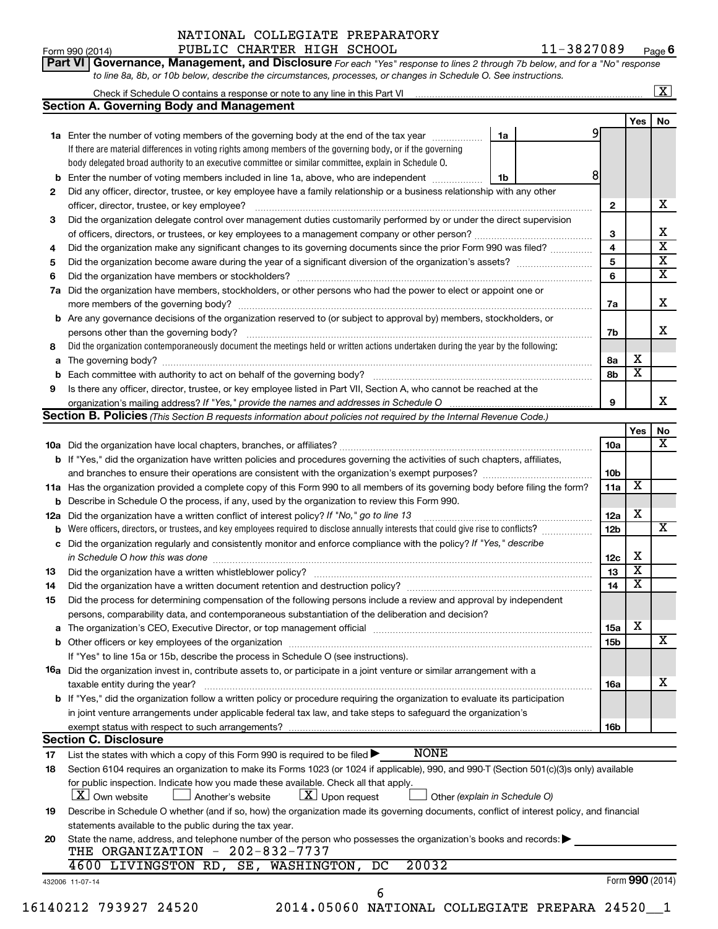|    | to line 8a, 8b, or 10b below, describe the circumstances, processes, or changes in Schedule O. See instructions.                                                              |                 |                         |                         |
|----|-------------------------------------------------------------------------------------------------------------------------------------------------------------------------------|-----------------|-------------------------|-------------------------|
|    |                                                                                                                                                                               |                 |                         | $\boxed{\textbf{X}}$    |
|    | <b>Section A. Governing Body and Management</b>                                                                                                                               |                 |                         |                         |
|    |                                                                                                                                                                               |                 | <b>Yes</b>              | No                      |
|    | 1a Enter the number of voting members of the governing body at the end of the tax year<br>1a                                                                                  |                 |                         |                         |
|    | If there are material differences in voting rights among members of the governing body, or if the governing                                                                   |                 |                         |                         |
|    | body delegated broad authority to an executive committee or similar committee, explain in Schedule O.                                                                         |                 |                         |                         |
| b  | 8<br>Enter the number of voting members included in line 1a, above, who are independent<br>1b                                                                                 |                 |                         |                         |
| 2  | Did any officer, director, trustee, or key employee have a family relationship or a business relationship with any other                                                      |                 |                         |                         |
|    |                                                                                                                                                                               | $\mathbf{2}$    |                         | x                       |
| 3  | Did the organization delegate control over management duties customarily performed by or under the direct supervision                                                         |                 |                         |                         |
|    |                                                                                                                                                                               | 3               |                         | х                       |
| 4  | Did the organization make any significant changes to its governing documents since the prior Form 990 was filed?                                                              | 4               |                         | $\overline{\mathbf{X}}$ |
| 5  |                                                                                                                                                                               | 5               |                         | $\overline{\mathbf{X}}$ |
| 6  |                                                                                                                                                                               | 6               |                         | $\overline{\mathbf{X}}$ |
| 7a | Did the organization have members, stockholders, or other persons who had the power to elect or appoint one or                                                                |                 |                         |                         |
|    |                                                                                                                                                                               | 7a              |                         | х                       |
|    | <b>b</b> Are any governance decisions of the organization reserved to (or subject to approval by) members, stockholders, or                                                   |                 |                         |                         |
|    | persons other than the governing body?                                                                                                                                        | 7b              |                         | х                       |
| 8  | Did the organization contemporaneously document the meetings held or written actions undertaken during the year by the following:                                             |                 |                         |                         |
| a  |                                                                                                                                                                               | 8a              | х                       |                         |
| b  |                                                                                                                                                                               | 8b              | $\overline{\textbf{x}}$ |                         |
| 9  | Is there any officer, director, trustee, or key employee listed in Part VII, Section A, who cannot be reached at the                                                          |                 |                         |                         |
|    |                                                                                                                                                                               | 9               |                         | х                       |
|    | <b>Section B. Policies</b> (This Section B requests information about policies not required by the Internal Revenue Code.)                                                    |                 |                         |                         |
|    |                                                                                                                                                                               |                 | <b>Yes</b>              | No                      |
|    |                                                                                                                                                                               | 10a             |                         | х                       |
|    | <b>b</b> If "Yes," did the organization have written policies and procedures governing the activities of such chapters, affiliates,                                           |                 |                         |                         |
|    | and branches to ensure their operations are consistent with the organization's exempt purposes? www.www.www.www.                                                              | 10b             |                         |                         |
|    | 11a Has the organization provided a complete copy of this Form 990 to all members of its governing body before filing the form?                                               | 11a             | х                       |                         |
|    | <b>b</b> Describe in Schedule O the process, if any, used by the organization to review this Form 990.                                                                        |                 |                         |                         |
|    | 12a Did the organization have a written conflict of interest policy? If "No," go to line 13                                                                                   | 12a             | х                       |                         |
| b  | Were officers, directors, or trustees, and key employees required to disclose annually interests that could give rise to conflicts? [                                         | 12 <sub>b</sub> |                         | x                       |
| с  | Did the organization regularly and consistently monitor and enforce compliance with the policy? If "Yes," describe                                                            |                 |                         |                         |
|    | in Schedule O how this was done manufactured and continuum control of the state of the state of the state of t                                                                | 12c             | х                       |                         |
| 13 |                                                                                                                                                                               | 13              | X                       |                         |
| 14 | Did the organization have a written document retention and destruction policy? [11] manufaction in the organization have a written document retention and destruction policy? | 14              | $\overline{\mathbf{X}}$ |                         |
| 15 | Did the process for determining compensation of the following persons include a review and approval by independent                                                            |                 |                         |                         |
|    | persons, comparability data, and contemporaneous substantiation of the deliberation and decision?                                                                             |                 |                         |                         |
| а  |                                                                                                                                                                               | <b>15a</b>      | х                       |                         |
| b  |                                                                                                                                                                               | 15b             |                         | X                       |
|    | If "Yes" to line 15a or 15b, describe the process in Schedule O (see instructions).                                                                                           |                 |                         |                         |
|    | 16a Did the organization invest in, contribute assets to, or participate in a joint venture or similar arrangement with a                                                     |                 |                         |                         |
|    | taxable entity during the year?                                                                                                                                               | 16a             |                         | х                       |
|    | b If "Yes," did the organization follow a written policy or procedure requiring the organization to evaluate its participation                                                |                 |                         |                         |
|    | in joint venture arrangements under applicable federal tax law, and take steps to safeguard the organization's                                                                |                 |                         |                         |
|    |                                                                                                                                                                               | 16b             |                         |                         |
|    | <b>Section C. Disclosure</b>                                                                                                                                                  |                 |                         |                         |
| 17 | <b>NONE</b><br>List the states with which a copy of this Form 990 is required to be filed $\blacktriangleright$                                                               |                 |                         |                         |
| 18 | Section 6104 requires an organization to make its Forms 1023 (or 1024 if applicable), 990, and 990-T (Section 501(c)(3)s only) available                                      |                 |                         |                         |
|    | for public inspection. Indicate how you made these available. Check all that apply.                                                                                           |                 |                         |                         |
|    | X   Own website<br>$ \mathbf{X} $ Upon request<br>Another's website<br>Other (explain in Schedule O)                                                                          |                 |                         |                         |
| 19 | Describe in Schedule O whether (and if so, how) the organization made its governing documents, conflict of interest policy, and financial                                     |                 |                         |                         |
|    | statements available to the public during the tax year.                                                                                                                       |                 |                         |                         |
| 20 | State the name, address, and telephone number of the person who possesses the organization's books and records:<br>THE ORGANIZATION - 202-832-7737                            |                 |                         |                         |

|  |  | 4600 LIVINGSTON RD, SE, WASHINGTON, DC 20032 |  |
|--|--|----------------------------------------------|--|
|  |  |                                              |  |

432006 11-07-14

16140212 793927 24520 2014.05060 NATIONAL COLLEGIATE PREPARA 24520\_\_1

6

Form (2014) **990**

Form 990 (2014) PUBLIC CHARTER HIGH SCHOOL  $11-3827089$  Page **6**

| Part VI   Governance, Management, and Disclosure For each "Yes" response to lines 2 through 7b below, and for a "No" response |  |
|-------------------------------------------------------------------------------------------------------------------------------|--|
| to line 8a, 8b, or 10b helow, describe the circumstances, processes, or changes in Schedule O, See instructions               |  |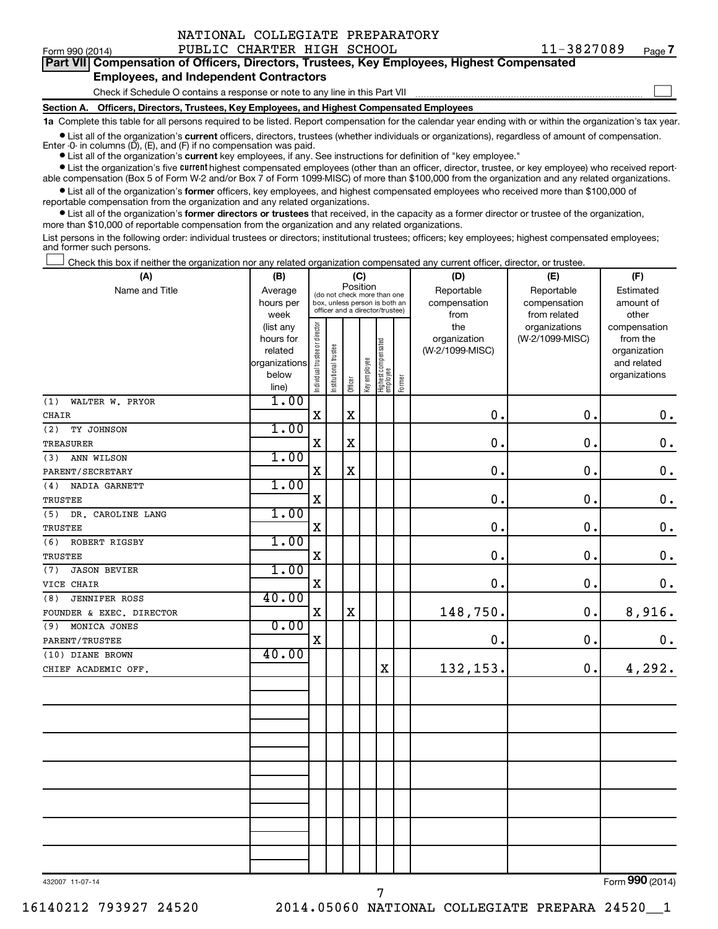| NATIONAL COLLEGIATE PREPARATORY |  |  |  |
|---------------------------------|--|--|--|
|---------------------------------|--|--|--|

Form 990 (2014) PUBLIC CHARTER HIGH SCHOOL  $11-3827089$  Page 11-3827089 <sub>Page</sub> 7

 $\Box$ 

| Part VII Compensation of Officers, Directors, Trustees, Key Employees, Highest Compensated |  |  |
|--------------------------------------------------------------------------------------------|--|--|
| <b>Employees, and Independent Contractors</b>                                              |  |  |

Check if Schedule O contains a response or note to any line in this Part VII

**Section A. Officers, Directors, Trustees, Key Employees, and Highest Compensated Employees**

**1a**  Complete this table for all persons required to be listed. Report compensation for the calendar year ending with or within the organization's tax year.

**•** List all of the organization's current officers, directors, trustees (whether individuals or organizations), regardless of amount of compensation.

**•** List all of the organization's **current** key employees, if any. See instructions for definition of "key employee." Enter -0- in columns  $(D)$ ,  $(E)$ , and  $(F)$  if no compensation was paid.

**•** List the organization's five current highest compensated employees (other than an officer, director, trustee, or key employee) who received report-

**•** List all of the organization's former officers, key employees, and highest compensated employees who received more than \$100,000 of able compensation (Box 5 of Form W-2 and/or Box 7 of Form 1099-MISC) of more than \$100,000 from the organization and any related organizations. reportable compensation from the organization and any related organizations.

**•** List all of the organization's former directors or trustees that received, in the capacity as a former director or trustee of the organization, more than \$10,000 of reportable compensation from the organization and any related organizations.

List persons in the following order: individual trustees or directors; institutional trustees; officers; key employees; highest compensated employees; and former such persons.

Check this box if neither the organization nor any related organization compensated any current officer, director, or trustee.  $\Box$ 

| (A)                         | (B)                    | (C)                                     |                                                                  |             |              |                                   |        | (D)                 | (E)                              | (F)                      |  |  |
|-----------------------------|------------------------|-----------------------------------------|------------------------------------------------------------------|-------------|--------------|-----------------------------------|--------|---------------------|----------------------------------|--------------------------|--|--|
| Name and Title              | Average                | Position<br>(do not check more than one |                                                                  |             |              |                                   |        | Reportable          | Reportable                       | Estimated                |  |  |
|                             | hours per              |                                         | box, unless person is both an<br>officer and a director/trustee) |             |              |                                   |        | compensation        | compensation                     | amount of                |  |  |
|                             | week                   |                                         |                                                                  |             |              |                                   |        | from                | from related                     | other                    |  |  |
|                             | (list any<br>hours for |                                         |                                                                  |             |              |                                   |        | the<br>organization | organizations<br>(W-2/1099-MISC) | compensation<br>from the |  |  |
|                             | related                |                                         |                                                                  |             |              |                                   |        | (W-2/1099-MISC)     |                                  | organization             |  |  |
|                             | organizations          |                                         |                                                                  |             |              |                                   |        |                     |                                  | and related              |  |  |
|                             | below                  | Individual trustee or director          | Institutional trustee                                            |             | Key employee |                                   |        |                     |                                  | organizations            |  |  |
|                             | line)                  |                                         |                                                                  | Officer     |              | Highest compensated<br>  employee | Former |                     |                                  |                          |  |  |
| (1)<br>WALTER W. PRYOR      | 1.00                   |                                         |                                                                  |             |              |                                   |        |                     |                                  |                          |  |  |
| <b>CHAIR</b>                |                        | $\mathbf X$                             |                                                                  | $\mathbf X$ |              |                                   |        | $\mathbf 0$ .       | 0.                               | $\boldsymbol{0}$ .       |  |  |
| (2)<br>TY JOHNSON           | 1.00                   |                                         |                                                                  |             |              |                                   |        |                     |                                  |                          |  |  |
| TREASURER                   |                        | $\mathbf X$                             |                                                                  | $\rm X$     |              |                                   |        | 0.                  | $\mathbf 0$ .                    | $\mathbf 0$ .            |  |  |
| (3)<br>ANN WILSON           | 1.00                   |                                         |                                                                  |             |              |                                   |        |                     |                                  |                          |  |  |
| PARENT/SECRETARY            |                        | $\mathbf x$                             |                                                                  | $\rm X$     |              |                                   |        | 0.                  | 0.                               | $\boldsymbol{0}$ .       |  |  |
| (4)<br>NADIA GARNETT        | 1.00                   |                                         |                                                                  |             |              |                                   |        |                     |                                  |                          |  |  |
| TRUSTEE                     |                        | $\mathbf X$                             |                                                                  |             |              |                                   |        | $\mathbf 0$ .       | $\mathbf 0$ .                    | $\mathbf 0$ .            |  |  |
| (5)<br>DR. CAROLINE LANG    | 1.00                   |                                         |                                                                  |             |              |                                   |        |                     |                                  |                          |  |  |
| TRUSTEE                     |                        | $\mathbf X$                             |                                                                  |             |              |                                   |        | $\mathbf 0$ .       | 0.                               | $\boldsymbol{0}$ .       |  |  |
| (6)<br>ROBERT RIGSBY        | 1.00                   |                                         |                                                                  |             |              |                                   |        |                     |                                  |                          |  |  |
| TRUSTEE                     |                        | $\mathbf X$                             |                                                                  |             |              |                                   |        | 0.                  | $\mathbf 0$ .                    | $\mathbf 0$ .            |  |  |
| (7)<br><b>JASON BEVIER</b>  | 1.00                   |                                         |                                                                  |             |              |                                   |        |                     |                                  |                          |  |  |
| VICE CHAIR                  |                        | $\mathbf X$                             |                                                                  |             |              |                                   |        | $\mathbf 0$ .       | 0.                               | $\mathbf 0$ .            |  |  |
| <b>JENNIFER ROSS</b><br>(8) | 40.00                  |                                         |                                                                  |             |              |                                   |        |                     |                                  |                          |  |  |
| FOUNDER & EXEC. DIRECTOR    |                        | $\mathbf X$                             |                                                                  | $\rm X$     |              |                                   |        | 148,750.            | 0.                               | 8,916.                   |  |  |
| (9)<br>MONICA JONES         | 0.00                   |                                         |                                                                  |             |              |                                   |        |                     |                                  |                          |  |  |
| PARENT/TRUSTEE              |                        | $\mathbf X$                             |                                                                  |             |              |                                   |        | 0.                  | $\mathbf 0$ .                    | $\mathbf 0$ .            |  |  |
| (10) DIANE BROWN            | 40.00                  |                                         |                                                                  |             |              |                                   |        |                     |                                  |                          |  |  |
| CHIEF ACADEMIC OFF.         |                        |                                         |                                                                  |             |              | X                                 |        | 132,153.            | 0.                               | 4,292.                   |  |  |
|                             |                        |                                         |                                                                  |             |              |                                   |        |                     |                                  |                          |  |  |
|                             |                        |                                         |                                                                  |             |              |                                   |        |                     |                                  |                          |  |  |
|                             |                        |                                         |                                                                  |             |              |                                   |        |                     |                                  |                          |  |  |
|                             |                        |                                         |                                                                  |             |              |                                   |        |                     |                                  |                          |  |  |
|                             |                        |                                         |                                                                  |             |              |                                   |        |                     |                                  |                          |  |  |
|                             |                        |                                         |                                                                  |             |              |                                   |        |                     |                                  |                          |  |  |
|                             |                        |                                         |                                                                  |             |              |                                   |        |                     |                                  |                          |  |  |
|                             |                        |                                         |                                                                  |             |              |                                   |        |                     |                                  |                          |  |  |
|                             |                        |                                         |                                                                  |             |              |                                   |        |                     |                                  |                          |  |  |
|                             |                        |                                         |                                                                  |             |              |                                   |        |                     |                                  |                          |  |  |
|                             |                        |                                         |                                                                  |             |              |                                   |        |                     |                                  |                          |  |  |
|                             |                        |                                         |                                                                  |             |              |                                   |        |                     |                                  |                          |  |  |
|                             |                        |                                         |                                                                  |             |              |                                   |        |                     |                                  |                          |  |  |
|                             |                        |                                         |                                                                  |             |              |                                   |        |                     |                                  |                          |  |  |

7

432007 11-07-14

Form (2014) **990**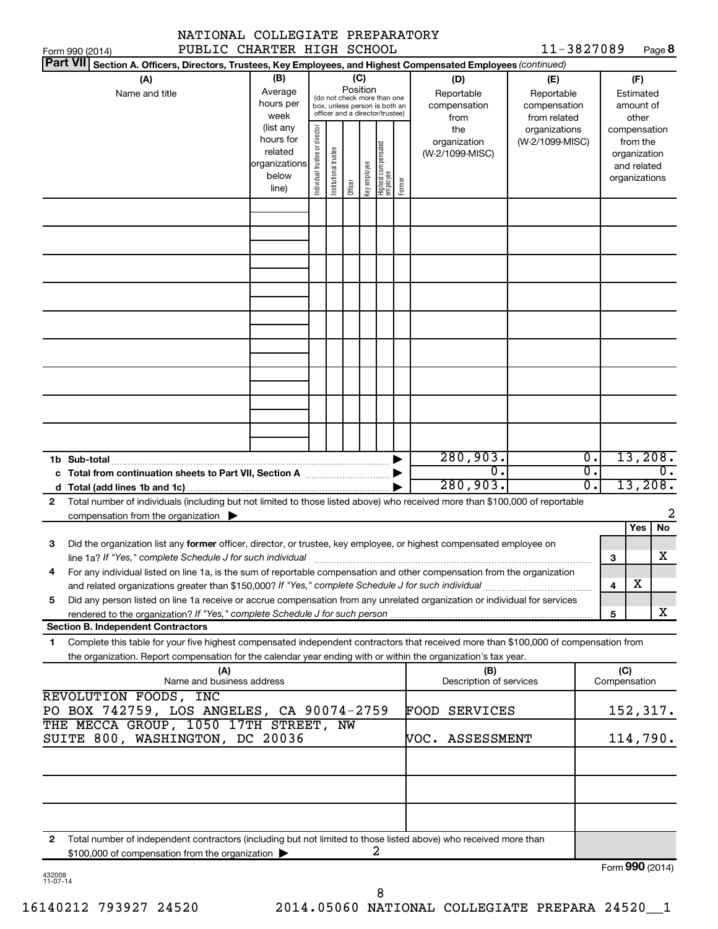| NATIONAL COLLEGIATE PREPARATORY                                                                                                                                                                                                                   |                                                                              |                                |                       |                                                                                                               |              |                                                                    |        |                                                |                                                  |                        |              |                                                                                   |                               |
|---------------------------------------------------------------------------------------------------------------------------------------------------------------------------------------------------------------------------------------------------|------------------------------------------------------------------------------|--------------------------------|-----------------------|---------------------------------------------------------------------------------------------------------------|--------------|--------------------------------------------------------------------|--------|------------------------------------------------|--------------------------------------------------|------------------------|--------------|-----------------------------------------------------------------------------------|-------------------------------|
| PUBLIC CHARTER HIGH SCHOOL<br>Form 990 (2014)<br><b>Part VII</b>                                                                                                                                                                                  |                                                                              |                                |                       |                                                                                                               |              |                                                                    |        |                                                | 11-3827089                                       |                        |              |                                                                                   | Page 8                        |
| Section A. Officers, Directors, Trustees, Key Employees, and Highest Compensated Employees (continued)<br>(A)<br>Name and title                                                                                                                   | (B)<br>Average<br>hours per                                                  |                                |                       | (C)<br>Position<br>Reportable<br>(do not check more than one<br>compensation<br>box, unless person is both an |              |                                                                    |        |                                                | (E)<br>Reportable<br>compensation                |                        |              | (F)<br>Estimated<br>amount of                                                     |                               |
|                                                                                                                                                                                                                                                   | week<br>(list any<br>hours for<br>related<br>organizations<br>below<br>line) | Individual trustee or director | Institutional trustee | Officer                                                                                                       | Key employee | officer and a director/trustee)<br>Highest compensated<br>employee | Former | from<br>the<br>organization<br>(W-2/1099-MISC) | from related<br>organizations<br>(W-2/1099-MISC) |                        |              | other<br>compensation<br>from the<br>organization<br>and related<br>organizations |                               |
|                                                                                                                                                                                                                                                   |                                                                              |                                |                       |                                                                                                               |              |                                                                    |        |                                                |                                                  |                        |              |                                                                                   |                               |
|                                                                                                                                                                                                                                                   |                                                                              |                                |                       |                                                                                                               |              |                                                                    |        |                                                |                                                  |                        |              |                                                                                   |                               |
|                                                                                                                                                                                                                                                   |                                                                              |                                |                       |                                                                                                               |              |                                                                    |        |                                                |                                                  |                        |              |                                                                                   |                               |
|                                                                                                                                                                                                                                                   |                                                                              |                                |                       |                                                                                                               |              |                                                                    |        |                                                |                                                  |                        |              |                                                                                   |                               |
|                                                                                                                                                                                                                                                   |                                                                              |                                |                       |                                                                                                               |              |                                                                    |        |                                                |                                                  |                        |              |                                                                                   |                               |
| 1b Sub-total                                                                                                                                                                                                                                      |                                                                              |                                |                       |                                                                                                               |              |                                                                    |        | 280,903.<br>$\overline{0}$ .                   |                                                  | $\overline{0}$ .<br>σ. |              |                                                                                   | 13,208.<br>$\mathbf{0}$ .     |
|                                                                                                                                                                                                                                                   |                                                                              |                                |                       |                                                                                                               |              |                                                                    |        | 280,903.                                       |                                                  | σ.                     |              |                                                                                   | 13,208.                       |
| Total number of individuals (including but not limited to those listed above) who received more than \$100,000 of reportable<br>$\mathbf{2}$<br>compensation from the organization $\blacktriangleright$                                          |                                                                              |                                |                       |                                                                                                               |              |                                                                    |        |                                                |                                                  |                        |              |                                                                                   | 2                             |
| Did the organization list any former officer, director, or trustee, key employee, or highest compensated employee on<br>З<br>line 1a? If "Yes," complete Schedule J for such individual manufactured content content for the complete schedu      |                                                                              |                                |                       |                                                                                                               |              |                                                                    |        |                                                |                                                  |                        | 3            | Yes                                                                               | No<br>$\overline{\textbf{X}}$ |
| For any individual listed on line 1a, is the sum of reportable compensation and other compensation from the organization<br>4                                                                                                                     |                                                                              |                                |                       |                                                                                                               |              |                                                                    |        |                                                |                                                  |                        | 4            | x                                                                                 |                               |
| Did any person listed on line 1a receive or accrue compensation from any unrelated organization or individual for services<br>5<br>rendered to the organization? If "Yes," complete Schedule J for such person manufaction contains and contained |                                                                              |                                |                       |                                                                                                               |              |                                                                    |        |                                                |                                                  |                        | 5            |                                                                                   | x                             |
| <b>Section B. Independent Contractors</b><br>Complete this table for your five highest compensated independent contractors that received more than \$100,000 of compensation from<br>1                                                            |                                                                              |                                |                       |                                                                                                               |              |                                                                    |        |                                                |                                                  |                        |              |                                                                                   |                               |
| the organization. Report compensation for the calendar year ending with or within the organization's tax year.<br>(A)                                                                                                                             |                                                                              |                                |                       |                                                                                                               |              |                                                                    |        | (B)                                            |                                                  |                        | (C)          |                                                                                   |                               |
| Name and business address<br>REVOLUTION FOODS, INC                                                                                                                                                                                                |                                                                              |                                |                       |                                                                                                               |              |                                                                    |        | Description of services                        |                                                  |                        | Compensation |                                                                                   |                               |
| PO BOX 742759, LOS ANGELES, CA 90074-2759<br>THE MECCA GROUP, 1050 17TH STREET, NW                                                                                                                                                                |                                                                              |                                |                       |                                                                                                               |              |                                                                    |        | <b>FOOD SERVICES</b>                           |                                                  |                        |              |                                                                                   | 152,317.                      |
| SUITE 800, WASHINGTON, DC 20036                                                                                                                                                                                                                   |                                                                              |                                |                       |                                                                                                               |              |                                                                    |        | VOC. ASSESSMENT                                |                                                  |                        |              |                                                                                   | 114,790.                      |
|                                                                                                                                                                                                                                                   |                                                                              |                                |                       |                                                                                                               |              |                                                                    |        |                                                |                                                  |                        |              |                                                                                   |                               |
| Total number of independent contractors (including but not limited to those listed above) who received more than<br>2<br>\$100,000 of compensation from the organization                                                                          |                                                                              |                                |                       |                                                                                                               |              | 2                                                                  |        |                                                |                                                  |                        |              |                                                                                   |                               |
|                                                                                                                                                                                                                                                   |                                                                              |                                |                       |                                                                                                               |              |                                                                    |        |                                                |                                                  |                        |              |                                                                                   | Form 990 (2014)               |

| 432008   |  |
|----------|--|
| 11-07-14 |  |

16140212 793927 24520 2014.05060 NATIONAL COLLEGIATE PREPARA 24520\_\_1 8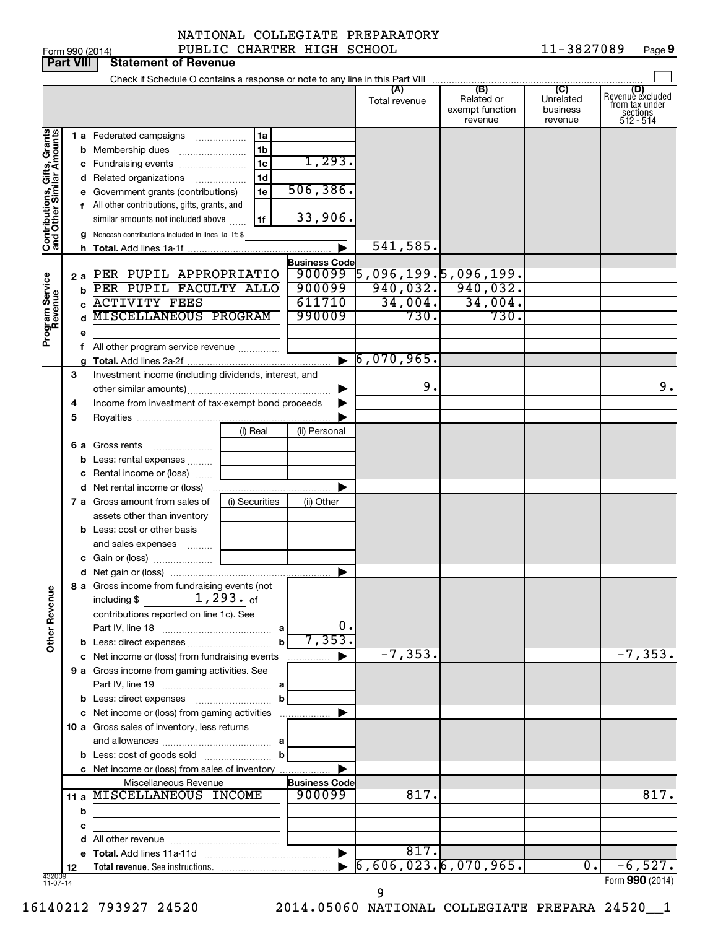| $\sim$ $\sim$ |  |  |  |  |
|---------------|--|--|--|--|

|                                                           | <b>Part VIII</b>                                           | <b>Statement of Revenue</b>                                                |                |                                |                                    |                                                 |                                         |                                                                    |
|-----------------------------------------------------------|------------------------------------------------------------|----------------------------------------------------------------------------|----------------|--------------------------------|------------------------------------|-------------------------------------------------|-----------------------------------------|--------------------------------------------------------------------|
|                                                           |                                                            |                                                                            |                |                                |                                    |                                                 |                                         |                                                                    |
|                                                           |                                                            |                                                                            |                |                                | (A)<br>Total revenue               | (B)<br>Related or<br>exempt function<br>revenue | (C)<br>Unrelated<br>business<br>revenue | (D)<br>Revenue excluded<br>from tax under<br>sections<br>512 - 514 |
|                                                           |                                                            | 1 a Federated campaigns                                                    | 1a             |                                |                                    |                                                 |                                         |                                                                    |
| Contributions, Gifts, Grants<br>and Other Similar Amounts |                                                            | <b>b</b> Membership dues                                                   | 1b             |                                |                                    |                                                 |                                         |                                                                    |
|                                                           |                                                            | c Fundraising events                                                       | 1c             | 1,293.                         |                                    |                                                 |                                         |                                                                    |
|                                                           |                                                            | d Related organizations<br>.                                               | 1d             |                                |                                    |                                                 |                                         |                                                                    |
|                                                           |                                                            | e Government grants (contributions)                                        | 1e             | 506, 386.                      |                                    |                                                 |                                         |                                                                    |
|                                                           |                                                            | f All other contributions, gifts, grants, and                              |                |                                |                                    |                                                 |                                         |                                                                    |
|                                                           |                                                            | similar amounts not included above                                         | 1f             | 33,906.                        |                                    |                                                 |                                         |                                                                    |
|                                                           |                                                            | g Noncash contributions included in lines 1a-1f: \$                        |                |                                |                                    |                                                 |                                         |                                                                    |
|                                                           |                                                            |                                                                            |                |                                | 541,585.                           |                                                 |                                         |                                                                    |
|                                                           |                                                            |                                                                            |                | <b>Business Code</b>           |                                    |                                                 |                                         |                                                                    |
|                                                           |                                                            | 2 a PER PUPIL APPROPRIATIO<br>PER PUPIL FACULTY ALLO                       |                | 900099<br>900099               | $\overline{5}$ ,096,199.5,096,199. | $940,032.$ 940,032.                             |                                         |                                                                    |
|                                                           | b                                                          | <b>ACTIVITY FEES</b>                                                       |                | 611710                         | 34,004.                            | 34,004.                                         |                                         |                                                                    |
|                                                           | c                                                          | <b>MISCELLANEOUS PROGRAM</b>                                               |                | 990009                         | 730.                               | 730.                                            |                                         |                                                                    |
|                                                           |                                                            |                                                                            |                |                                |                                    |                                                 |                                         |                                                                    |
| Program Service<br>Revenue                                | е                                                          | All other program service revenue                                          |                |                                |                                    |                                                 |                                         |                                                                    |
|                                                           |                                                            |                                                                            |                |                                | $\triangleright$ 6,070,965.        |                                                 |                                         |                                                                    |
|                                                           | 3<br>Investment income (including dividends, interest, and |                                                                            |                |                                |                                    |                                                 |                                         |                                                                    |
|                                                           |                                                            |                                                                            |                |                                | 9.                                 |                                                 |                                         | 9.                                                                 |
|                                                           | 4                                                          | Income from investment of tax-exempt bond proceeds                         |                |                                |                                    |                                                 |                                         |                                                                    |
|                                                           | 5                                                          |                                                                            |                |                                |                                    |                                                 |                                         |                                                                    |
|                                                           |                                                            |                                                                            | (i) Real       | (ii) Personal                  |                                    |                                                 |                                         |                                                                    |
|                                                           |                                                            | 6 a Gross rents                                                            |                |                                |                                    |                                                 |                                         |                                                                    |
|                                                           |                                                            | <b>b</b> Less: rental expenses                                             |                |                                |                                    |                                                 |                                         |                                                                    |
|                                                           |                                                            | c Rental income or (loss)                                                  |                |                                |                                    |                                                 |                                         |                                                                    |
|                                                           |                                                            |                                                                            |                |                                |                                    |                                                 |                                         |                                                                    |
|                                                           |                                                            | 7 a Gross amount from sales of                                             | (i) Securities | (ii) Other                     |                                    |                                                 |                                         |                                                                    |
|                                                           |                                                            | assets other than inventory                                                |                |                                |                                    |                                                 |                                         |                                                                    |
|                                                           |                                                            | <b>b</b> Less: cost or other basis                                         |                |                                |                                    |                                                 |                                         |                                                                    |
|                                                           |                                                            | and sales expenses                                                         |                |                                |                                    |                                                 |                                         |                                                                    |
|                                                           |                                                            |                                                                            |                |                                |                                    |                                                 |                                         |                                                                    |
|                                                           |                                                            |                                                                            |                |                                |                                    |                                                 |                                         |                                                                    |
| <b>Other Revenue</b>                                      |                                                            | 8 a Gross income from fundraising events (not<br>including $$$             | $1,293.$ of    |                                |                                    |                                                 |                                         |                                                                    |
|                                                           |                                                            | contributions reported on line 1c). See                                    |                |                                |                                    |                                                 |                                         |                                                                    |
|                                                           |                                                            |                                                                            |                | 0.                             |                                    |                                                 |                                         |                                                                    |
|                                                           |                                                            |                                                                            | $\mathbf b$    | 7, 353.                        |                                    |                                                 |                                         |                                                                    |
|                                                           |                                                            | c Net income or (loss) from fundraising events                             |                | .                              | $-7, 353.$                         |                                                 |                                         | $-7, 353.$                                                         |
|                                                           |                                                            | 9 a Gross income from gaming activities. See                               |                |                                |                                    |                                                 |                                         |                                                                    |
|                                                           |                                                            |                                                                            |                |                                |                                    |                                                 |                                         |                                                                    |
|                                                           |                                                            |                                                                            | b              |                                |                                    |                                                 |                                         |                                                                    |
|                                                           |                                                            | c Net income or (loss) from gaming activities                              |                |                                |                                    |                                                 |                                         |                                                                    |
|                                                           |                                                            | 10 a Gross sales of inventory, less returns                                |                |                                |                                    |                                                 |                                         |                                                                    |
|                                                           |                                                            |                                                                            |                |                                |                                    |                                                 |                                         |                                                                    |
|                                                           |                                                            |                                                                            | b              |                                |                                    |                                                 |                                         |                                                                    |
|                                                           |                                                            | c Net income or (loss) from sales of inventory                             |                |                                |                                    |                                                 |                                         |                                                                    |
|                                                           |                                                            | Miscellaneous Revenue<br>11 a MISCELLANEOUS INCOME                         |                | <b>Business Code</b><br>900099 | 817.                               |                                                 |                                         | 817.                                                               |
|                                                           |                                                            |                                                                            |                |                                |                                    |                                                 |                                         |                                                                    |
|                                                           | b                                                          | the control of the control of the control of the control of the control of |                |                                |                                    |                                                 |                                         |                                                                    |
|                                                           | с                                                          |                                                                            |                |                                |                                    |                                                 |                                         |                                                                    |
|                                                           |                                                            |                                                                            |                |                                | 817.                               |                                                 |                                         |                                                                    |
|                                                           | 12                                                         |                                                                            |                |                                | 6,606,023.6,070,965.               |                                                 | $\overline{0}$ .                        | $-6,527.$                                                          |
| 432009<br>$11-07-14$                                      |                                                            |                                                                            |                |                                |                                    |                                                 |                                         | Form 990 (2014)                                                    |

9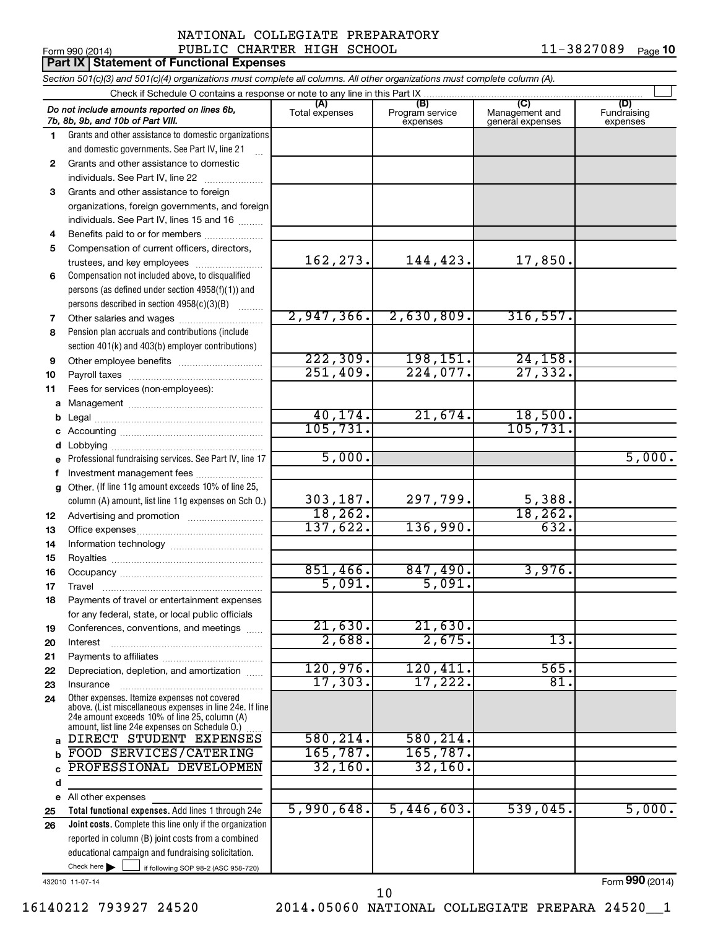### Form 990 (2014) PUBLIC CHARTER HIGH SCHOOL  $11-3827089$  Page NATIONAL COLLEGIATE PREPARATORY

11-3827089 Page 10

|              | <b>Part IX Statement of Functional Expenses</b>                                                                                                                                                                  |                       |                                    |                                           |                                |
|--------------|------------------------------------------------------------------------------------------------------------------------------------------------------------------------------------------------------------------|-----------------------|------------------------------------|-------------------------------------------|--------------------------------|
|              | Section 501(c)(3) and 501(c)(4) organizations must complete all columns. All other organizations must complete column (A).                                                                                       |                       |                                    |                                           |                                |
|              | Check if Schedule O contains a response or note to any line in this Part IX.                                                                                                                                     |                       |                                    |                                           |                                |
|              | Do not include amounts reported on lines 6b,<br>7b, 8b, 9b, and 10b of Part VIII.                                                                                                                                | (A)<br>Total expenses | (B)<br>Program service<br>expenses | (C)<br>Management and<br>general expenses | (D)<br>Fundraising<br>expenses |
| 1.           | Grants and other assistance to domestic organizations                                                                                                                                                            |                       |                                    |                                           |                                |
|              | and domestic governments. See Part IV, line 21                                                                                                                                                                   |                       |                                    |                                           |                                |
| $\mathbf{2}$ | Grants and other assistance to domestic                                                                                                                                                                          |                       |                                    |                                           |                                |
|              | individuals. See Part IV, line 22                                                                                                                                                                                |                       |                                    |                                           |                                |
| 3            | Grants and other assistance to foreign                                                                                                                                                                           |                       |                                    |                                           |                                |
|              | organizations, foreign governments, and foreign                                                                                                                                                                  |                       |                                    |                                           |                                |
|              | individuals. See Part IV, lines 15 and 16                                                                                                                                                                        |                       |                                    |                                           |                                |
| 4            | Benefits paid to or for members                                                                                                                                                                                  |                       |                                    |                                           |                                |
| 5            | Compensation of current officers, directors,                                                                                                                                                                     |                       |                                    |                                           |                                |
|              | trustees, and key employees                                                                                                                                                                                      | 162,273.              | 144,423.                           | 17,850.                                   |                                |
| 6            | Compensation not included above, to disqualified                                                                                                                                                                 |                       |                                    |                                           |                                |
|              | persons (as defined under section 4958(f)(1)) and                                                                                                                                                                |                       |                                    |                                           |                                |
|              | persons described in section 4958(c)(3)(B)                                                                                                                                                                       | 2,947,366.            | 2,630,809.                         | 316,557.                                  |                                |
| 7            | Other salaries and wages                                                                                                                                                                                         |                       |                                    |                                           |                                |
| 8            | Pension plan accruals and contributions (include                                                                                                                                                                 |                       |                                    |                                           |                                |
|              | section 401(k) and 403(b) employer contributions)                                                                                                                                                                | 222, 309.             | 198,151.                           | 24, 158.                                  |                                |
| 9            | Other employee benefits                                                                                                                                                                                          | 251,409.              | 224,077.                           | 27, 332.                                  |                                |
| 10           |                                                                                                                                                                                                                  |                       |                                    |                                           |                                |
| 11           | Fees for services (non-employees):                                                                                                                                                                               |                       |                                    |                                           |                                |
| a            |                                                                                                                                                                                                                  | 40, 174.              | 21,674.                            | 18,500.                                   |                                |
| b            |                                                                                                                                                                                                                  | 105,731.              |                                    | 105, 731.                                 |                                |
| d            |                                                                                                                                                                                                                  |                       |                                    |                                           |                                |
|              | Professional fundraising services. See Part IV, line 17                                                                                                                                                          | 5,000.                |                                    |                                           | 5,000.                         |
| f            | Investment management fees                                                                                                                                                                                       |                       |                                    |                                           |                                |
| g            | Other. (If line 11g amount exceeds 10% of line 25,                                                                                                                                                               |                       |                                    |                                           |                                |
|              | column (A) amount, list line 11g expenses on Sch O.)                                                                                                                                                             | 303, 187.             | 297,799.                           | 5,388.                                    |                                |
| 12           |                                                                                                                                                                                                                  | 18, 262.              |                                    | 18, 262.                                  |                                |
| 13           |                                                                                                                                                                                                                  | 137,622.              | 136,990.                           | 632.                                      |                                |
| 14           |                                                                                                                                                                                                                  |                       |                                    |                                           |                                |
| 15           |                                                                                                                                                                                                                  |                       |                                    |                                           |                                |
| 16           |                                                                                                                                                                                                                  | 851,466.              | 847,490.                           | 3,976.                                    |                                |
| 17           | Travel                                                                                                                                                                                                           | 5,091.                | 5,091.                             |                                           |                                |
| 18           | Payments of travel or entertainment expenses                                                                                                                                                                     |                       |                                    |                                           |                                |
|              | for any federal, state, or local public officials                                                                                                                                                                |                       |                                    |                                           |                                |
| 19           | Conferences, conventions, and meetings                                                                                                                                                                           | 21,630.               | 21,630.                            |                                           |                                |
| 20           | Interest                                                                                                                                                                                                         | 2,688.                | 2,675.                             | 13.                                       |                                |
| 21           |                                                                                                                                                                                                                  |                       |                                    |                                           |                                |
| 22           | Depreciation, depletion, and amortization                                                                                                                                                                        | 120,976.              | 120,411.                           | 565.                                      |                                |
| 23           | Insurance                                                                                                                                                                                                        | 17, 303.              | 17,222.                            | 81.                                       |                                |
| 24           | Other expenses. Itemize expenses not covered<br>above. (List miscellaneous expenses in line 24e. If line<br>24e amount exceeds 10% of line 25, column (A)<br>amount, list line 24e expenses on Schedule O.)<br>. |                       |                                    |                                           |                                |
| a            | DIRECT STUDENT EXPENSES                                                                                                                                                                                          | 580, 214.             | 580, 214.                          |                                           |                                |
| b            | FOOD SERVICES/CATERING                                                                                                                                                                                           | 165, 787.             | 165,787.                           |                                           |                                |
|              | PROFESSIONAL DEVELOPMEN                                                                                                                                                                                          | 32,160.               | 32,160.                            |                                           |                                |
| d            |                                                                                                                                                                                                                  |                       |                                    |                                           |                                |
| е            | All other expenses                                                                                                                                                                                               |                       |                                    |                                           |                                |
| 25           | Total functional expenses. Add lines 1 through 24e                                                                                                                                                               | 5,990,648.            | 5,446,603.                         | 539,045.                                  | 5,000.                         |
| 26           | Joint costs. Complete this line only if the organization                                                                                                                                                         |                       |                                    |                                           |                                |
|              | reported in column (B) joint costs from a combined                                                                                                                                                               |                       |                                    |                                           |                                |
|              | educational campaign and fundraising solicitation.                                                                                                                                                               |                       |                                    |                                           |                                |
|              | Check here $\blacktriangleright$<br>if following SOP 98-2 (ASC 958-720)                                                                                                                                          |                       |                                    |                                           |                                |

432010 11-07-14

16140212 793927 24520 2014.05060 NATIONAL COLLEGIATE PREPARA 24520\_\_1 10

Form (2014) **990**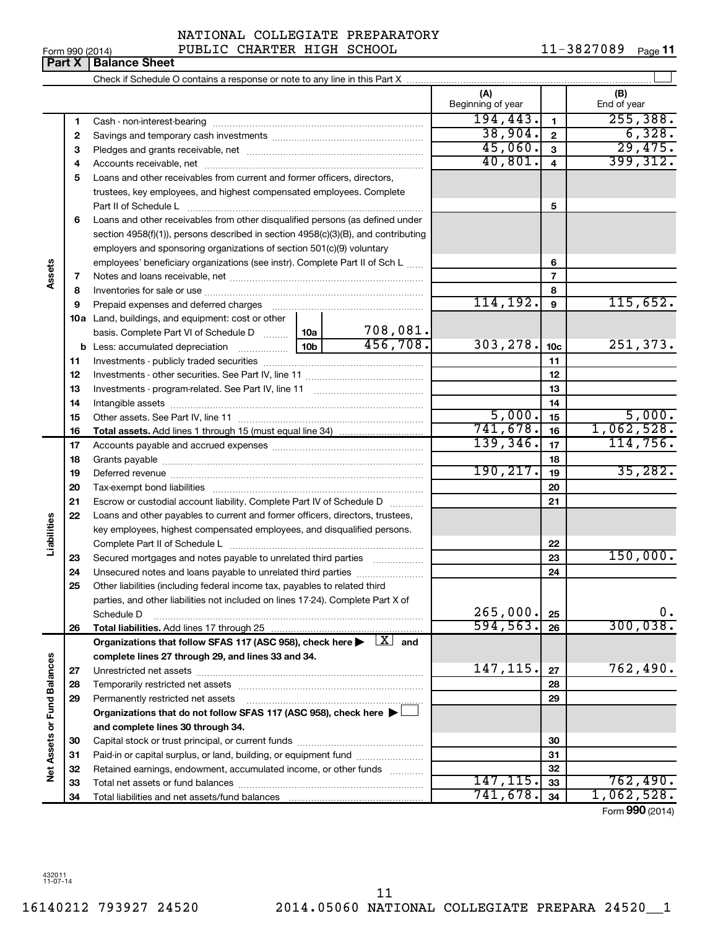Form 990 (2014) PUBLIC CHARTER HIGH SCHOOL  $11-3827089$  Page NATIONAL COLLEGIATE PREPARATORY

11-3827089 Page 11

|                      | Part X   | <b>Balance Sheet</b>                                                                                                         |           |          |                          |                 |                    |
|----------------------|----------|------------------------------------------------------------------------------------------------------------------------------|-----------|----------|--------------------------|-----------------|--------------------|
|                      |          |                                                                                                                              |           |          |                          |                 |                    |
|                      |          |                                                                                                                              |           |          | (A)<br>Beginning of year |                 | (B)<br>End of year |
|                      | 1        |                                                                                                                              |           |          | 194, 443.                | 1               | 255, 388.          |
|                      | 2        |                                                                                                                              |           |          | 38,904.                  | $\overline{2}$  | 6,328.             |
|                      | З        |                                                                                                                              |           |          | 45,060.                  | 3               | 29,475.            |
|                      | 4        |                                                                                                                              |           |          | 40,801.                  | 4               | 399, 312.          |
|                      | 5        | Loans and other receivables from current and former officers, directors,                                                     |           |          |                          |                 |                    |
|                      |          | trustees, key employees, and highest compensated employees. Complete                                                         |           |          |                          |                 |                    |
|                      |          | Part II of Schedule L                                                                                                        |           |          |                          | 5               |                    |
|                      | 6        | Loans and other receivables from other disqualified persons (as defined under                                                |           |          |                          |                 |                    |
|                      |          | section $4958(f)(1)$ , persons described in section $4958(c)(3)(B)$ , and contributing                                       |           |          |                          |                 |                    |
|                      |          | employers and sponsoring organizations of section 501(c)(9) voluntary                                                        |           |          |                          |                 |                    |
|                      |          | employees' beneficiary organizations (see instr). Complete Part II of Sch L                                                  |           |          |                          | 6               |                    |
| Assets               | 7        |                                                                                                                              |           |          |                          | 7               |                    |
|                      | 8        |                                                                                                                              |           | 8        |                          |                 |                    |
|                      | 9        |                                                                                                                              |           |          | 114, 192.                | 9               | 115,652.           |
|                      |          | 10a Land, buildings, and equipment: cost or other                                                                            |           |          |                          |                 |                    |
|                      |          | basis. Complete Part VI of Schedule D  10a                                                                                   |           | 708,081. |                          |                 |                    |
|                      |          |                                                                                                                              |           | 456,708. | 303, 278.                | 10 <sub>c</sub> | 251,373.           |
|                      | 11       |                                                                                                                              |           | 11       |                          |                 |                    |
|                      | 12       |                                                                                                                              |           |          |                          | 12              |                    |
|                      | 13       |                                                                                                                              |           |          |                          | 13              |                    |
|                      | 14       |                                                                                                                              |           |          |                          | 14              |                    |
|                      | 15       |                                                                                                                              |           |          | 5,000.                   | 15              | 5,000.             |
|                      | 16       |                                                                                                                              |           |          | 741,678.                 | 16              | 1,062,528.         |
|                      | 17       |                                                                                                                              |           | 139,346. | 17                       | 114,756.        |                    |
|                      | 18       |                                                                                                                              | 190, 217. | 18       | 35,282.                  |                 |                    |
|                      | 19       |                                                                                                                              |           |          | 19                       |                 |                    |
|                      | 20       |                                                                                                                              |           |          | 20                       |                 |                    |
|                      | 21       | Escrow or custodial account liability. Complete Part IV of Schedule D                                                        |           |          |                          | 21              |                    |
| Liabilities          | 22       | Loans and other payables to current and former officers, directors, trustees,                                                |           |          |                          |                 |                    |
|                      |          | key employees, highest compensated employees, and disqualified persons.                                                      |           |          |                          |                 |                    |
|                      |          | Secured mortgages and notes payable to unrelated third parties                                                               |           |          |                          | 22<br>23        | 150,000.           |
|                      | 23<br>24 | Unsecured notes and loans payable to unrelated third parties                                                                 |           |          |                          | 24              |                    |
|                      | 25       | Other liabilities (including federal income tax, payables to related third                                                   |           |          |                          |                 |                    |
|                      |          | parties, and other liabilities not included on lines 17-24). Complete Part X of                                              |           |          |                          |                 |                    |
|                      |          | Schedule D                                                                                                                   |           |          | 265,000.                 | 25              | υ.                 |
|                      | 26       | Total liabilities. Add lines 17 through 25                                                                                   |           |          | 594, 563.                | 26              | 300,038.           |
|                      |          | Organizations that follow SFAS 117 (ASC 958), check here $\blacktriangleright \begin{array}{c} \boxed{X} \\ \end{array}$ and |           |          |                          |                 |                    |
|                      |          | complete lines 27 through 29, and lines 33 and 34.                                                                           |           |          |                          |                 |                    |
|                      | 27       |                                                                                                                              |           |          | 147, 115.                | 27              | 762,490.           |
| <b>Fund Balances</b> | 28       |                                                                                                                              |           |          |                          | 28              |                    |
|                      | 29       | Permanently restricted net assets                                                                                            |           |          |                          | 29              |                    |
|                      |          | Organizations that do not follow SFAS 117 (ASC 958), check here >                                                            |           |          |                          |                 |                    |
|                      |          | and complete lines 30 through 34.                                                                                            |           |          |                          |                 |                    |
| Net Assets or        | 30       |                                                                                                                              |           |          |                          | 30              |                    |
|                      | 31       | Paid-in or capital surplus, or land, building, or equipment fund                                                             |           |          |                          | 31              |                    |
|                      | 32       | Retained earnings, endowment, accumulated income, or other funds                                                             |           |          |                          | 32              |                    |
|                      | 33       |                                                                                                                              |           |          | 147,115 <b>.</b>         | 33              | 762,490.           |
|                      | 34       |                                                                                                                              |           |          | 741,678.                 | 34              | 1,062,528.         |
|                      |          |                                                                                                                              |           |          |                          |                 | Form 990 (2014)    |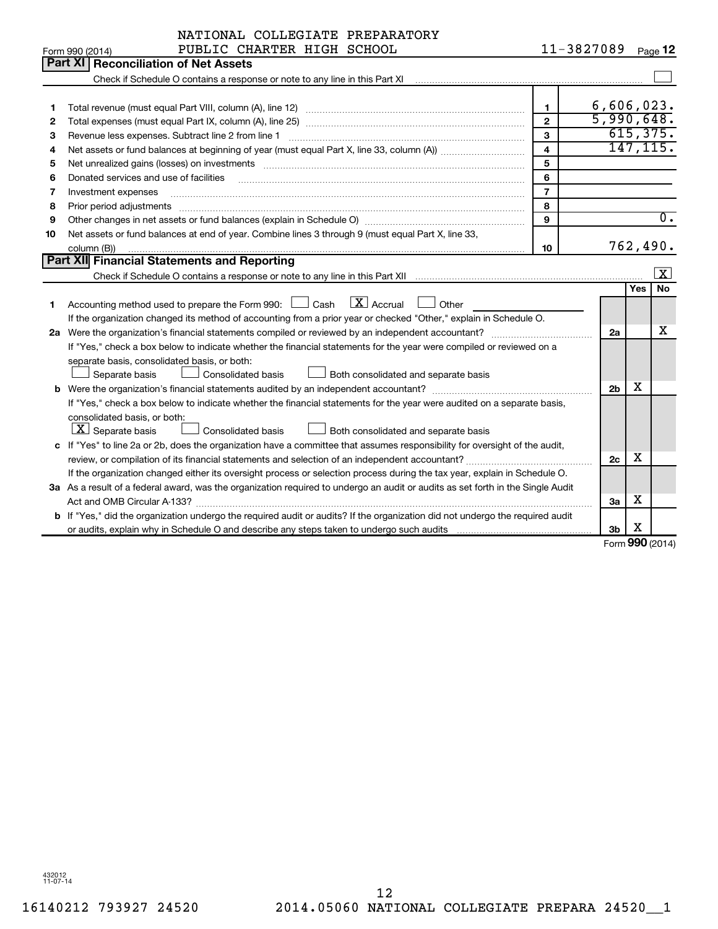|    | NATIONAL COLLEGIATE PREPARATORY                                                                                                 |                         |                |          |                         |
|----|---------------------------------------------------------------------------------------------------------------------------------|-------------------------|----------------|----------|-------------------------|
|    | PUBLIC CHARTER HIGH SCHOOL<br>Form 990 (2014)                                                                                   |                         | 11-3827089     |          | Page 12                 |
|    | Part XI Reconciliation of Net Assets                                                                                            |                         |                |          |                         |
|    |                                                                                                                                 |                         |                |          |                         |
|    |                                                                                                                                 |                         |                |          |                         |
| 1  |                                                                                                                                 | 1                       | 6,606,023.     |          |                         |
| 2  |                                                                                                                                 | $\mathbf{2}$            | 5,990,648.     |          |                         |
| 3  | Revenue less expenses. Subtract line 2 from line 1                                                                              | 3                       |                |          | 615, 375.               |
| 4  |                                                                                                                                 | $\overline{\mathbf{4}}$ |                |          | 147, 115.               |
| 5  | Net unrealized gains (losses) on investments [111] www.marting.com/marting.com/marting.com/marting.com/marting.                 | 5                       |                |          |                         |
| 6  | Donated services and use of facilities                                                                                          | 6                       |                |          |                         |
| 7  | Investment expenses                                                                                                             | $\overline{7}$          |                |          |                         |
| 8  | Prior period adjustments                                                                                                        | 8                       |                |          |                         |
| 9  |                                                                                                                                 | 9                       |                |          | $\overline{0}$ .        |
| 10 | Net assets or fund balances at end of year. Combine lines 3 through 9 (must equal Part X, line 33,                              |                         |                |          |                         |
|    | column (B))                                                                                                                     | 10                      |                |          | 762,490.                |
|    | Part XII Financial Statements and Reporting                                                                                     |                         |                |          |                         |
|    |                                                                                                                                 |                         |                |          | $\overline{\mathbf{x}}$ |
|    |                                                                                                                                 |                         |                | Yes      | No.                     |
| 1  | $\lfloor \mathbf{X} \rfloor$ Accrual<br>Accounting method used to prepare the Form 990: $\Box$ Cash<br>Other                    |                         |                |          |                         |
|    | If the organization changed its method of accounting from a prior year or checked "Other," explain in Schedule O.               |                         |                |          |                         |
|    | 2a Were the organization's financial statements compiled or reviewed by an independent accountant?                              |                         | 2a             |          | x                       |
|    | If "Yes," check a box below to indicate whether the financial statements for the year were compiled or reviewed on a            |                         |                |          |                         |
|    | separate basis, consolidated basis, or both:                                                                                    |                         |                |          |                         |
|    | Separate basis<br><b>Consolidated basis</b><br>Both consolidated and separate basis                                             |                         |                |          |                         |
|    |                                                                                                                                 |                         | 2 <sub>b</sub> | X        |                         |
|    | If "Yes," check a box below to indicate whether the financial statements for the year were audited on a separate basis,         |                         |                |          |                         |
|    | consolidated basis, or both:                                                                                                    |                         |                |          |                         |
|    | $ \mathbf{X} $ Separate basis<br>Consolidated basis<br>Both consolidated and separate basis                                     |                         |                |          |                         |
|    | c If "Yes" to line 2a or 2b, does the organization have a committee that assumes responsibility for oversight of the audit,     |                         |                |          |                         |
|    |                                                                                                                                 |                         | 2c             | х        |                         |
|    | If the organization changed either its oversight process or selection process during the tax year, explain in Schedule O.       |                         |                |          |                         |
|    | 3a As a result of a federal award, was the organization required to undergo an audit or audits as set forth in the Single Audit |                         |                |          |                         |
|    | Act and OMB Circular A-133?                                                                                                     |                         | 3a             | х        |                         |
|    | b If "Yes," did the organization undergo the required audit or audits? If the organization did not undergo the required audit   |                         |                |          |                         |
|    |                                                                                                                                 |                         | 3b             | х        |                         |
|    |                                                                                                                                 |                         |                | $\Omega$ |                         |

Form (2014) **990**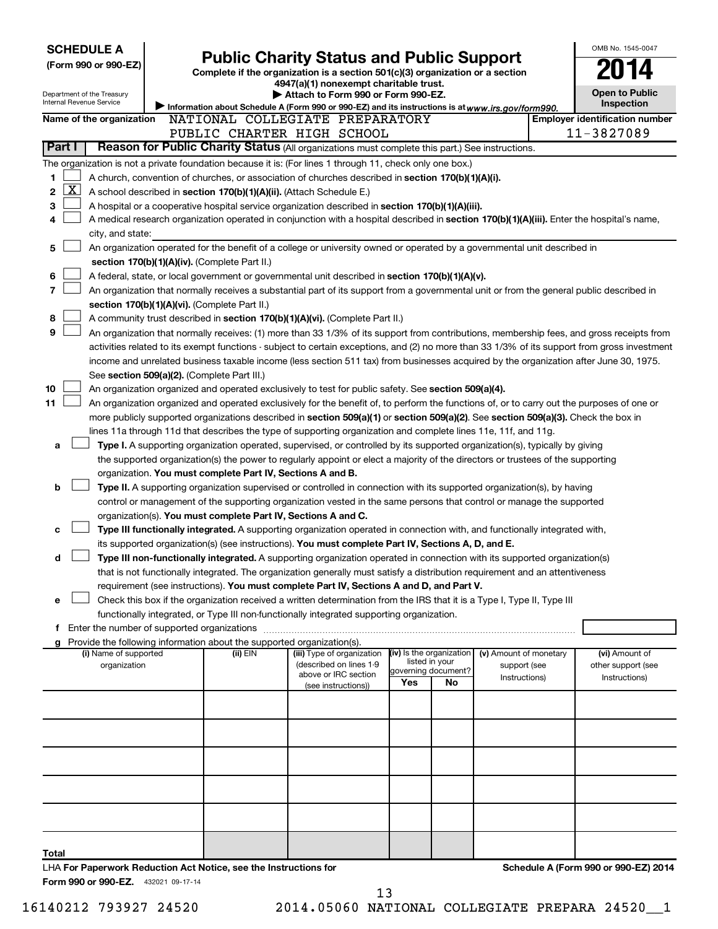| <b>Public Charity Status and Public Support</b><br>(Form 990 or 990-EZ)<br>Complete if the organization is a section 501(c)(3) organization or a section<br>4947(a)(1) nonexempt charitable trust.<br>Attach to Form 990 or Form 990-EZ.<br>Department of the Treasury | <b>Open to Public</b>               |  |  |  |  |  |  |  |  |  |
|------------------------------------------------------------------------------------------------------------------------------------------------------------------------------------------------------------------------------------------------------------------------|-------------------------------------|--|--|--|--|--|--|--|--|--|
| Internal Revenue Service<br>Information about Schedule A (Form 990 or 990-EZ) and its instructions is at www.irs.gov/form990.                                                                                                                                          | Inspection                          |  |  |  |  |  |  |  |  |  |
| <b>Employer identification number</b><br>Name of the organization<br>NATIONAL COLLEGIATE PREPARATORY                                                                                                                                                                   |                                     |  |  |  |  |  |  |  |  |  |
| 11-3827089<br>PUBLIC CHARTER HIGH SCHOOL                                                                                                                                                                                                                               |                                     |  |  |  |  |  |  |  |  |  |
| Reason for Public Charity Status (All organizations must complete this part.) See instructions.<br>Part I                                                                                                                                                              |                                     |  |  |  |  |  |  |  |  |  |
| The organization is not a private foundation because it is: (For lines 1 through 11, check only one box.)                                                                                                                                                              |                                     |  |  |  |  |  |  |  |  |  |
| A church, convention of churches, or association of churches described in section 170(b)(1)(A)(i).<br>1                                                                                                                                                                |                                     |  |  |  |  |  |  |  |  |  |
| <u>x</u><br>2<br>A school described in section 170(b)(1)(A)(ii). (Attach Schedule E.)                                                                                                                                                                                  |                                     |  |  |  |  |  |  |  |  |  |
| 3<br>A hospital or a cooperative hospital service organization described in section 170(b)(1)(A)(iii).                                                                                                                                                                 |                                     |  |  |  |  |  |  |  |  |  |
| A medical research organization operated in conjunction with a hospital described in section 170(b)(1)(A)(iii). Enter the hospital's name,<br>4                                                                                                                        |                                     |  |  |  |  |  |  |  |  |  |
| city, and state:<br>5<br>An organization operated for the benefit of a college or university owned or operated by a governmental unit described in                                                                                                                     |                                     |  |  |  |  |  |  |  |  |  |
| section 170(b)(1)(A)(iv). (Complete Part II.)                                                                                                                                                                                                                          |                                     |  |  |  |  |  |  |  |  |  |
| 6<br>A federal, state, or local government or governmental unit described in section 170(b)(1)(A)(v).                                                                                                                                                                  |                                     |  |  |  |  |  |  |  |  |  |
| 7<br>An organization that normally receives a substantial part of its support from a governmental unit or from the general public described in                                                                                                                         |                                     |  |  |  |  |  |  |  |  |  |
| section 170(b)(1)(A)(vi). (Complete Part II.)                                                                                                                                                                                                                          |                                     |  |  |  |  |  |  |  |  |  |
| 8<br>A community trust described in section 170(b)(1)(A)(vi). (Complete Part II.)                                                                                                                                                                                      |                                     |  |  |  |  |  |  |  |  |  |
| 9<br>An organization that normally receives: (1) more than 33 1/3% of its support from contributions, membership fees, and gross receipts from                                                                                                                         |                                     |  |  |  |  |  |  |  |  |  |
| activities related to its exempt functions - subject to certain exceptions, and (2) no more than 33 1/3% of its support from gross investment                                                                                                                          |                                     |  |  |  |  |  |  |  |  |  |
| income and unrelated business taxable income (less section 511 tax) from businesses acquired by the organization after June 30, 1975.                                                                                                                                  |                                     |  |  |  |  |  |  |  |  |  |
| See section 509(a)(2). (Complete Part III.)                                                                                                                                                                                                                            |                                     |  |  |  |  |  |  |  |  |  |
| 10<br>An organization organized and operated exclusively to test for public safety. See section 509(a)(4).                                                                                                                                                             |                                     |  |  |  |  |  |  |  |  |  |
| 11<br>An organization organized and operated exclusively for the benefit of, to perform the functions of, or to carry out the purposes of one or                                                                                                                       |                                     |  |  |  |  |  |  |  |  |  |
| more publicly supported organizations described in section 509(a)(1) or section 509(a)(2). See section 509(a)(3). Check the box in                                                                                                                                     |                                     |  |  |  |  |  |  |  |  |  |
| lines 11a through 11d that describes the type of supporting organization and complete lines 11e, 11f, and 11g.                                                                                                                                                         |                                     |  |  |  |  |  |  |  |  |  |
| Type I. A supporting organization operated, supervised, or controlled by its supported organization(s), typically by giving<br>a                                                                                                                                       |                                     |  |  |  |  |  |  |  |  |  |
| the supported organization(s) the power to regularly appoint or elect a majority of the directors or trustees of the supporting                                                                                                                                        |                                     |  |  |  |  |  |  |  |  |  |
| organization. You must complete Part IV, Sections A and B.                                                                                                                                                                                                             |                                     |  |  |  |  |  |  |  |  |  |
| b<br>Type II. A supporting organization supervised or controlled in connection with its supported organization(s), by having                                                                                                                                           |                                     |  |  |  |  |  |  |  |  |  |
| control or management of the supporting organization vested in the same persons that control or manage the supported                                                                                                                                                   |                                     |  |  |  |  |  |  |  |  |  |
| organization(s). You must complete Part IV, Sections A and C.<br>Type III functionally integrated. A supporting organization operated in connection with, and functionally integrated with,<br>c                                                                       |                                     |  |  |  |  |  |  |  |  |  |
| its supported organization(s) (see instructions). You must complete Part IV, Sections A, D, and E.                                                                                                                                                                     |                                     |  |  |  |  |  |  |  |  |  |
| Type III non-functionally integrated. A supporting organization operated in connection with its supported organization(s)<br>d                                                                                                                                         |                                     |  |  |  |  |  |  |  |  |  |
| that is not functionally integrated. The organization generally must satisfy a distribution requirement and an attentiveness                                                                                                                                           |                                     |  |  |  |  |  |  |  |  |  |
| requirement (see instructions). You must complete Part IV, Sections A and D, and Part V.                                                                                                                                                                               |                                     |  |  |  |  |  |  |  |  |  |
| Check this box if the organization received a written determination from the IRS that it is a Type I, Type II, Type III<br>e                                                                                                                                           |                                     |  |  |  |  |  |  |  |  |  |
| functionally integrated, or Type III non-functionally integrated supporting organization.                                                                                                                                                                              |                                     |  |  |  |  |  |  |  |  |  |
| f Enter the number of supported organizations                                                                                                                                                                                                                          |                                     |  |  |  |  |  |  |  |  |  |
| g Provide the following information about the supported organization(s).                                                                                                                                                                                               |                                     |  |  |  |  |  |  |  |  |  |
| (iv) Is the organization<br>(i) Name of supported<br>(ii) EIN<br>(iii) Type of organization<br>(v) Amount of monetary<br>listed in your<br>(described on lines 1-9                                                                                                     | (vi) Amount of                      |  |  |  |  |  |  |  |  |  |
| support (see<br>organization<br>governing document?<br>above or IRC section<br>Instructions)                                                                                                                                                                           | other support (see<br>Instructions) |  |  |  |  |  |  |  |  |  |
| Yes<br>No<br>(see instructions))                                                                                                                                                                                                                                       |                                     |  |  |  |  |  |  |  |  |  |
|                                                                                                                                                                                                                                                                        |                                     |  |  |  |  |  |  |  |  |  |
|                                                                                                                                                                                                                                                                        |                                     |  |  |  |  |  |  |  |  |  |
|                                                                                                                                                                                                                                                                        |                                     |  |  |  |  |  |  |  |  |  |
|                                                                                                                                                                                                                                                                        |                                     |  |  |  |  |  |  |  |  |  |
|                                                                                                                                                                                                                                                                        |                                     |  |  |  |  |  |  |  |  |  |
|                                                                                                                                                                                                                                                                        |                                     |  |  |  |  |  |  |  |  |  |
|                                                                                                                                                                                                                                                                        |                                     |  |  |  |  |  |  |  |  |  |
|                                                                                                                                                                                                                                                                        |                                     |  |  |  |  |  |  |  |  |  |
|                                                                                                                                                                                                                                                                        |                                     |  |  |  |  |  |  |  |  |  |
|                                                                                                                                                                                                                                                                        |                                     |  |  |  |  |  |  |  |  |  |
|                                                                                                                                                                                                                                                                        |                                     |  |  |  |  |  |  |  |  |  |
| Total                                                                                                                                                                                                                                                                  |                                     |  |  |  |  |  |  |  |  |  |

16140212 793927 24520 2014.05060 NATIONAL COLLEGIATE PREPARA 24520\_\_1 13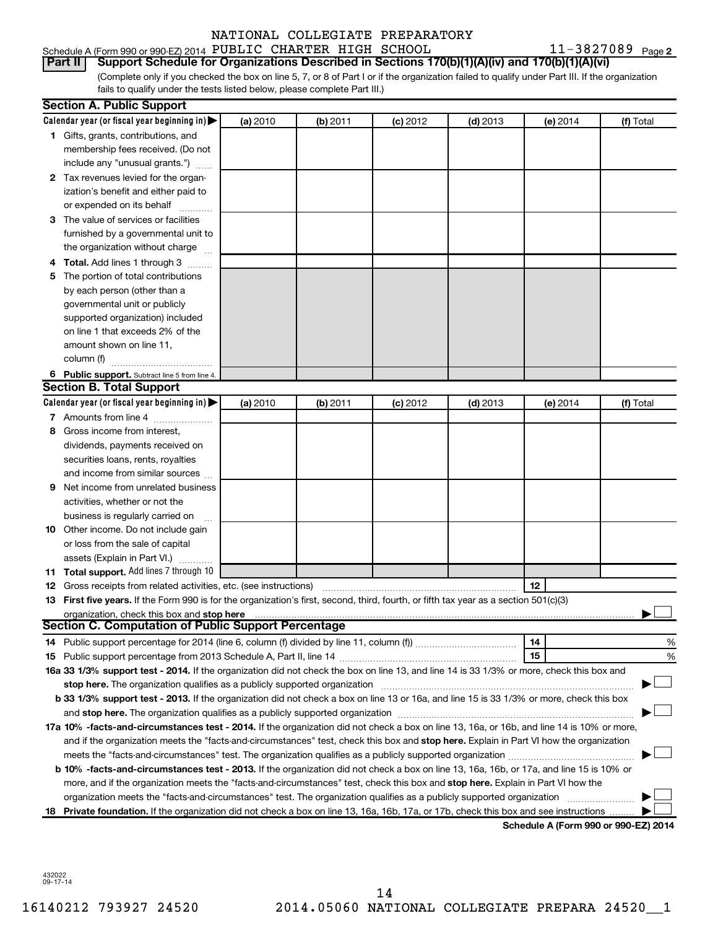Schedule A (Form 990 or 990-EZ) 2014 PUBLIC CHARTER HIGH SCHOOL  $11-3827089$  Page

(Complete only if you checked the box on line 5, 7, or 8 of Part I or if the organization failed to qualify under Part III. If the organization **Part II Support Schedule for Organizations Described in Sections 170(b)(1)(A)(iv) and 170(b)(1)(A)(vi)**

fails to qualify under the tests listed below, please complete Part III.)

|     | <b>Section A. Public Support</b>                                                                                                                                                                                              |          |          |            |            |            |                                      |
|-----|-------------------------------------------------------------------------------------------------------------------------------------------------------------------------------------------------------------------------------|----------|----------|------------|------------|------------|--------------------------------------|
|     | Calendar year (or fiscal year beginning in)                                                                                                                                                                                   | (a) 2010 | (b) 2011 | $(c)$ 2012 | $(d)$ 2013 | (e) 2014   | (f) Total                            |
|     | 1 Gifts, grants, contributions, and                                                                                                                                                                                           |          |          |            |            |            |                                      |
|     | membership fees received. (Do not                                                                                                                                                                                             |          |          |            |            |            |                                      |
|     | include any "unusual grants.")                                                                                                                                                                                                |          |          |            |            |            |                                      |
|     | 2 Tax revenues levied for the organ-                                                                                                                                                                                          |          |          |            |            |            |                                      |
|     | ization's benefit and either paid to                                                                                                                                                                                          |          |          |            |            |            |                                      |
|     | or expended on its behalf                                                                                                                                                                                                     |          |          |            |            |            |                                      |
|     | 3 The value of services or facilities                                                                                                                                                                                         |          |          |            |            |            |                                      |
|     | furnished by a governmental unit to                                                                                                                                                                                           |          |          |            |            |            |                                      |
|     | the organization without charge                                                                                                                                                                                               |          |          |            |            |            |                                      |
| 4   | Total. Add lines 1 through 3                                                                                                                                                                                                  |          |          |            |            |            |                                      |
| 5   | The portion of total contributions                                                                                                                                                                                            |          |          |            |            |            |                                      |
|     | by each person (other than a                                                                                                                                                                                                  |          |          |            |            |            |                                      |
|     | governmental unit or publicly                                                                                                                                                                                                 |          |          |            |            |            |                                      |
|     | supported organization) included                                                                                                                                                                                              |          |          |            |            |            |                                      |
|     | on line 1 that exceeds 2% of the                                                                                                                                                                                              |          |          |            |            |            |                                      |
|     | amount shown on line 11,                                                                                                                                                                                                      |          |          |            |            |            |                                      |
|     | column (f)                                                                                                                                                                                                                    |          |          |            |            |            |                                      |
|     | 6 Public support. Subtract line 5 from line 4.                                                                                                                                                                                |          |          |            |            |            |                                      |
|     | <b>Section B. Total Support</b>                                                                                                                                                                                               |          |          |            |            |            |                                      |
|     | Calendar year (or fiscal year beginning in)                                                                                                                                                                                   | (a) 2010 | (b) 2011 | $(c)$ 2012 | $(d)$ 2013 | $(e)$ 2014 | (f) Total                            |
|     | 7 Amounts from line 4                                                                                                                                                                                                         |          |          |            |            |            |                                      |
| 8   | Gross income from interest,                                                                                                                                                                                                   |          |          |            |            |            |                                      |
|     | dividends, payments received on                                                                                                                                                                                               |          |          |            |            |            |                                      |
|     | securities loans, rents, royalties                                                                                                                                                                                            |          |          |            |            |            |                                      |
|     | and income from similar sources                                                                                                                                                                                               |          |          |            |            |            |                                      |
| 9   | Net income from unrelated business                                                                                                                                                                                            |          |          |            |            |            |                                      |
|     | activities, whether or not the                                                                                                                                                                                                |          |          |            |            |            |                                      |
|     | business is regularly carried on                                                                                                                                                                                              |          |          |            |            |            |                                      |
| 10  | Other income. Do not include gain                                                                                                                                                                                             |          |          |            |            |            |                                      |
|     | or loss from the sale of capital                                                                                                                                                                                              |          |          |            |            |            |                                      |
|     | assets (Explain in Part VI.)                                                                                                                                                                                                  |          |          |            |            |            |                                      |
|     | <b>11 Total support.</b> Add lines 7 through 10                                                                                                                                                                               |          |          |            |            |            |                                      |
|     | <b>12</b> Gross receipts from related activities, etc. (see instructions)                                                                                                                                                     |          |          |            |            | 12         |                                      |
|     | 13 First five years. If the Form 990 is for the organization's first, second, third, fourth, or fifth tax year as a section 501(c)(3)                                                                                         |          |          |            |            |            |                                      |
|     |                                                                                                                                                                                                                               |          |          |            |            |            |                                      |
|     | <b>Section C. Computation of Public Support Percentage</b>                                                                                                                                                                    |          |          |            |            |            |                                      |
|     |                                                                                                                                                                                                                               |          |          |            |            | 14         | %                                    |
|     |                                                                                                                                                                                                                               |          |          |            |            | 15         | %                                    |
|     | 16a 33 1/3% support test - 2014. If the organization did not check the box on line 13, and line 14 is 33 1/3% or more, check this box and                                                                                     |          |          |            |            |            |                                      |
|     | stop here. The organization qualifies as a publicly supported organization manufaction manufacture or manufacture manufacture manufacture manufacture manufacture manufacture manufacture manufacture manufacture manufacture |          |          |            |            |            |                                      |
|     | b 33 1/3% support test - 2013. If the organization did not check a box on line 13 or 16a, and line 15 is 33 1/3% or more, check this box                                                                                      |          |          |            |            |            |                                      |
|     |                                                                                                                                                                                                                               |          |          |            |            |            |                                      |
|     | 17a 10% -facts-and-circumstances test - 2014. If the organization did not check a box on line 13, 16a, or 16b, and line 14 is 10% or more,                                                                                    |          |          |            |            |            |                                      |
|     | and if the organization meets the "facts-and-circumstances" test, check this box and stop here. Explain in Part VI how the organization                                                                                       |          |          |            |            |            |                                      |
|     |                                                                                                                                                                                                                               |          |          |            |            |            |                                      |
|     | b 10% -facts-and-circumstances test - 2013. If the organization did not check a box on line 13, 16a, 16b, or 17a, and line 15 is 10% or                                                                                       |          |          |            |            |            |                                      |
|     | more, and if the organization meets the "facts-and-circumstances" test, check this box and stop here. Explain in Part VI how the                                                                                              |          |          |            |            |            |                                      |
|     | organization meets the "facts-and-circumstances" test. The organization qualifies as a publicly supported organization                                                                                                        |          |          |            |            |            |                                      |
| 18. | Private foundation. If the organization did not check a box on line 13, 16a, 16b, 17a, or 17b, check this box and see instructions                                                                                            |          |          |            |            |            |                                      |
|     |                                                                                                                                                                                                                               |          |          |            |            |            | Schedule A (Form 990 or 990-EZ) 2014 |

432022 09-17-14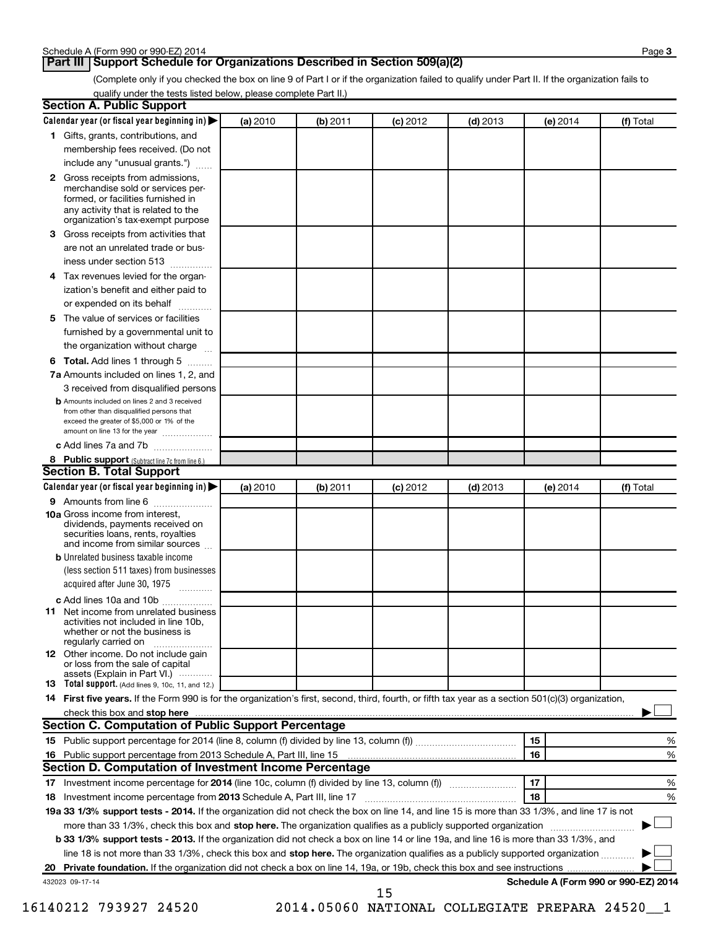### **Part III Support Schedule for Organizations Described in Section 509(a)(2)**

(Complete only if you checked the box on line 9 of Part I or if the organization failed to qualify under Part II. If the organization fails to qualify under the tests listed below, please complete Part II.)

| <b>Section A. Public Support</b>                                                                                                                                                         |          |          |            |            |                                      |           |
|------------------------------------------------------------------------------------------------------------------------------------------------------------------------------------------|----------|----------|------------|------------|--------------------------------------|-----------|
| Calendar year (or fiscal year beginning in)                                                                                                                                              | (a) 2010 | (b) 2011 | $(c)$ 2012 | $(d)$ 2013 | (e) 2014                             | (f) Total |
| 1 Gifts, grants, contributions, and                                                                                                                                                      |          |          |            |            |                                      |           |
| membership fees received. (Do not                                                                                                                                                        |          |          |            |            |                                      |           |
| include any "unusual grants.")                                                                                                                                                           |          |          |            |            |                                      |           |
| 2 Gross receipts from admissions,<br>merchandise sold or services per-<br>formed, or facilities furnished in<br>any activity that is related to the<br>organization's tax-exempt purpose |          |          |            |            |                                      |           |
| 3 Gross receipts from activities that                                                                                                                                                    |          |          |            |            |                                      |           |
| are not an unrelated trade or bus-                                                                                                                                                       |          |          |            |            |                                      |           |
| iness under section 513                                                                                                                                                                  |          |          |            |            |                                      |           |
| 4 Tax revenues levied for the organ-                                                                                                                                                     |          |          |            |            |                                      |           |
| ization's benefit and either paid to                                                                                                                                                     |          |          |            |            |                                      |           |
| or expended on its behalf<br>.                                                                                                                                                           |          |          |            |            |                                      |           |
| 5 The value of services or facilities                                                                                                                                                    |          |          |            |            |                                      |           |
| furnished by a governmental unit to                                                                                                                                                      |          |          |            |            |                                      |           |
| the organization without charge                                                                                                                                                          |          |          |            |            |                                      |           |
| 6 Total. Add lines 1 through 5                                                                                                                                                           |          |          |            |            |                                      |           |
| 7a Amounts included on lines 1, 2, and                                                                                                                                                   |          |          |            |            |                                      |           |
| 3 received from disqualified persons                                                                                                                                                     |          |          |            |            |                                      |           |
| <b>b</b> Amounts included on lines 2 and 3 received<br>from other than disqualified persons that<br>exceed the greater of \$5,000 or 1% of the<br>amount on line 13 for the year         |          |          |            |            |                                      |           |
| c Add lines 7a and 7b                                                                                                                                                                    |          |          |            |            |                                      |           |
| 8 Public support (Subtract line 7c from line 6.)                                                                                                                                         |          |          |            |            |                                      |           |
| <b>Section B. Total Support</b>                                                                                                                                                          |          |          |            |            |                                      |           |
| Calendar year (or fiscal year beginning in)                                                                                                                                              | (a) 2010 | (b) 2011 | $(c)$ 2012 | $(d)$ 2013 | (e) 2014                             | (f) Total |
| 9 Amounts from line 6                                                                                                                                                                    |          |          |            |            |                                      |           |
| <b>10a</b> Gross income from interest,<br>dividends, payments received on<br>securities loans, rents, royalties<br>and income from similar sources                                       |          |          |            |            |                                      |           |
| <b>b</b> Unrelated business taxable income<br>(less section 511 taxes) from businesses                                                                                                   |          |          |            |            |                                      |           |
| acquired after June 30, 1975<br>$\overline{\phantom{a}}$                                                                                                                                 |          |          |            |            |                                      |           |
| c Add lines 10a and 10b                                                                                                                                                                  |          |          |            |            |                                      |           |
| <b>11</b> Net income from unrelated business<br>activities not included in line 10b.<br>whether or not the business is<br>regularly carried on                                           |          |          |            |            |                                      |           |
| 12 Other income. Do not include gain<br>or loss from the sale of capital<br>assets (Explain in Part VI.)                                                                                 |          |          |            |            |                                      |           |
| <b>13</b> Total support. (Add lines 9, 10c, 11, and 12.)                                                                                                                                 |          |          |            |            |                                      |           |
| 14 First five years. If the Form 990 is for the organization's first, second, third, fourth, or fifth tax year as a section 501(c)(3) organization,                                      |          |          |            |            |                                      |           |
| check this box and stop here                                                                                                                                                             |          |          |            |            |                                      |           |
| <b>Section C. Computation of Public Support Percentage</b>                                                                                                                               |          |          |            |            |                                      |           |
|                                                                                                                                                                                          |          |          |            |            | 15                                   | %         |
|                                                                                                                                                                                          |          |          |            |            | 16                                   | %         |
| Section D. Computation of Investment Income Percentage                                                                                                                                   |          |          |            |            |                                      |           |
|                                                                                                                                                                                          |          |          |            |            | 17                                   | %         |
| 18 Investment income percentage from 2013 Schedule A, Part III, line 17                                                                                                                  |          |          |            |            | 18                                   | %         |
| 19a 33 1/3% support tests - 2014. If the organization did not check the box on line 14, and line 15 is more than 33 1/3%, and line 17 is not                                             |          |          |            |            |                                      |           |
| more than 33 1/3%, check this box and stop here. The organization qualifies as a publicly supported organization                                                                         |          |          |            |            |                                      |           |
| b 33 1/3% support tests - 2013. If the organization did not check a box on line 14 or line 19a, and line 16 is more than 33 1/3%, and                                                    |          |          |            |            |                                      |           |
| line 18 is not more than 33 1/3%, check this box and stop here. The organization qualifies as a publicly supported organization                                                          |          |          |            |            |                                      |           |
| 432023 09-17-14                                                                                                                                                                          |          |          | 15         |            | Schedule A (Form 990 or 990-EZ) 2014 |           |
|                                                                                                                                                                                          |          |          |            |            |                                      |           |

16140212 793927 24520 2014.05060 NATIONAL COLLEGIATE PREPARA 24520\_\_1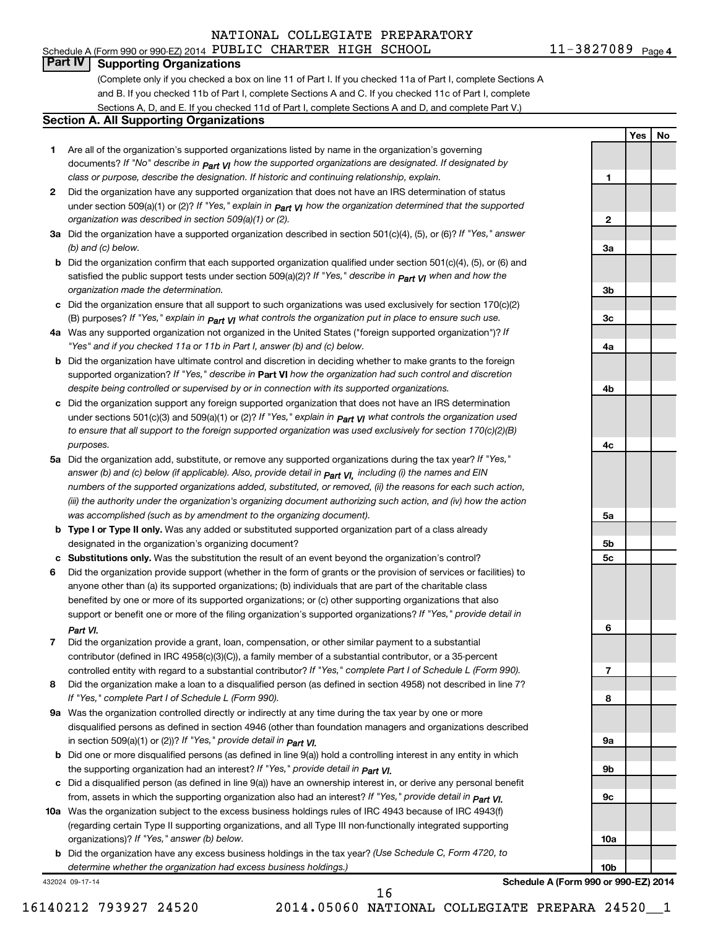**1**

**Yes No**

### **Part IV Supporting Organizations**

(Complete only if you checked a box on line 11 of Part I. If you checked 11a of Part I, complete Sections A and B. If you checked 11b of Part I, complete Sections A and C. If you checked 11c of Part I, complete Sections A, D, and E. If you checked 11d of Part I, complete Sections A and D, and complete Part V.)

#### **Section A. All Supporting Organizations**

- **1** Are all of the organization's supported organizations listed by name in the organization's governing documents? If "No" describe in  $_{\mathsf{Part}}$   $_{\mathsf{V}}$  how the supported organizations are designated. If designated by *class or purpose, describe the designation. If historic and continuing relationship, explain.*
- **2** Did the organization have any supported organization that does not have an IRS determination of status under section 509(a)(1) or (2)? If "Yes," explain in  $_{\sf Part}$   $_{\sf VI}$  how the organization determined that the supported *organization was described in section 509(a)(1) or (2).*
- **3a** Did the organization have a supported organization described in section 501(c)(4), (5), or (6)? If "Yes," answer *(b) and (c) below.*
- **b** Did the organization confirm that each supported organization qualified under section 501(c)(4), (5), or (6) and satisfied the public support tests under section 509(a)(2)? If "Yes," describe in  $_{\rm Part}$   $_{\rm VI}$  when and how the *organization made the determination.*
- **c** Did the organization ensure that all support to such organizations was used exclusively for section 170(c)(2) (B) purposes? If "Yes," explain in  $_{\mathsf{Part}}$   $_{\mathsf{V}}$  what controls the organization put in place to ensure such use.
- **4 a** *If* Was any supported organization not organized in the United States ("foreign supported organization")? *"Yes" and if you checked 11a or 11b in Part I, answer (b) and (c) below.*
- **b** Did the organization have ultimate control and discretion in deciding whether to make grants to the foreign supported organization? If "Yes," describe in Part VI how the organization had such control and discretion *despite being controlled or supervised by or in connection with its supported organizations.*
- **c** Did the organization support any foreign supported organization that does not have an IRS determination under sections 501(c)(3) and 509(a)(1) or (2)? If "Yes," ex*plain in*  $_{\sf Part}$  *v*J what controls the organization used *to ensure that all support to the foreign supported organization was used exclusively for section 170(c)(2)(B) purposes.*
- **5a** Did the organization add, substitute, or remove any supported organizations during the tax year? If "Yes," answer (b) and (c) below (if applicable). Also, provide detail in  $_{\mathsf{Part}}$   $_{\mathsf{V{\mathsf{I}}}}$ , including (i) the names and EIN *numbers of the supported organizations added, substituted, or removed, (ii) the reasons for each such action, (iii) the authority under the organization's organizing document authorizing such action, and (iv) how the action was accomplished (such as by amendment to the organizing document).*
- **b** Type I or Type II only. Was any added or substituted supported organization part of a class already designated in the organization's organizing document?
- **c Substitutions only.**  Was the substitution the result of an event beyond the organization's control?
- **6** Did the organization provide support (whether in the form of grants or the provision of services or facilities) to support or benefit one or more of the filing organization's supported organizations? If "Yes," provide detail in anyone other than (a) its supported organizations; (b) individuals that are part of the charitable class benefited by one or more of its supported organizations; or (c) other supporting organizations that also *Part VI.*
- **7** Did the organization provide a grant, loan, compensation, or other similar payment to a substantial controlled entity with regard to a substantial contributor? If "Yes," complete Part I of Schedule L (Form 990). contributor (defined in IRC 4958(c)(3)(C)), a family member of a substantial contributor, or a 35-percent
- **8** Did the organization make a loan to a disqualified person (as defined in section 4958) not described in line 7? *If "Yes," complete Part I of Schedule L (Form 990).*
- **9 a** Was the organization controlled directly or indirectly at any time during the tax year by one or more *If "Yes," provide detail in*  in section 509(a)(1) or (2))? *Part VI.* disqualified persons as defined in section 4946 (other than foundation managers and organizations described
- **b** Did one or more disqualified persons (as defined in line 9(a)) hold a controlling interest in any entity in which  *If "Yes," provide detail in*  the supporting organization had an interest? *Part VI.*
- **c** Did a disqualified person (as defined in line 9(a)) have an ownership interest in, or derive any personal benefit from, assets in which the supporting organization also had an interest? If "Yes," *provide detail in Part VI.*
- **10 a** Was the organization subject to the excess business holdings rules of IRC 4943 because of IRC 4943(f)  *If "Yes," answer (b) below.* organizations)? (regarding certain Type II supporting organizations, and all Type III non-functionally integrated supporting
	- **b** Did the organization have any excess business holdings in the tax year? (Use Schedule C, Form 4720, to *determine whether the organization had excess business holdings.)*

432024 09-17-14

**Schedule A (Form 990 or 990-EZ) 2014**

16

**2 3a 3b 3c 4a 4b 4c 5a 5b 5c 6 7 8 9a 9b 9c 10a 10b**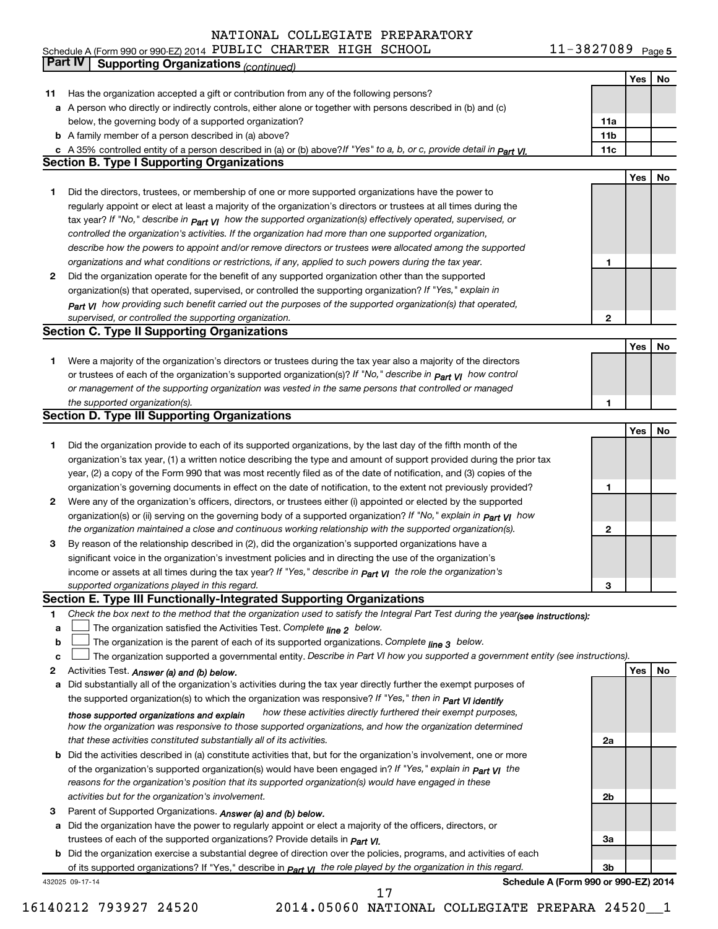11-3827089 Page 5 Schedule A (Form 990 or 990-EZ) 2014 Page PUBLIC CHARTER HIGH SCHOOL 11-3827089

|    | Part IV<br><b>Supporting Organizations (continued)</b>                                                                           |                 |     |    |
|----|----------------------------------------------------------------------------------------------------------------------------------|-----------------|-----|----|
|    |                                                                                                                                  |                 | Yes | No |
| 11 | Has the organization accepted a gift or contribution from any of the following persons?                                          |                 |     |    |
|    | a A person who directly or indirectly controls, either alone or together with persons described in (b) and (c)                   |                 |     |    |
|    | below, the governing body of a supported organization?                                                                           | 11a             |     |    |
|    | <b>b</b> A family member of a person described in (a) above?                                                                     | 11 <sub>b</sub> |     |    |
|    |                                                                                                                                  | 11c             |     |    |
|    | c A 35% controlled entity of a person described in (a) or (b) above? If "Yes" to a, b, or c, provide detail in part VI.          |                 |     |    |
|    | <b>Section B. Type I Supporting Organizations</b>                                                                                |                 |     |    |
|    |                                                                                                                                  |                 | Yes | No |
| 1  | Did the directors, trustees, or membership of one or more supported organizations have the power to                              |                 |     |    |
|    | regularly appoint or elect at least a majority of the organization's directors or trustees at all times during the               |                 |     |    |
|    | tax year? If "No," describe in $p_{art}$ VI how the supported organization(s) effectively operated, supervised, or               |                 |     |    |
|    | controlled the organization's activities. If the organization had more than one supported organization,                          |                 |     |    |
|    | describe how the powers to appoint and/or remove directors or trustees were allocated among the supported                        |                 |     |    |
|    | organizations and what conditions or restrictions, if any, applied to such powers during the tax year.                           | 1               |     |    |
| 2  | Did the organization operate for the benefit of any supported organization other than the supported                              |                 |     |    |
|    | organization(s) that operated, supervised, or controlled the supporting organization? If "Yes," explain in                       |                 |     |    |
|    | $_{Part}$ v <sub>I</sub> how providing such benefit carried out the purposes of the supported organization(s) that operated,     |                 |     |    |
|    | supervised, or controlled the supporting organization.                                                                           | $\mathbf{2}$    |     |    |
|    | <b>Section C. Type II Supporting Organizations</b>                                                                               |                 |     |    |
|    |                                                                                                                                  |                 | Yes | No |
| 1  | Were a majority of the organization's directors or trustees during the tax year also a majority of the directors                 |                 |     |    |
|    | or trustees of each of the organization's supported organization(s)? If "No," describe in <b>Part VI</b> how control             |                 |     |    |
|    | or management of the supporting organization was vested in the same persons that controlled or managed                           |                 |     |    |
|    |                                                                                                                                  |                 |     |    |
|    | the supported organization(s).                                                                                                   | 1               |     |    |
|    | <b>Section D. Type III Supporting Organizations</b>                                                                              |                 |     |    |
|    |                                                                                                                                  |                 | Yes | No |
| 1  | Did the organization provide to each of its supported organizations, by the last day of the fifth month of the                   |                 |     |    |
|    | organization's tax year, (1) a written notice describing the type and amount of support provided during the prior tax            |                 |     |    |
|    | year, (2) a copy of the Form 990 that was most recently filed as of the date of notification, and (3) copies of the              |                 |     |    |
|    | organization's governing documents in effect on the date of notification, to the extent not previously provided?                 | 1               |     |    |
| 2  | Were any of the organization's officers, directors, or trustees either (i) appointed or elected by the supported                 |                 |     |    |
|    | organization(s) or (ii) serving on the governing body of a supported organization? If "No," explain in part VI how               |                 |     |    |
|    | the organization maintained a close and continuous working relationship with the supported organization(s).                      | 2               |     |    |
| 3  | By reason of the relationship described in (2), did the organization's supported organizations have a                            |                 |     |    |
|    | significant voice in the organization's investment policies and in directing the use of the organization's                       |                 |     |    |
|    | income or assets at all times during the tax year? If "Yes," describe in $P_{\text{art } VI}$ the role the organization's        |                 |     |    |
|    | supported organizations played in this regard.                                                                                   | 3               |     |    |
|    | Section E. Type III Functionally-Integrated Supporting Organizations                                                             |                 |     |    |
| 1  | Check the box next to the method that the organization used to satisfy the Integral Part Test during the year(see instructions): |                 |     |    |
| a  | The organization satisfied the Activities Test. Complete line 2 below.                                                           |                 |     |    |
| b  | The organization is the parent of each of its supported organizations. Complete $_{\text{line 3}}$ below.                        |                 |     |    |
| c  | The organization supported a governmental entity. Describe in Part VI how you supported a government entity (see instructions).  |                 |     |    |
| 2  |                                                                                                                                  |                 | Yes | No |
|    | Activities Test. Answer (a) and (b) below.                                                                                       |                 |     |    |
| а  | Did substantially all of the organization's activities during the tax year directly further the exempt purposes of               |                 |     |    |
|    | the supported organization(s) to which the organization was responsive? If "Yes," then in Part VI identify                       |                 |     |    |
|    | how these activities directly furthered their exempt purposes,<br>those supported organizations and explain                      |                 |     |    |
|    | how the organization was responsive to those supported organizations, and how the organization determined                        |                 |     |    |
|    | that these activities constituted substantially all of its activities.                                                           | 2a              |     |    |
|    | <b>b</b> Did the activities described in (a) constitute activities that, but for the organization's involvement, one or more     |                 |     |    |
|    | of the organization's supported organization(s) would have been engaged in? If "Yes," explain in <b>Part VI</b> the              |                 |     |    |
|    | reasons for the organization's position that its supported organization(s) would have engaged in these                           |                 |     |    |
|    | activities but for the organization's involvement.                                                                               | 2b              |     |    |
| з  | Parent of Supported Organizations. Answer (a) and (b) below.                                                                     |                 |     |    |
| а  | Did the organization have the power to regularly appoint or elect a majority of the officers, directors, or                      |                 |     |    |
|    | trustees of each of the supported organizations? Provide details in <i>Part VI.</i>                                              | За              |     |    |
|    | <b>b</b> Did the organization exercise a substantial degree of direction over the policies, programs, and activities of each     |                 |     |    |
|    | of its supported organizations? If "Yes," describe in $P_{\text{art}}$ VI the role played by the organization in this regard.    | 3b              |     |    |
|    | Schedule A (Form 990 or 990-EZ) 2014<br>432025 09-17-14                                                                          |                 |     |    |

16140212 793927 24520 2014.05060 NATIONAL COLLEGIATE PREPARA 24520\_\_1

17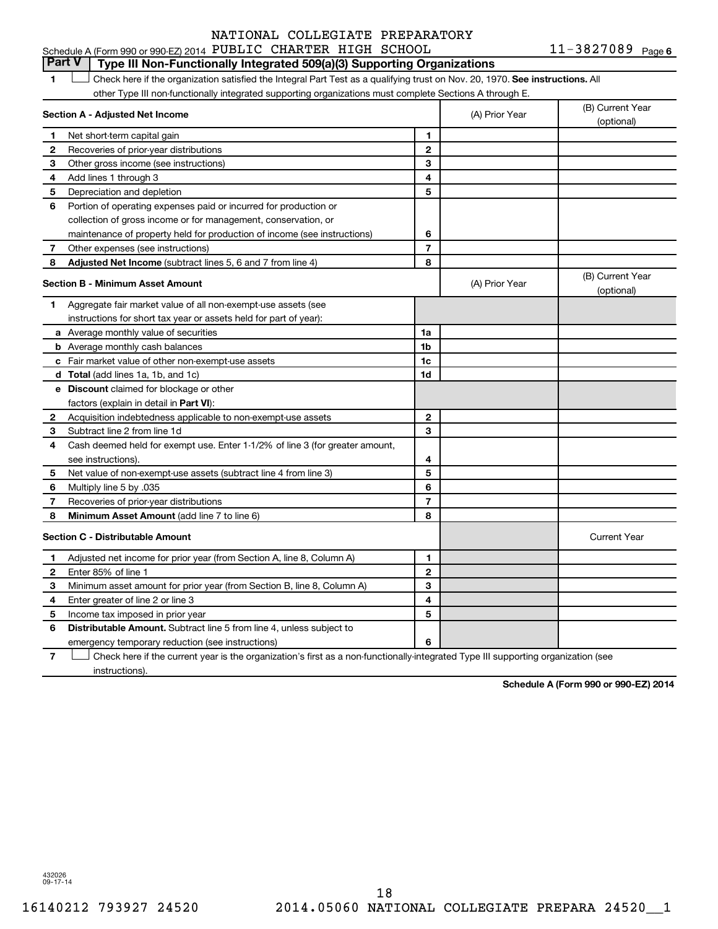11-3827089 Page 6 Schedule A (Form 990 or 990-EZ) 2014 PUBLIC CHARTER HIGH SCHOOL  $11-3827089$  Page

### **Part V Type III Non-Functionally Integrated 509(a)(3) Supporting Organizations**

1 **Letter on Reck here if the organization satisfied the Integral Part Test as a qualifying trust on Nov. 20, 1970. See instructions. All** other Type III non-functionally integrated supporting organizations must complete Sections A through E.

|              | Section A - Adjusted Net Income                                              |                | (A) Prior Year | (B) Current Year<br>(optional) |
|--------------|------------------------------------------------------------------------------|----------------|----------------|--------------------------------|
| 1            | Net short-term capital gain                                                  | 1              |                |                                |
| 2            | Recoveries of prior-year distributions                                       | $\overline{2}$ |                |                                |
| 3            | Other gross income (see instructions)                                        | 3              |                |                                |
| 4            | Add lines 1 through 3                                                        | 4              |                |                                |
| 5            | Depreciation and depletion                                                   | 5              |                |                                |
| 6            | Portion of operating expenses paid or incurred for production or             |                |                |                                |
|              | collection of gross income or for management, conservation, or               |                |                |                                |
|              | maintenance of property held for production of income (see instructions)     | 6              |                |                                |
| 7            | Other expenses (see instructions)                                            | $\overline{7}$ |                |                                |
| 8            | Adjusted Net Income (subtract lines 5, 6 and 7 from line 4)                  | 8              |                |                                |
|              | <b>Section B - Minimum Asset Amount</b>                                      |                | (A) Prior Year | (B) Current Year<br>(optional) |
| 1            | Aggregate fair market value of all non-exempt-use assets (see                |                |                |                                |
|              | instructions for short tax year or assets held for part of year):            |                |                |                                |
|              | a Average monthly value of securities                                        | 1a             |                |                                |
|              | <b>b</b> Average monthly cash balances                                       | 1b             |                |                                |
|              | c Fair market value of other non-exempt-use assets                           | 1c             |                |                                |
|              | <b>d</b> Total (add lines 1a, 1b, and 1c)                                    | 1d             |                |                                |
|              | e Discount claimed for blockage or other                                     |                |                |                                |
|              | factors (explain in detail in Part VI):                                      |                |                |                                |
| 2            | Acquisition indebtedness applicable to non-exempt-use assets                 | $\mathbf{2}$   |                |                                |
| З            | Subtract line 2 from line 1d                                                 | 3              |                |                                |
| 4            | Cash deemed held for exempt use. Enter 1-1/2% of line 3 (for greater amount, |                |                |                                |
|              | see instructions).                                                           | 4              |                |                                |
| 5            | Net value of non-exempt-use assets (subtract line 4 from line 3)             | 5              |                |                                |
| 6            | Multiply line 5 by .035                                                      | 6              |                |                                |
| 7            | Recoveries of prior-year distributions                                       | $\overline{7}$ |                |                                |
| 8            | Minimum Asset Amount (add line 7 to line 6)                                  | 8              |                |                                |
|              | <b>Section C - Distributable Amount</b>                                      |                |                | <b>Current Year</b>            |
| 1            | Adjusted net income for prior year (from Section A, line 8, Column A)        | 1              |                |                                |
| $\mathbf{2}$ | Enter 85% of line 1                                                          | $\mathbf{2}$   |                |                                |
| З            | Minimum asset amount for prior year (from Section B, line 8, Column A)       | 3              |                |                                |
| 4            | Enter greater of line 2 or line 3                                            | 4              |                |                                |
| 5            | Income tax imposed in prior year                                             | 5              |                |                                |
| 6            | Distributable Amount. Subtract line 5 from line 4, unless subject to         |                |                |                                |
|              | emergency temporary reduction (see instructions)                             | 6              |                |                                |
|              |                                                                              |                |                |                                |

**7** Check here if the current year is the organization's first as a non-functionally-integrated Type III supporting organization (see † instructions).

**Schedule A (Form 990 or 990-EZ) 2014**

432026 09-17-14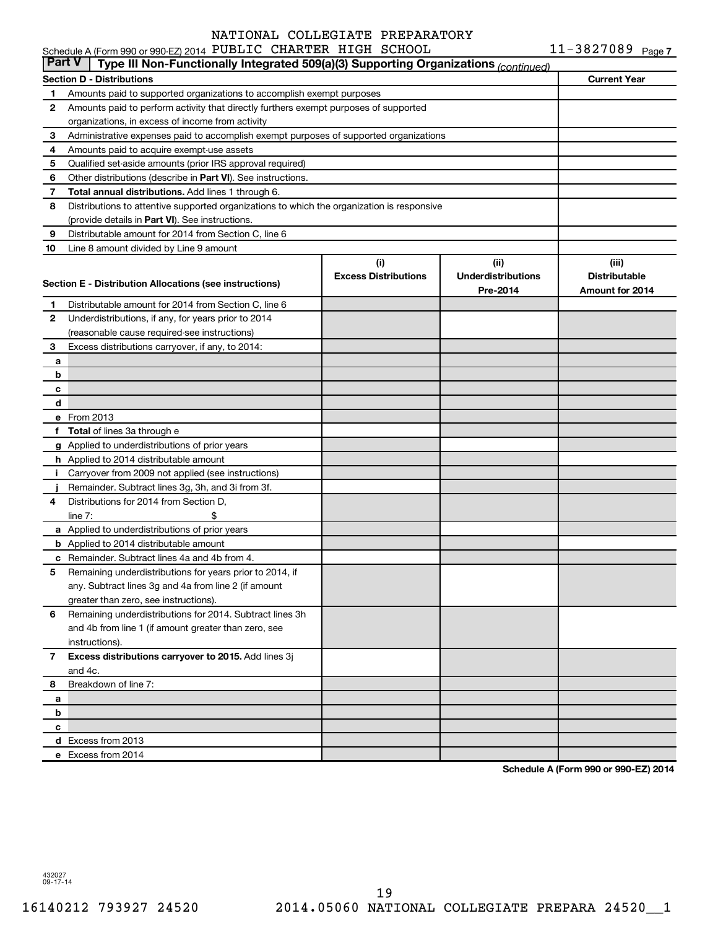|           | Schedule A (Form 990 or 990-EZ) 2014 PUBLIC CHARTER HIGH SCHOOL                            |                             |                           | $11 - 3827089$ Page 7 |
|-----------|--------------------------------------------------------------------------------------------|-----------------------------|---------------------------|-----------------------|
| ∣ Part V∣ | Type III Non-Functionally Integrated 509(a)(3) Supporting Organizations (continued)        |                             |                           |                       |
|           | <b>Section D - Distributions</b>                                                           |                             |                           | <b>Current Year</b>   |
| 1         | Amounts paid to supported organizations to accomplish exempt purposes                      |                             |                           |                       |
| 2         | Amounts paid to perform activity that directly furthers exempt purposes of supported       |                             |                           |                       |
|           | organizations, in excess of income from activity                                           |                             |                           |                       |
| з         | Administrative expenses paid to accomplish exempt purposes of supported organizations      |                             |                           |                       |
| 4         | Amounts paid to acquire exempt-use assets                                                  |                             |                           |                       |
| 5         | Qualified set-aside amounts (prior IRS approval required)                                  |                             |                           |                       |
| 6         | Other distributions (describe in Part VI). See instructions.                               |                             |                           |                       |
| 7         | Total annual distributions. Add lines 1 through 6.                                         |                             |                           |                       |
| 8         | Distributions to attentive supported organizations to which the organization is responsive |                             |                           |                       |
|           | (provide details in Part VI). See instructions.                                            |                             |                           |                       |
| 9         | Distributable amount for 2014 from Section C, line 6                                       |                             |                           |                       |
| 10        | Line 8 amount divided by Line 9 amount                                                     |                             |                           |                       |
|           |                                                                                            | (i)                         | (ii)                      | (iii)                 |
|           | Section E - Distribution Allocations (see instructions)                                    | <b>Excess Distributions</b> | <b>Underdistributions</b> | <b>Distributable</b>  |
|           |                                                                                            |                             | Pre-2014                  | Amount for 2014       |
| 1         | Distributable amount for 2014 from Section C, line 6                                       |                             |                           |                       |
| 2         | Underdistributions, if any, for years prior to 2014                                        |                             |                           |                       |
|           | (reasonable cause required-see instructions)                                               |                             |                           |                       |
| з         | Excess distributions carryover, if any, to 2014:                                           |                             |                           |                       |
| a         |                                                                                            |                             |                           |                       |
| b         |                                                                                            |                             |                           |                       |
| c         |                                                                                            |                             |                           |                       |
| d         |                                                                                            |                             |                           |                       |
|           | e From 2013                                                                                |                             |                           |                       |
| f         | Total of lines 3a through e                                                                |                             |                           |                       |
|           | g Applied to underdistributions of prior years                                             |                             |                           |                       |
|           | h Applied to 2014 distributable amount                                                     |                             |                           |                       |
| Ť.        | Carryover from 2009 not applied (see instructions)                                         |                             |                           |                       |
|           | Remainder. Subtract lines 3g, 3h, and 3i from 3f.                                          |                             |                           |                       |
| 4         | Distributions for 2014 from Section D,                                                     |                             |                           |                       |
|           | line $7:$                                                                                  |                             |                           |                       |
|           | a Applied to underdistributions of prior years                                             |                             |                           |                       |
|           | <b>b</b> Applied to 2014 distributable amount                                              |                             |                           |                       |
|           | c Remainder. Subtract lines 4a and 4b from 4.                                              |                             |                           |                       |
|           | 5 Remaining underdistributions for years prior to 2014, if                                 |                             |                           |                       |
|           | any. Subtract lines 3g and 4a from line 2 (if amount                                       |                             |                           |                       |
|           | greater than zero, see instructions).                                                      |                             |                           |                       |
| 6         | Remaining underdistributions for 2014. Subtract lines 3h                                   |                             |                           |                       |
|           | and 4b from line 1 (if amount greater than zero, see                                       |                             |                           |                       |
|           | instructions).                                                                             |                             |                           |                       |
| 7         | Excess distributions carryover to 2015. Add lines 3j                                       |                             |                           |                       |
|           | and 4c.                                                                                    |                             |                           |                       |
| 8         | Breakdown of line 7:                                                                       |                             |                           |                       |
| а         |                                                                                            |                             |                           |                       |
| b         |                                                                                            |                             |                           |                       |
| с         |                                                                                            |                             |                           |                       |
|           | d Excess from 2013                                                                         |                             |                           |                       |
|           | e Excess from 2014                                                                         |                             |                           |                       |

**Schedule A (Form 990 or 990-EZ) 2014**

432027 09-17-14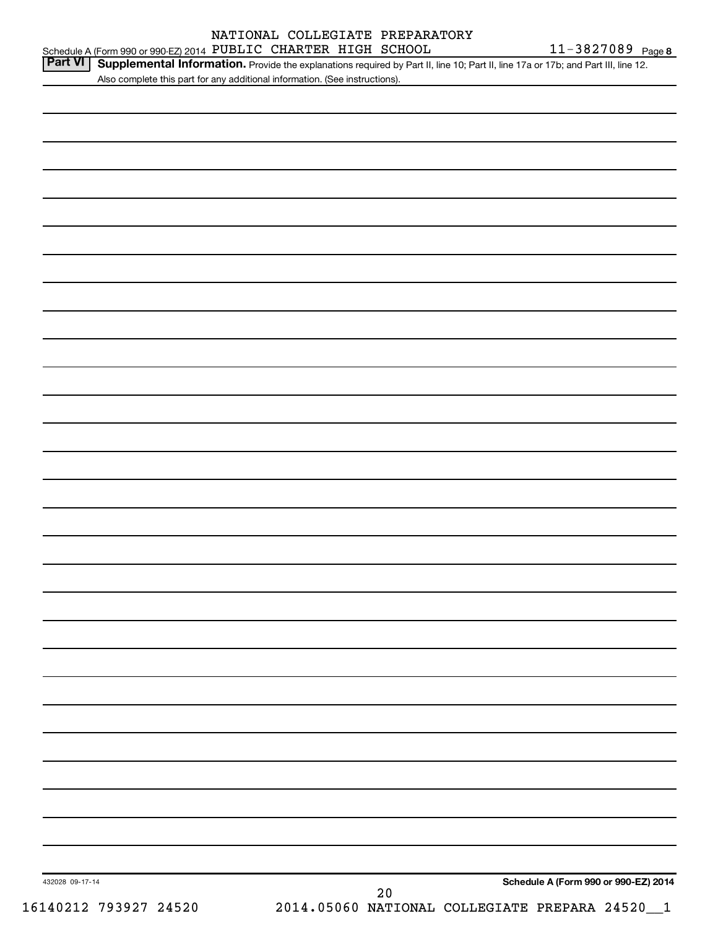### Schedule A (Form 990 or 990-EZ) 2014 PUBLIC CHARTER HIGH SCHOOL  $11-3827089$  Page NATIONAL COLLEGIATE PREPARATORY

Part VI | Supplemental Information. Provide the explanations required by Part II, line 10; Part II, line 17a or 17b; and Part III, line 12. Also complete this part for any additional information. (See instructions).

| 432028 09-17-14       | Schedule A (Form 990 or 990-EZ) 2014<br>$2\,0$ |
|-----------------------|------------------------------------------------|
| 16140212 793927 24520 | 2014.05060 NATIONAL COLLEGIATE PREPARA 24520_1 |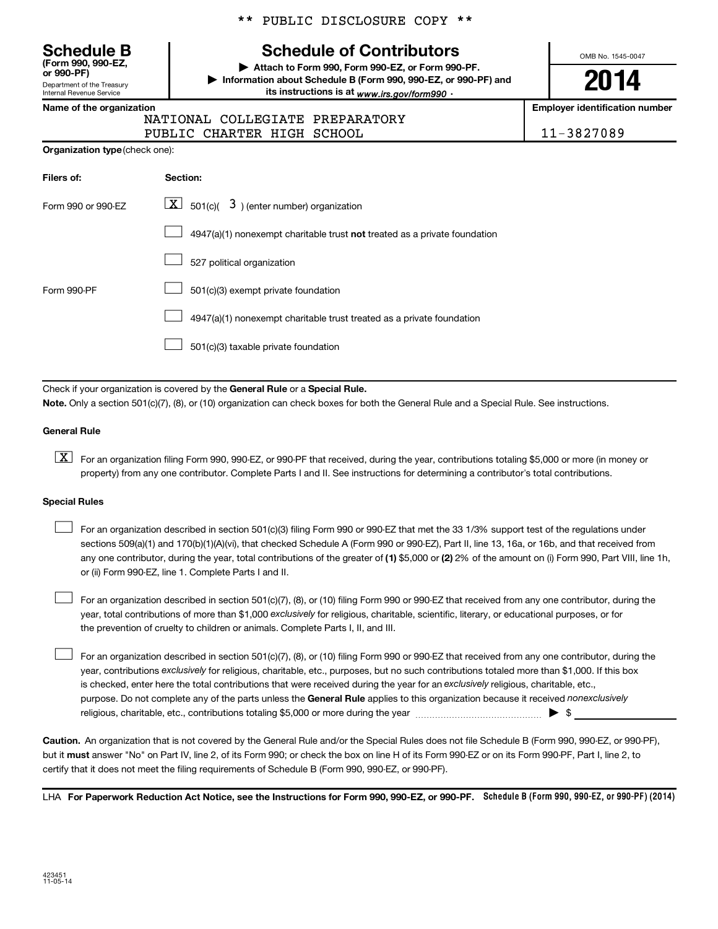Department of the Treasury Internal Revenue Service **(Form 990, 990-EZ,** \*\* PUBLIC DISCLOSURE COPY \*\*

## **Schedule B Schedule of Contributors**

**or 990-PF) | Attach to Form 990, Form 990-EZ, or Form 990-PF. | Information about Schedule B (Form 990, 990-EZ, or 990-PF) and** its instructions is at <sub>www.irs.gov/form990  $\cdot$ </sub>

OMB No. 1545-0047

**2014**

**Name of the organization Employer identification number**

| NATIONAL COLLEGIATE PREPARATORY |            |
|---------------------------------|------------|
| PUBLIC CHARTER HIGH SCHOOL      | 11-3827089 |

| Organization type (check one): |  |  |
|--------------------------------|--|--|
|--------------------------------|--|--|

| Filers of:         | Section:                                                                           |
|--------------------|------------------------------------------------------------------------------------|
| Form 990 or 990-EZ | $\lfloor \mathbf{X} \rfloor$ 501(c)( 3) (enter number) organization                |
|                    | $4947(a)(1)$ nonexempt charitable trust <b>not</b> treated as a private foundation |
|                    | 527 political organization                                                         |
| Form 990-PF        | 501(c)(3) exempt private foundation                                                |
|                    | 4947(a)(1) nonexempt charitable trust treated as a private foundation              |
|                    | 501(c)(3) taxable private foundation                                               |

Check if your organization is covered by the General Rule or a Special Rule.

**Note.**  Only a section 501(c)(7), (8), or (10) organization can check boxes for both the General Rule and a Special Rule. See instructions.

#### **General Rule**

**K** For an organization filing Form 990, 990-EZ, or 990-PF that received, during the year, contributions totaling \$5,000 or more (in money or property) from any one contributor. Complete Parts I and II. See instructions for determining a contributor's total contributions.

#### **Special Rules**

 $\Box$ 

any one contributor, during the year, total contributions of the greater of **(1)** \$5,000 or **(2)** 2% of the amount on (i) Form 990, Part VIII, line 1h, For an organization described in section 501(c)(3) filing Form 990 or 990-EZ that met the 33 1/3% support test of the regulations under sections 509(a)(1) and 170(b)(1)(A)(vi), that checked Schedule A (Form 990 or 990-EZ), Part II, line 13, 16a, or 16b, and that received from or (ii) Form 990-EZ, line 1. Complete Parts I and II.  $\Box$ 

year, total contributions of more than \$1,000 *exclusively* for religious, charitable, scientific, literary, or educational purposes, or for For an organization described in section 501(c)(7), (8), or (10) filing Form 990 or 990-EZ that received from any one contributor, during the the prevention of cruelty to children or animals. Complete Parts I, II, and III.  $\Box$ 

purpose. Do not complete any of the parts unless the General Rule applies to this organization because it received nonexclusively year, contributions exclusively for religious, charitable, etc., purposes, but no such contributions totaled more than \$1,000. If this box is checked, enter here the total contributions that were received during the year for an exclusively religious, charitable, etc., For an organization described in section 501(c)(7), (8), or (10) filing Form 990 or 990-EZ that received from any one contributor, during the religious, charitable, etc., contributions totaling \$5,000 or more during the year  $\ldots$  $\ldots$  $\ldots$  $\ldots$  $\ldots$  $\ldots$ 

**Caution.** An organization that is not covered by the General Rule and/or the Special Rules does not file Schedule B (Form 990, 990-EZ, or 990-PF),  **must** but it answer "No" on Part IV, line 2, of its Form 990; or check the box on line H of its Form 990-EZ or on its Form 990-PF, Part I, line 2, to certify that it does not meet the filing requirements of Schedule B (Form 990, 990-EZ, or 990-PF).

LHA For Paperwork Reduction Act Notice, see the Instructions for Form 990, 990-EZ, or 990-PF. Schedule B (Form 990, 990-EZ, or 990-PF) (2014)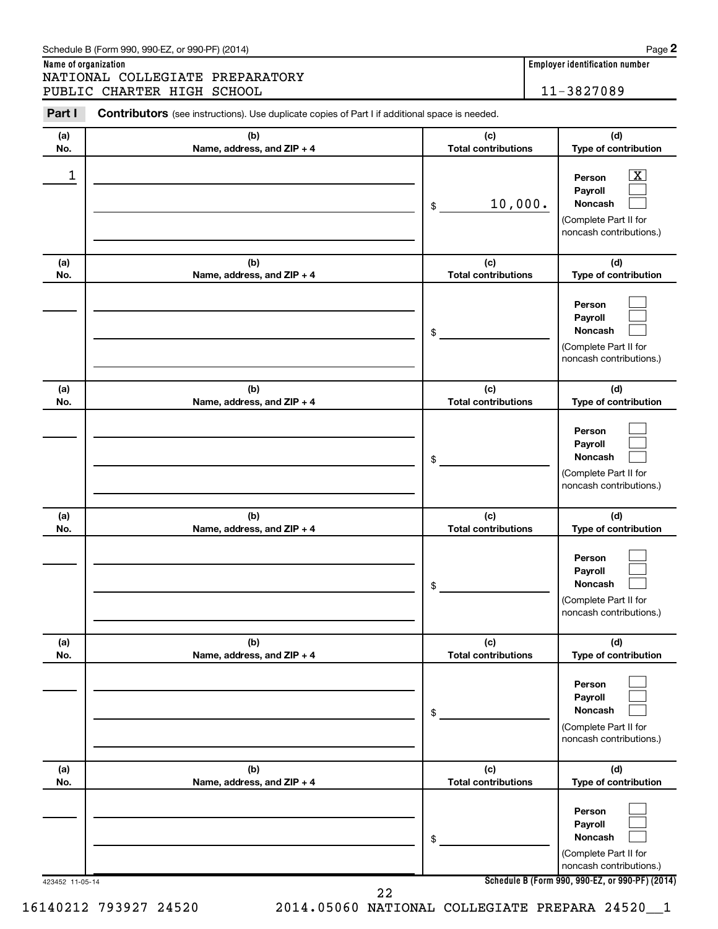**Name of organization Employer identification number** NATIONAL COLLEGIATE PREPARATORY PUBLIC CHARTER HIGH SCHOOL 11-3827089

| Part I          | <b>Contributors</b> (see instructions). Use duplicate copies of Part I if additional space is needed. |                                   |                                                                                                             |
|-----------------|-------------------------------------------------------------------------------------------------------|-----------------------------------|-------------------------------------------------------------------------------------------------------------|
| (a)<br>No.      | (b)<br>Name, address, and ZIP + 4                                                                     | (c)<br><b>Total contributions</b> | (d)<br>Type of contribution                                                                                 |
| $\mathbf 1$     |                                                                                                       | 10,000.<br>\$                     | $\overline{\mathbf{X}}$<br>Person<br>Payroll<br>Noncash<br>(Complete Part II for<br>noncash contributions.) |
| (a)<br>No.      | (b)<br>Name, address, and ZIP + 4                                                                     | (c)<br><b>Total contributions</b> | (d)<br>Type of contribution                                                                                 |
|                 |                                                                                                       | \$                                | Person<br>Payroll<br>Noncash<br>(Complete Part II for<br>noncash contributions.)                            |
| (a)<br>No.      | (b)<br>Name, address, and ZIP + 4                                                                     | (c)<br><b>Total contributions</b> | (d)<br>Type of contribution                                                                                 |
|                 |                                                                                                       | \$                                | Person<br>Payroll<br>Noncash<br>(Complete Part II for<br>noncash contributions.)                            |
| (a)<br>No.      | (b)<br>Name, address, and ZIP + 4                                                                     | (c)<br><b>Total contributions</b> | (d)<br>Type of contribution                                                                                 |
|                 |                                                                                                       | \$                                | Person<br>Payroll<br>Noncash<br>(Complete Part II for<br>noncash contributions.)                            |
| (a)<br>No.      | (b)<br>Name, address, and ZIP + 4                                                                     | (c)<br><b>Total contributions</b> | (d)<br>Type of contribution                                                                                 |
|                 |                                                                                                       | \$                                | Person<br>Payroll<br><b>Noncash</b><br>(Complete Part II for<br>noncash contributions.)                     |
| (a)<br>No.      | (b)<br>Name, address, and ZIP + 4                                                                     | (c)<br><b>Total contributions</b> | (d)<br>Type of contribution                                                                                 |
|                 |                                                                                                       | \$                                | Person<br>Payroll<br>Noncash<br>(Complete Part II for<br>noncash contributions.)                            |
| 423452 11-05-14 |                                                                                                       | 22                                | Schedule B (Form 990, 990-EZ, or 990-PF) (2014)                                                             |

16140212 793927 24520 2014.05060 NATIONAL COLLEGIATE PREPARA 24520\_\_1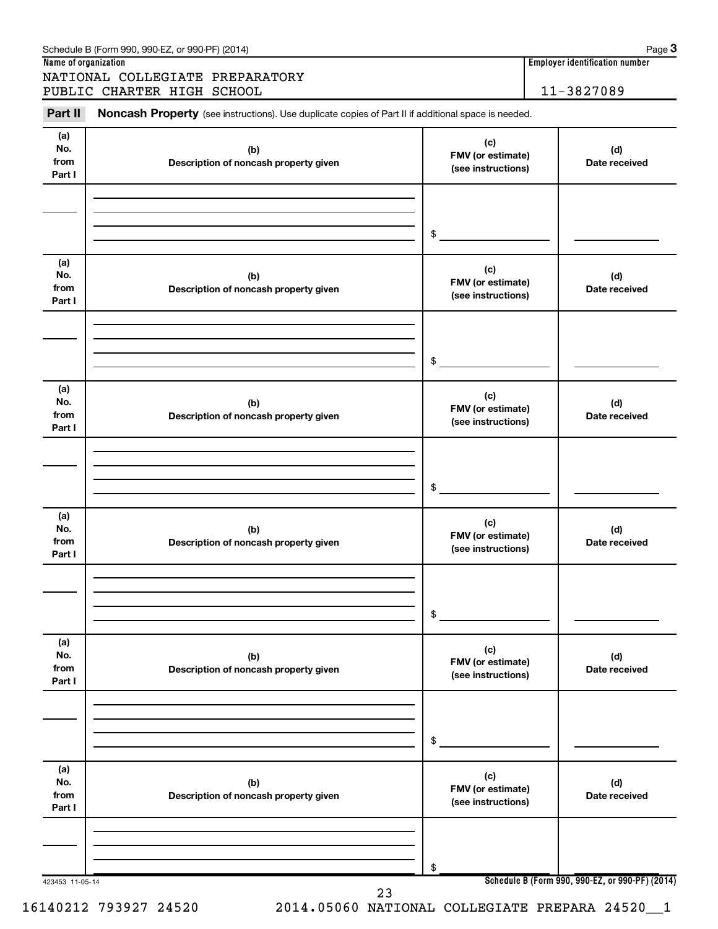| Schedule B (Form 990, 990-EZ, or 990-PF) (2014) | Page |
|-------------------------------------------------|------|
|                                                 |      |

NATIONAL COLLEGIATE PREPARATORY PUBLIC CHARTER HIGH SCHOOL 11-3827089

#### **(a) No. from Part I (c) FMV (or estimate) (see instructions) (b) Description of noncash property given (d) Date received (a) No. from Part I (c) FMV (or estimate) (see instructions) (b) Description of noncash property given (d) Date received (a) No. from Part I (c) FMV (or estimate) (see instructions) (b) Description of noncash property given (d) Date received (a) No. from Part I (c) FMV (or estimate) (see instructions) (b) Description of noncash property given (d) Date received (a) No. from Part I (c) FMV (or estimate) (see instructions) (b) Description of noncash property given (d) Date received (a) No. from Part I (c) FMV (or estimate) (see instructions) (b) Description of noncash property given (d) Date received** Part II Noncash Property (see instructions). Use duplicate copies of Part II if additional space is needed. \$ \$ \$ \$ \$

423453 11-05-14

**Schedule B (Form 990, 990-EZ, or 990-PF) (2014)**

**Name of organization Employer identification number**

**3**

16140212 793927 24520 2014.05060 NATIONAL COLLEGIATE PREPARA 24520\_\_1

\$

23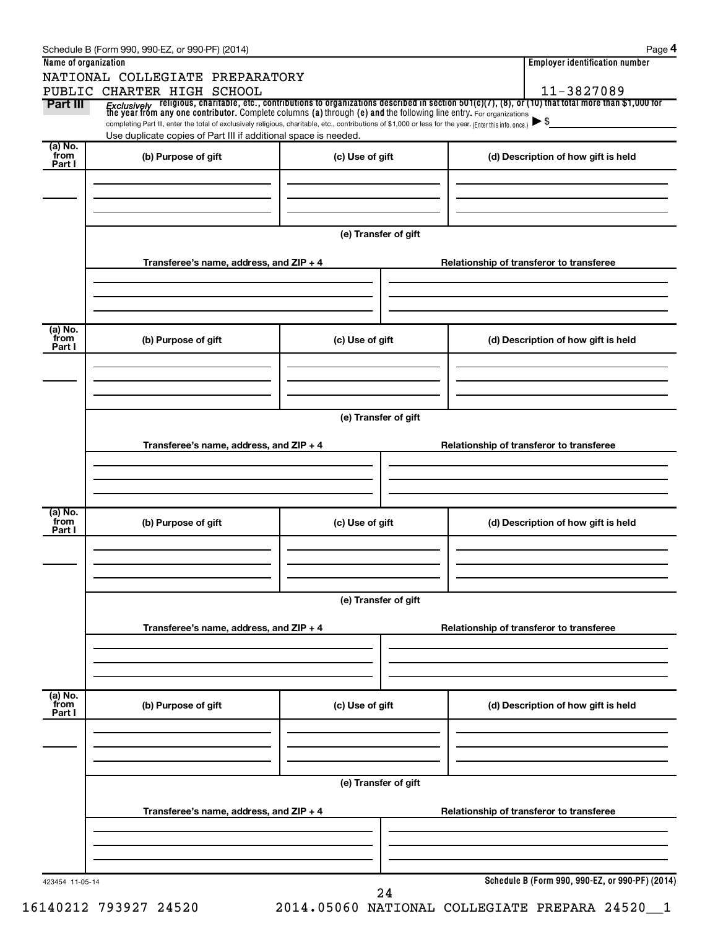|                      | Schedule B (Form 990, 990-EZ, or 990-PF) (2014)                                                                                                                                                                             |                      | Page 4                                                                                                                                                                                                                                                              |  |  |  |  |
|----------------------|-----------------------------------------------------------------------------------------------------------------------------------------------------------------------------------------------------------------------------|----------------------|---------------------------------------------------------------------------------------------------------------------------------------------------------------------------------------------------------------------------------------------------------------------|--|--|--|--|
| Name of organization |                                                                                                                                                                                                                             |                      | <b>Employer identification number</b>                                                                                                                                                                                                                               |  |  |  |  |
|                      | NATIONAL COLLEGIATE PREPARATORY                                                                                                                                                                                             |                      |                                                                                                                                                                                                                                                                     |  |  |  |  |
| Part III             | PUBLIC CHARTER HIGH SCHOOL                                                                                                                                                                                                  |                      | 11-3827089                                                                                                                                                                                                                                                          |  |  |  |  |
|                      |                                                                                                                                                                                                                             |                      | <i>Exclusively</i> religious, charitable, etc., contributions to organizations described in section 501(c)(7), (8), or (10) that total more than \$1,000 for<br>the year from any one contributor. Complete columns (a) through (e) and<br>$\blacktriangleright$ \$ |  |  |  |  |
|                      | completing Part III, enter the total of exclusively religious, charitable, etc., contributions of \$1,000 or less for the year. (Enter this info. once.)<br>Use duplicate copies of Part III if additional space is needed. |                      |                                                                                                                                                                                                                                                                     |  |  |  |  |
| (a) No.<br>from      |                                                                                                                                                                                                                             |                      |                                                                                                                                                                                                                                                                     |  |  |  |  |
| Part I               | (b) Purpose of gift                                                                                                                                                                                                         | (c) Use of gift      | (d) Description of how gift is held                                                                                                                                                                                                                                 |  |  |  |  |
|                      |                                                                                                                                                                                                                             |                      |                                                                                                                                                                                                                                                                     |  |  |  |  |
|                      |                                                                                                                                                                                                                             |                      |                                                                                                                                                                                                                                                                     |  |  |  |  |
|                      |                                                                                                                                                                                                                             |                      |                                                                                                                                                                                                                                                                     |  |  |  |  |
|                      |                                                                                                                                                                                                                             | (e) Transfer of gift |                                                                                                                                                                                                                                                                     |  |  |  |  |
|                      |                                                                                                                                                                                                                             |                      |                                                                                                                                                                                                                                                                     |  |  |  |  |
|                      | Transferee's name, address, and ZIP + 4                                                                                                                                                                                     |                      | Relationship of transferor to transferee                                                                                                                                                                                                                            |  |  |  |  |
|                      |                                                                                                                                                                                                                             |                      |                                                                                                                                                                                                                                                                     |  |  |  |  |
|                      |                                                                                                                                                                                                                             |                      |                                                                                                                                                                                                                                                                     |  |  |  |  |
|                      |                                                                                                                                                                                                                             |                      |                                                                                                                                                                                                                                                                     |  |  |  |  |
| (a) No.<br>from      | (b) Purpose of gift                                                                                                                                                                                                         | (c) Use of gift      | (d) Description of how gift is held                                                                                                                                                                                                                                 |  |  |  |  |
| Part I               |                                                                                                                                                                                                                             |                      |                                                                                                                                                                                                                                                                     |  |  |  |  |
|                      |                                                                                                                                                                                                                             |                      |                                                                                                                                                                                                                                                                     |  |  |  |  |
|                      |                                                                                                                                                                                                                             |                      |                                                                                                                                                                                                                                                                     |  |  |  |  |
|                      |                                                                                                                                                                                                                             |                      |                                                                                                                                                                                                                                                                     |  |  |  |  |
|                      |                                                                                                                                                                                                                             | (e) Transfer of gift |                                                                                                                                                                                                                                                                     |  |  |  |  |
|                      |                                                                                                                                                                                                                             |                      |                                                                                                                                                                                                                                                                     |  |  |  |  |
|                      | Transferee's name, address, and ZIP + 4                                                                                                                                                                                     |                      | Relationship of transferor to transferee                                                                                                                                                                                                                            |  |  |  |  |
|                      |                                                                                                                                                                                                                             |                      |                                                                                                                                                                                                                                                                     |  |  |  |  |
|                      |                                                                                                                                                                                                                             |                      |                                                                                                                                                                                                                                                                     |  |  |  |  |
|                      |                                                                                                                                                                                                                             |                      |                                                                                                                                                                                                                                                                     |  |  |  |  |
| (a) No.<br>from      | (b) Purpose of gift                                                                                                                                                                                                         | (c) Use of gift      | (d) Description of how gift is held                                                                                                                                                                                                                                 |  |  |  |  |
| Part I               |                                                                                                                                                                                                                             |                      |                                                                                                                                                                                                                                                                     |  |  |  |  |
|                      |                                                                                                                                                                                                                             |                      |                                                                                                                                                                                                                                                                     |  |  |  |  |
|                      |                                                                                                                                                                                                                             |                      |                                                                                                                                                                                                                                                                     |  |  |  |  |
|                      |                                                                                                                                                                                                                             |                      |                                                                                                                                                                                                                                                                     |  |  |  |  |
|                      | (e) Transfer of gift                                                                                                                                                                                                        |                      |                                                                                                                                                                                                                                                                     |  |  |  |  |
|                      | Transferee's name, address, and ZIP + 4                                                                                                                                                                                     |                      | Relationship of transferor to transferee                                                                                                                                                                                                                            |  |  |  |  |
|                      |                                                                                                                                                                                                                             |                      |                                                                                                                                                                                                                                                                     |  |  |  |  |
|                      |                                                                                                                                                                                                                             |                      |                                                                                                                                                                                                                                                                     |  |  |  |  |
|                      |                                                                                                                                                                                                                             |                      |                                                                                                                                                                                                                                                                     |  |  |  |  |
| (a) No.<br>from      |                                                                                                                                                                                                                             |                      |                                                                                                                                                                                                                                                                     |  |  |  |  |
| Part I               | (b) Purpose of gift                                                                                                                                                                                                         | (c) Use of gift      | (d) Description of how gift is held                                                                                                                                                                                                                                 |  |  |  |  |
|                      |                                                                                                                                                                                                                             |                      |                                                                                                                                                                                                                                                                     |  |  |  |  |
|                      |                                                                                                                                                                                                                             |                      |                                                                                                                                                                                                                                                                     |  |  |  |  |
|                      |                                                                                                                                                                                                                             |                      |                                                                                                                                                                                                                                                                     |  |  |  |  |
|                      |                                                                                                                                                                                                                             | (e) Transfer of gift |                                                                                                                                                                                                                                                                     |  |  |  |  |
|                      |                                                                                                                                                                                                                             |                      |                                                                                                                                                                                                                                                                     |  |  |  |  |
|                      | Transferee's name, address, and ZIP + 4                                                                                                                                                                                     |                      | Relationship of transferor to transferee                                                                                                                                                                                                                            |  |  |  |  |
|                      |                                                                                                                                                                                                                             |                      |                                                                                                                                                                                                                                                                     |  |  |  |  |
|                      |                                                                                                                                                                                                                             |                      |                                                                                                                                                                                                                                                                     |  |  |  |  |
|                      |                                                                                                                                                                                                                             |                      |                                                                                                                                                                                                                                                                     |  |  |  |  |
| 423454 11-05-14      |                                                                                                                                                                                                                             |                      | Schedule B (Form 990, 990-EZ, or 990-PF) (2014)                                                                                                                                                                                                                     |  |  |  |  |
|                      |                                                                                                                                                                                                                             | 24                   |                                                                                                                                                                                                                                                                     |  |  |  |  |

16140212 793927 24520 2014.05060 NATIONAL COLLEGIATE PREPARA 24520\_\_1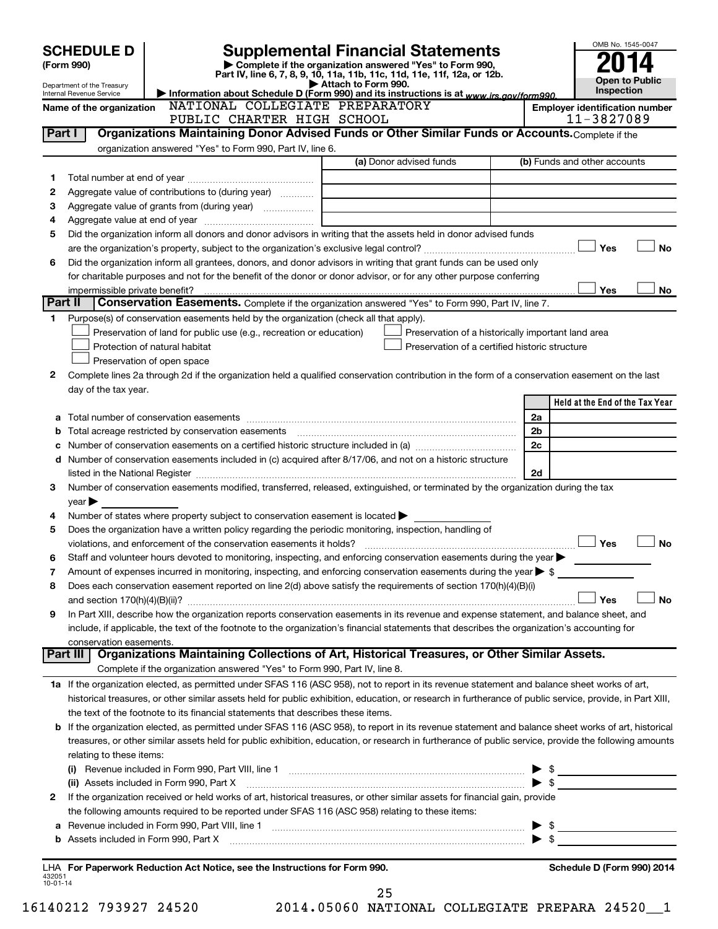| Attach to Form 990.<br>Department of the Treasury<br>Inspection<br>Information about Schedule D (Form 990) and its instructions is at www.irs.gov/form990.<br>Internal Revenue Service<br>NATIONAL COLLEGIATE PREPARATORY<br><b>Employer identification number</b><br>Name of the organization<br>11-3827089<br>PUBLIC CHARTER HIGH SCHOOL<br>Organizations Maintaining Donor Advised Funds or Other Similar Funds or Accounts. Complete if the<br>Part I<br>organization answered "Yes" to Form 990, Part IV, line 6.<br>(a) Donor advised funds<br>(b) Funds and other accounts<br>1<br>Aggregate value of contributions to (during year)<br>2<br>З<br>4<br>Did the organization inform all donors and donor advisors in writing that the assets held in donor advised funds<br>5<br>Yes<br><b>No</b><br>Did the organization inform all grantees, donors, and donor advisors in writing that grant funds can be used only<br>6<br>for charitable purposes and not for the benefit of the donor or donor advisor, or for any other purpose conferring<br>Yes<br>No<br>impermissible private benefit?<br>Part II<br><b>Conservation Easements.</b> Complete if the organization answered "Yes" to Form 990, Part IV, line 7.<br>Purpose(s) of conservation easements held by the organization (check all that apply).<br>1<br>Preservation of land for public use (e.g., recreation or education)<br>Preservation of a historically important land area<br>Protection of natural habitat<br>Preservation of a certified historic structure<br>Preservation of open space<br>Complete lines 2a through 2d if the organization held a qualified conservation contribution in the form of a conservation easement on the last<br>2<br>day of the tax year.<br>Held at the End of the Tax Year<br>2a<br>2b<br>b<br>2c<br>с<br>d Number of conservation easements included in (c) acquired after 8/17/06, and not on a historic structure<br>2d<br>Number of conservation easements modified, transferred, released, extinguished, or terminated by the organization during the tax<br>3<br>year<br>Number of states where property subject to conservation easement is located $\blacktriangleright$<br>4<br>Does the organization have a written policy regarding the periodic monitoring, inspection, handling of<br>5<br>Yes<br><b>No</b><br>Staff and volunteer hours devoted to monitoring, inspecting, and enforcing conservation easements during the year $\blacktriangleright$<br>Amount of expenses incurred in monitoring, inspecting, and enforcing conservation easements during the year $\triangleright$ \$<br>7<br>Does each conservation easement reported on line 2(d) above satisfy the requirements of section 170(h)(4)(B)(i)<br>8<br>Yes<br><b>No</b><br>In Part XIII, describe how the organization reports conservation easements in its revenue and expense statement, and balance sheet, and<br>9<br>include, if applicable, the text of the footnote to the organization's financial statements that describes the organization's accounting for<br>conservation easements.<br>Organizations Maintaining Collections of Art, Historical Treasures, or Other Similar Assets.<br>Part III<br>Complete if the organization answered "Yes" to Form 990, Part IV, line 8.<br>1a If the organization elected, as permitted under SFAS 116 (ASC 958), not to report in its revenue statement and balance sheet works of art,<br>historical treasures, or other similar assets held for public exhibition, education, or research in furtherance of public service, provide, in Part XIII,<br>the text of the footnote to its financial statements that describes these items.<br>If the organization elected, as permitted under SFAS 116 (ASC 958), to report in its revenue statement and balance sheet works of art, historical<br>b<br>treasures, or other similar assets held for public exhibition, education, or research in furtherance of public service, provide the following amounts<br>relating to these items:<br>(i) Revenue included in Form 990, Part VIII, line 1 [2000] [2010] CHERRY MEDIA THE MEDIA CONTROLLER SERVICE SERVICE SERVICE SERVICE SERVICE SERVICE SERVICE SERVICE SERVICE SERVICE SERVICE SERVICE SERVICE SERVICE SERVICE SE<br>$\blacktriangleright$ \$<br>(ii) Assets included in Form 990, Part X<br>If the organization received or held works of art, historical treasures, or other similar assets for financial gain, provide<br>2<br>the following amounts required to be reported under SFAS 116 (ASC 958) relating to these items:<br>$\triangleright$ \$<br>а<br>$\blacktriangleright$ \$<br>b<br>LHA For Paperwork Reduction Act Notice, see the Instructions for Form 990.<br>Schedule D (Form 990) 2014<br>432051<br>$10 - 01 - 14$ | <b>SCHEDULE D</b><br>(Form 990) |  | <b>Supplemental Financial Statements</b><br>Complete if the organization answered "Yes" to Form 990,<br>Part IV, line 6, 7, 8, 9, 10, 11a, 11b, 11c, 11d, 11e, 11f, 12a, or 12b. |  | OMB No. 1545-0047     |  |  |  |
|------------------------------------------------------------------------------------------------------------------------------------------------------------------------------------------------------------------------------------------------------------------------------------------------------------------------------------------------------------------------------------------------------------------------------------------------------------------------------------------------------------------------------------------------------------------------------------------------------------------------------------------------------------------------------------------------------------------------------------------------------------------------------------------------------------------------------------------------------------------------------------------------------------------------------------------------------------------------------------------------------------------------------------------------------------------------------------------------------------------------------------------------------------------------------------------------------------------------------------------------------------------------------------------------------------------------------------------------------------------------------------------------------------------------------------------------------------------------------------------------------------------------------------------------------------------------------------------------------------------------------------------------------------------------------------------------------------------------------------------------------------------------------------------------------------------------------------------------------------------------------------------------------------------------------------------------------------------------------------------------------------------------------------------------------------------------------------------------------------------------------------------------------------------------------------------------------------------------------------------------------------------------------------------------------------------------------------------------------------------------------------------------------------------------------------------------------------------------------------------------------------------------------------------------------------------------------------------------------------------------------------------------------------------------------------------------------------------------------------------------------------------------------------------------------------------------------------------------------------------------------------------------------------------------------------------------------------------------------------------------------------------------------------------------------------------------------------------------------------------------------------------------------------------------------------------------------------------------------------------------------------------------------------------------------------------------------------------------------------------------------------------------------------------------------------------------------------------------------------------------------------------------------------------------------------------------------------------------------------------------------------------------------------------------------------------------------------------------------------------------------------------------------------------------------------------------------------------------------------------------------------------------------------------------------------------------------------------------------------------------------------------------------------------------------------------------------------------------------------------------------------------------------------------------------------------------------------------------------------------------------------------------------------------------------------------------------------------------------------------------------------------------------------------------------------------------------------------------------------------------------------------------------------------------------------------------------------------------------------------------------------------------------------------------------------------------------------------------------------------------------------------------------------------------------|---------------------------------|--|----------------------------------------------------------------------------------------------------------------------------------------------------------------------------------|--|-----------------------|--|--|--|
|                                                                                                                                                                                                                                                                                                                                                                                                                                                                                                                                                                                                                                                                                                                                                                                                                                                                                                                                                                                                                                                                                                                                                                                                                                                                                                                                                                                                                                                                                                                                                                                                                                                                                                                                                                                                                                                                                                                                                                                                                                                                                                                                                                                                                                                                                                                                                                                                                                                                                                                                                                                                                                                                                                                                                                                                                                                                                                                                                                                                                                                                                                                                                                                                                                                                                                                                                                                                                                                                                                                                                                                                                                                                                                                                                                                                                                                                                                                                                                                                                                                                                                                                                                                                                                                                                                                                                                                                                                                                                                                                                                                                                                                                                                                                                                                                      |                                 |  |                                                                                                                                                                                  |  | <b>Open to Public</b> |  |  |  |
|                                                                                                                                                                                                                                                                                                                                                                                                                                                                                                                                                                                                                                                                                                                                                                                                                                                                                                                                                                                                                                                                                                                                                                                                                                                                                                                                                                                                                                                                                                                                                                                                                                                                                                                                                                                                                                                                                                                                                                                                                                                                                                                                                                                                                                                                                                                                                                                                                                                                                                                                                                                                                                                                                                                                                                                                                                                                                                                                                                                                                                                                                                                                                                                                                                                                                                                                                                                                                                                                                                                                                                                                                                                                                                                                                                                                                                                                                                                                                                                                                                                                                                                                                                                                                                                                                                                                                                                                                                                                                                                                                                                                                                                                                                                                                                                                      |                                 |  |                                                                                                                                                                                  |  |                       |  |  |  |
|                                                                                                                                                                                                                                                                                                                                                                                                                                                                                                                                                                                                                                                                                                                                                                                                                                                                                                                                                                                                                                                                                                                                                                                                                                                                                                                                                                                                                                                                                                                                                                                                                                                                                                                                                                                                                                                                                                                                                                                                                                                                                                                                                                                                                                                                                                                                                                                                                                                                                                                                                                                                                                                                                                                                                                                                                                                                                                                                                                                                                                                                                                                                                                                                                                                                                                                                                                                                                                                                                                                                                                                                                                                                                                                                                                                                                                                                                                                                                                                                                                                                                                                                                                                                                                                                                                                                                                                                                                                                                                                                                                                                                                                                                                                                                                                                      |                                 |  |                                                                                                                                                                                  |  |                       |  |  |  |
|                                                                                                                                                                                                                                                                                                                                                                                                                                                                                                                                                                                                                                                                                                                                                                                                                                                                                                                                                                                                                                                                                                                                                                                                                                                                                                                                                                                                                                                                                                                                                                                                                                                                                                                                                                                                                                                                                                                                                                                                                                                                                                                                                                                                                                                                                                                                                                                                                                                                                                                                                                                                                                                                                                                                                                                                                                                                                                                                                                                                                                                                                                                                                                                                                                                                                                                                                                                                                                                                                                                                                                                                                                                                                                                                                                                                                                                                                                                                                                                                                                                                                                                                                                                                                                                                                                                                                                                                                                                                                                                                                                                                                                                                                                                                                                                                      |                                 |  |                                                                                                                                                                                  |  |                       |  |  |  |
|                                                                                                                                                                                                                                                                                                                                                                                                                                                                                                                                                                                                                                                                                                                                                                                                                                                                                                                                                                                                                                                                                                                                                                                                                                                                                                                                                                                                                                                                                                                                                                                                                                                                                                                                                                                                                                                                                                                                                                                                                                                                                                                                                                                                                                                                                                                                                                                                                                                                                                                                                                                                                                                                                                                                                                                                                                                                                                                                                                                                                                                                                                                                                                                                                                                                                                                                                                                                                                                                                                                                                                                                                                                                                                                                                                                                                                                                                                                                                                                                                                                                                                                                                                                                                                                                                                                                                                                                                                                                                                                                                                                                                                                                                                                                                                                                      |                                 |  |                                                                                                                                                                                  |  |                       |  |  |  |
|                                                                                                                                                                                                                                                                                                                                                                                                                                                                                                                                                                                                                                                                                                                                                                                                                                                                                                                                                                                                                                                                                                                                                                                                                                                                                                                                                                                                                                                                                                                                                                                                                                                                                                                                                                                                                                                                                                                                                                                                                                                                                                                                                                                                                                                                                                                                                                                                                                                                                                                                                                                                                                                                                                                                                                                                                                                                                                                                                                                                                                                                                                                                                                                                                                                                                                                                                                                                                                                                                                                                                                                                                                                                                                                                                                                                                                                                                                                                                                                                                                                                                                                                                                                                                                                                                                                                                                                                                                                                                                                                                                                                                                                                                                                                                                                                      |                                 |  |                                                                                                                                                                                  |  |                       |  |  |  |
|                                                                                                                                                                                                                                                                                                                                                                                                                                                                                                                                                                                                                                                                                                                                                                                                                                                                                                                                                                                                                                                                                                                                                                                                                                                                                                                                                                                                                                                                                                                                                                                                                                                                                                                                                                                                                                                                                                                                                                                                                                                                                                                                                                                                                                                                                                                                                                                                                                                                                                                                                                                                                                                                                                                                                                                                                                                                                                                                                                                                                                                                                                                                                                                                                                                                                                                                                                                                                                                                                                                                                                                                                                                                                                                                                                                                                                                                                                                                                                                                                                                                                                                                                                                                                                                                                                                                                                                                                                                                                                                                                                                                                                                                                                                                                                                                      |                                 |  |                                                                                                                                                                                  |  |                       |  |  |  |
|                                                                                                                                                                                                                                                                                                                                                                                                                                                                                                                                                                                                                                                                                                                                                                                                                                                                                                                                                                                                                                                                                                                                                                                                                                                                                                                                                                                                                                                                                                                                                                                                                                                                                                                                                                                                                                                                                                                                                                                                                                                                                                                                                                                                                                                                                                                                                                                                                                                                                                                                                                                                                                                                                                                                                                                                                                                                                                                                                                                                                                                                                                                                                                                                                                                                                                                                                                                                                                                                                                                                                                                                                                                                                                                                                                                                                                                                                                                                                                                                                                                                                                                                                                                                                                                                                                                                                                                                                                                                                                                                                                                                                                                                                                                                                                                                      |                                 |  |                                                                                                                                                                                  |  |                       |  |  |  |
|                                                                                                                                                                                                                                                                                                                                                                                                                                                                                                                                                                                                                                                                                                                                                                                                                                                                                                                                                                                                                                                                                                                                                                                                                                                                                                                                                                                                                                                                                                                                                                                                                                                                                                                                                                                                                                                                                                                                                                                                                                                                                                                                                                                                                                                                                                                                                                                                                                                                                                                                                                                                                                                                                                                                                                                                                                                                                                                                                                                                                                                                                                                                                                                                                                                                                                                                                                                                                                                                                                                                                                                                                                                                                                                                                                                                                                                                                                                                                                                                                                                                                                                                                                                                                                                                                                                                                                                                                                                                                                                                                                                                                                                                                                                                                                                                      |                                 |  |                                                                                                                                                                                  |  |                       |  |  |  |
|                                                                                                                                                                                                                                                                                                                                                                                                                                                                                                                                                                                                                                                                                                                                                                                                                                                                                                                                                                                                                                                                                                                                                                                                                                                                                                                                                                                                                                                                                                                                                                                                                                                                                                                                                                                                                                                                                                                                                                                                                                                                                                                                                                                                                                                                                                                                                                                                                                                                                                                                                                                                                                                                                                                                                                                                                                                                                                                                                                                                                                                                                                                                                                                                                                                                                                                                                                                                                                                                                                                                                                                                                                                                                                                                                                                                                                                                                                                                                                                                                                                                                                                                                                                                                                                                                                                                                                                                                                                                                                                                                                                                                                                                                                                                                                                                      |                                 |  |                                                                                                                                                                                  |  |                       |  |  |  |
|                                                                                                                                                                                                                                                                                                                                                                                                                                                                                                                                                                                                                                                                                                                                                                                                                                                                                                                                                                                                                                                                                                                                                                                                                                                                                                                                                                                                                                                                                                                                                                                                                                                                                                                                                                                                                                                                                                                                                                                                                                                                                                                                                                                                                                                                                                                                                                                                                                                                                                                                                                                                                                                                                                                                                                                                                                                                                                                                                                                                                                                                                                                                                                                                                                                                                                                                                                                                                                                                                                                                                                                                                                                                                                                                                                                                                                                                                                                                                                                                                                                                                                                                                                                                                                                                                                                                                                                                                                                                                                                                                                                                                                                                                                                                                                                                      |                                 |  |                                                                                                                                                                                  |  |                       |  |  |  |
|                                                                                                                                                                                                                                                                                                                                                                                                                                                                                                                                                                                                                                                                                                                                                                                                                                                                                                                                                                                                                                                                                                                                                                                                                                                                                                                                                                                                                                                                                                                                                                                                                                                                                                                                                                                                                                                                                                                                                                                                                                                                                                                                                                                                                                                                                                                                                                                                                                                                                                                                                                                                                                                                                                                                                                                                                                                                                                                                                                                                                                                                                                                                                                                                                                                                                                                                                                                                                                                                                                                                                                                                                                                                                                                                                                                                                                                                                                                                                                                                                                                                                                                                                                                                                                                                                                                                                                                                                                                                                                                                                                                                                                                                                                                                                                                                      |                                 |  |                                                                                                                                                                                  |  |                       |  |  |  |
|                                                                                                                                                                                                                                                                                                                                                                                                                                                                                                                                                                                                                                                                                                                                                                                                                                                                                                                                                                                                                                                                                                                                                                                                                                                                                                                                                                                                                                                                                                                                                                                                                                                                                                                                                                                                                                                                                                                                                                                                                                                                                                                                                                                                                                                                                                                                                                                                                                                                                                                                                                                                                                                                                                                                                                                                                                                                                                                                                                                                                                                                                                                                                                                                                                                                                                                                                                                                                                                                                                                                                                                                                                                                                                                                                                                                                                                                                                                                                                                                                                                                                                                                                                                                                                                                                                                                                                                                                                                                                                                                                                                                                                                                                                                                                                                                      |                                 |  |                                                                                                                                                                                  |  |                       |  |  |  |
|                                                                                                                                                                                                                                                                                                                                                                                                                                                                                                                                                                                                                                                                                                                                                                                                                                                                                                                                                                                                                                                                                                                                                                                                                                                                                                                                                                                                                                                                                                                                                                                                                                                                                                                                                                                                                                                                                                                                                                                                                                                                                                                                                                                                                                                                                                                                                                                                                                                                                                                                                                                                                                                                                                                                                                                                                                                                                                                                                                                                                                                                                                                                                                                                                                                                                                                                                                                                                                                                                                                                                                                                                                                                                                                                                                                                                                                                                                                                                                                                                                                                                                                                                                                                                                                                                                                                                                                                                                                                                                                                                                                                                                                                                                                                                                                                      |                                 |  |                                                                                                                                                                                  |  |                       |  |  |  |
|                                                                                                                                                                                                                                                                                                                                                                                                                                                                                                                                                                                                                                                                                                                                                                                                                                                                                                                                                                                                                                                                                                                                                                                                                                                                                                                                                                                                                                                                                                                                                                                                                                                                                                                                                                                                                                                                                                                                                                                                                                                                                                                                                                                                                                                                                                                                                                                                                                                                                                                                                                                                                                                                                                                                                                                                                                                                                                                                                                                                                                                                                                                                                                                                                                                                                                                                                                                                                                                                                                                                                                                                                                                                                                                                                                                                                                                                                                                                                                                                                                                                                                                                                                                                                                                                                                                                                                                                                                                                                                                                                                                                                                                                                                                                                                                                      |                                 |  |                                                                                                                                                                                  |  |                       |  |  |  |
|                                                                                                                                                                                                                                                                                                                                                                                                                                                                                                                                                                                                                                                                                                                                                                                                                                                                                                                                                                                                                                                                                                                                                                                                                                                                                                                                                                                                                                                                                                                                                                                                                                                                                                                                                                                                                                                                                                                                                                                                                                                                                                                                                                                                                                                                                                                                                                                                                                                                                                                                                                                                                                                                                                                                                                                                                                                                                                                                                                                                                                                                                                                                                                                                                                                                                                                                                                                                                                                                                                                                                                                                                                                                                                                                                                                                                                                                                                                                                                                                                                                                                                                                                                                                                                                                                                                                                                                                                                                                                                                                                                                                                                                                                                                                                                                                      |                                 |  |                                                                                                                                                                                  |  |                       |  |  |  |
|                                                                                                                                                                                                                                                                                                                                                                                                                                                                                                                                                                                                                                                                                                                                                                                                                                                                                                                                                                                                                                                                                                                                                                                                                                                                                                                                                                                                                                                                                                                                                                                                                                                                                                                                                                                                                                                                                                                                                                                                                                                                                                                                                                                                                                                                                                                                                                                                                                                                                                                                                                                                                                                                                                                                                                                                                                                                                                                                                                                                                                                                                                                                                                                                                                                                                                                                                                                                                                                                                                                                                                                                                                                                                                                                                                                                                                                                                                                                                                                                                                                                                                                                                                                                                                                                                                                                                                                                                                                                                                                                                                                                                                                                                                                                                                                                      |                                 |  |                                                                                                                                                                                  |  |                       |  |  |  |
|                                                                                                                                                                                                                                                                                                                                                                                                                                                                                                                                                                                                                                                                                                                                                                                                                                                                                                                                                                                                                                                                                                                                                                                                                                                                                                                                                                                                                                                                                                                                                                                                                                                                                                                                                                                                                                                                                                                                                                                                                                                                                                                                                                                                                                                                                                                                                                                                                                                                                                                                                                                                                                                                                                                                                                                                                                                                                                                                                                                                                                                                                                                                                                                                                                                                                                                                                                                                                                                                                                                                                                                                                                                                                                                                                                                                                                                                                                                                                                                                                                                                                                                                                                                                                                                                                                                                                                                                                                                                                                                                                                                                                                                                                                                                                                                                      |                                 |  |                                                                                                                                                                                  |  |                       |  |  |  |
|                                                                                                                                                                                                                                                                                                                                                                                                                                                                                                                                                                                                                                                                                                                                                                                                                                                                                                                                                                                                                                                                                                                                                                                                                                                                                                                                                                                                                                                                                                                                                                                                                                                                                                                                                                                                                                                                                                                                                                                                                                                                                                                                                                                                                                                                                                                                                                                                                                                                                                                                                                                                                                                                                                                                                                                                                                                                                                                                                                                                                                                                                                                                                                                                                                                                                                                                                                                                                                                                                                                                                                                                                                                                                                                                                                                                                                                                                                                                                                                                                                                                                                                                                                                                                                                                                                                                                                                                                                                                                                                                                                                                                                                                                                                                                                                                      |                                 |  |                                                                                                                                                                                  |  |                       |  |  |  |
|                                                                                                                                                                                                                                                                                                                                                                                                                                                                                                                                                                                                                                                                                                                                                                                                                                                                                                                                                                                                                                                                                                                                                                                                                                                                                                                                                                                                                                                                                                                                                                                                                                                                                                                                                                                                                                                                                                                                                                                                                                                                                                                                                                                                                                                                                                                                                                                                                                                                                                                                                                                                                                                                                                                                                                                                                                                                                                                                                                                                                                                                                                                                                                                                                                                                                                                                                                                                                                                                                                                                                                                                                                                                                                                                                                                                                                                                                                                                                                                                                                                                                                                                                                                                                                                                                                                                                                                                                                                                                                                                                                                                                                                                                                                                                                                                      |                                 |  |                                                                                                                                                                                  |  |                       |  |  |  |
|                                                                                                                                                                                                                                                                                                                                                                                                                                                                                                                                                                                                                                                                                                                                                                                                                                                                                                                                                                                                                                                                                                                                                                                                                                                                                                                                                                                                                                                                                                                                                                                                                                                                                                                                                                                                                                                                                                                                                                                                                                                                                                                                                                                                                                                                                                                                                                                                                                                                                                                                                                                                                                                                                                                                                                                                                                                                                                                                                                                                                                                                                                                                                                                                                                                                                                                                                                                                                                                                                                                                                                                                                                                                                                                                                                                                                                                                                                                                                                                                                                                                                                                                                                                                                                                                                                                                                                                                                                                                                                                                                                                                                                                                                                                                                                                                      |                                 |  |                                                                                                                                                                                  |  |                       |  |  |  |
|                                                                                                                                                                                                                                                                                                                                                                                                                                                                                                                                                                                                                                                                                                                                                                                                                                                                                                                                                                                                                                                                                                                                                                                                                                                                                                                                                                                                                                                                                                                                                                                                                                                                                                                                                                                                                                                                                                                                                                                                                                                                                                                                                                                                                                                                                                                                                                                                                                                                                                                                                                                                                                                                                                                                                                                                                                                                                                                                                                                                                                                                                                                                                                                                                                                                                                                                                                                                                                                                                                                                                                                                                                                                                                                                                                                                                                                                                                                                                                                                                                                                                                                                                                                                                                                                                                                                                                                                                                                                                                                                                                                                                                                                                                                                                                                                      |                                 |  |                                                                                                                                                                                  |  |                       |  |  |  |
|                                                                                                                                                                                                                                                                                                                                                                                                                                                                                                                                                                                                                                                                                                                                                                                                                                                                                                                                                                                                                                                                                                                                                                                                                                                                                                                                                                                                                                                                                                                                                                                                                                                                                                                                                                                                                                                                                                                                                                                                                                                                                                                                                                                                                                                                                                                                                                                                                                                                                                                                                                                                                                                                                                                                                                                                                                                                                                                                                                                                                                                                                                                                                                                                                                                                                                                                                                                                                                                                                                                                                                                                                                                                                                                                                                                                                                                                                                                                                                                                                                                                                                                                                                                                                                                                                                                                                                                                                                                                                                                                                                                                                                                                                                                                                                                                      |                                 |  |                                                                                                                                                                                  |  |                       |  |  |  |
|                                                                                                                                                                                                                                                                                                                                                                                                                                                                                                                                                                                                                                                                                                                                                                                                                                                                                                                                                                                                                                                                                                                                                                                                                                                                                                                                                                                                                                                                                                                                                                                                                                                                                                                                                                                                                                                                                                                                                                                                                                                                                                                                                                                                                                                                                                                                                                                                                                                                                                                                                                                                                                                                                                                                                                                                                                                                                                                                                                                                                                                                                                                                                                                                                                                                                                                                                                                                                                                                                                                                                                                                                                                                                                                                                                                                                                                                                                                                                                                                                                                                                                                                                                                                                                                                                                                                                                                                                                                                                                                                                                                                                                                                                                                                                                                                      |                                 |  |                                                                                                                                                                                  |  |                       |  |  |  |
|                                                                                                                                                                                                                                                                                                                                                                                                                                                                                                                                                                                                                                                                                                                                                                                                                                                                                                                                                                                                                                                                                                                                                                                                                                                                                                                                                                                                                                                                                                                                                                                                                                                                                                                                                                                                                                                                                                                                                                                                                                                                                                                                                                                                                                                                                                                                                                                                                                                                                                                                                                                                                                                                                                                                                                                                                                                                                                                                                                                                                                                                                                                                                                                                                                                                                                                                                                                                                                                                                                                                                                                                                                                                                                                                                                                                                                                                                                                                                                                                                                                                                                                                                                                                                                                                                                                                                                                                                                                                                                                                                                                                                                                                                                                                                                                                      |                                 |  |                                                                                                                                                                                  |  |                       |  |  |  |
|                                                                                                                                                                                                                                                                                                                                                                                                                                                                                                                                                                                                                                                                                                                                                                                                                                                                                                                                                                                                                                                                                                                                                                                                                                                                                                                                                                                                                                                                                                                                                                                                                                                                                                                                                                                                                                                                                                                                                                                                                                                                                                                                                                                                                                                                                                                                                                                                                                                                                                                                                                                                                                                                                                                                                                                                                                                                                                                                                                                                                                                                                                                                                                                                                                                                                                                                                                                                                                                                                                                                                                                                                                                                                                                                                                                                                                                                                                                                                                                                                                                                                                                                                                                                                                                                                                                                                                                                                                                                                                                                                                                                                                                                                                                                                                                                      |                                 |  |                                                                                                                                                                                  |  |                       |  |  |  |
|                                                                                                                                                                                                                                                                                                                                                                                                                                                                                                                                                                                                                                                                                                                                                                                                                                                                                                                                                                                                                                                                                                                                                                                                                                                                                                                                                                                                                                                                                                                                                                                                                                                                                                                                                                                                                                                                                                                                                                                                                                                                                                                                                                                                                                                                                                                                                                                                                                                                                                                                                                                                                                                                                                                                                                                                                                                                                                                                                                                                                                                                                                                                                                                                                                                                                                                                                                                                                                                                                                                                                                                                                                                                                                                                                                                                                                                                                                                                                                                                                                                                                                                                                                                                                                                                                                                                                                                                                                                                                                                                                                                                                                                                                                                                                                                                      |                                 |  |                                                                                                                                                                                  |  |                       |  |  |  |
|                                                                                                                                                                                                                                                                                                                                                                                                                                                                                                                                                                                                                                                                                                                                                                                                                                                                                                                                                                                                                                                                                                                                                                                                                                                                                                                                                                                                                                                                                                                                                                                                                                                                                                                                                                                                                                                                                                                                                                                                                                                                                                                                                                                                                                                                                                                                                                                                                                                                                                                                                                                                                                                                                                                                                                                                                                                                                                                                                                                                                                                                                                                                                                                                                                                                                                                                                                                                                                                                                                                                                                                                                                                                                                                                                                                                                                                                                                                                                                                                                                                                                                                                                                                                                                                                                                                                                                                                                                                                                                                                                                                                                                                                                                                                                                                                      |                                 |  |                                                                                                                                                                                  |  |                       |  |  |  |
|                                                                                                                                                                                                                                                                                                                                                                                                                                                                                                                                                                                                                                                                                                                                                                                                                                                                                                                                                                                                                                                                                                                                                                                                                                                                                                                                                                                                                                                                                                                                                                                                                                                                                                                                                                                                                                                                                                                                                                                                                                                                                                                                                                                                                                                                                                                                                                                                                                                                                                                                                                                                                                                                                                                                                                                                                                                                                                                                                                                                                                                                                                                                                                                                                                                                                                                                                                                                                                                                                                                                                                                                                                                                                                                                                                                                                                                                                                                                                                                                                                                                                                                                                                                                                                                                                                                                                                                                                                                                                                                                                                                                                                                                                                                                                                                                      |                                 |  |                                                                                                                                                                                  |  |                       |  |  |  |
|                                                                                                                                                                                                                                                                                                                                                                                                                                                                                                                                                                                                                                                                                                                                                                                                                                                                                                                                                                                                                                                                                                                                                                                                                                                                                                                                                                                                                                                                                                                                                                                                                                                                                                                                                                                                                                                                                                                                                                                                                                                                                                                                                                                                                                                                                                                                                                                                                                                                                                                                                                                                                                                                                                                                                                                                                                                                                                                                                                                                                                                                                                                                                                                                                                                                                                                                                                                                                                                                                                                                                                                                                                                                                                                                                                                                                                                                                                                                                                                                                                                                                                                                                                                                                                                                                                                                                                                                                                                                                                                                                                                                                                                                                                                                                                                                      |                                 |  |                                                                                                                                                                                  |  |                       |  |  |  |
|                                                                                                                                                                                                                                                                                                                                                                                                                                                                                                                                                                                                                                                                                                                                                                                                                                                                                                                                                                                                                                                                                                                                                                                                                                                                                                                                                                                                                                                                                                                                                                                                                                                                                                                                                                                                                                                                                                                                                                                                                                                                                                                                                                                                                                                                                                                                                                                                                                                                                                                                                                                                                                                                                                                                                                                                                                                                                                                                                                                                                                                                                                                                                                                                                                                                                                                                                                                                                                                                                                                                                                                                                                                                                                                                                                                                                                                                                                                                                                                                                                                                                                                                                                                                                                                                                                                                                                                                                                                                                                                                                                                                                                                                                                                                                                                                      |                                 |  |                                                                                                                                                                                  |  |                       |  |  |  |
|                                                                                                                                                                                                                                                                                                                                                                                                                                                                                                                                                                                                                                                                                                                                                                                                                                                                                                                                                                                                                                                                                                                                                                                                                                                                                                                                                                                                                                                                                                                                                                                                                                                                                                                                                                                                                                                                                                                                                                                                                                                                                                                                                                                                                                                                                                                                                                                                                                                                                                                                                                                                                                                                                                                                                                                                                                                                                                                                                                                                                                                                                                                                                                                                                                                                                                                                                                                                                                                                                                                                                                                                                                                                                                                                                                                                                                                                                                                                                                                                                                                                                                                                                                                                                                                                                                                                                                                                                                                                                                                                                                                                                                                                                                                                                                                                      |                                 |  |                                                                                                                                                                                  |  |                       |  |  |  |
|                                                                                                                                                                                                                                                                                                                                                                                                                                                                                                                                                                                                                                                                                                                                                                                                                                                                                                                                                                                                                                                                                                                                                                                                                                                                                                                                                                                                                                                                                                                                                                                                                                                                                                                                                                                                                                                                                                                                                                                                                                                                                                                                                                                                                                                                                                                                                                                                                                                                                                                                                                                                                                                                                                                                                                                                                                                                                                                                                                                                                                                                                                                                                                                                                                                                                                                                                                                                                                                                                                                                                                                                                                                                                                                                                                                                                                                                                                                                                                                                                                                                                                                                                                                                                                                                                                                                                                                                                                                                                                                                                                                                                                                                                                                                                                                                      |                                 |  |                                                                                                                                                                                  |  |                       |  |  |  |
|                                                                                                                                                                                                                                                                                                                                                                                                                                                                                                                                                                                                                                                                                                                                                                                                                                                                                                                                                                                                                                                                                                                                                                                                                                                                                                                                                                                                                                                                                                                                                                                                                                                                                                                                                                                                                                                                                                                                                                                                                                                                                                                                                                                                                                                                                                                                                                                                                                                                                                                                                                                                                                                                                                                                                                                                                                                                                                                                                                                                                                                                                                                                                                                                                                                                                                                                                                                                                                                                                                                                                                                                                                                                                                                                                                                                                                                                                                                                                                                                                                                                                                                                                                                                                                                                                                                                                                                                                                                                                                                                                                                                                                                                                                                                                                                                      |                                 |  |                                                                                                                                                                                  |  |                       |  |  |  |
|                                                                                                                                                                                                                                                                                                                                                                                                                                                                                                                                                                                                                                                                                                                                                                                                                                                                                                                                                                                                                                                                                                                                                                                                                                                                                                                                                                                                                                                                                                                                                                                                                                                                                                                                                                                                                                                                                                                                                                                                                                                                                                                                                                                                                                                                                                                                                                                                                                                                                                                                                                                                                                                                                                                                                                                                                                                                                                                                                                                                                                                                                                                                                                                                                                                                                                                                                                                                                                                                                                                                                                                                                                                                                                                                                                                                                                                                                                                                                                                                                                                                                                                                                                                                                                                                                                                                                                                                                                                                                                                                                                                                                                                                                                                                                                                                      |                                 |  |                                                                                                                                                                                  |  |                       |  |  |  |
|                                                                                                                                                                                                                                                                                                                                                                                                                                                                                                                                                                                                                                                                                                                                                                                                                                                                                                                                                                                                                                                                                                                                                                                                                                                                                                                                                                                                                                                                                                                                                                                                                                                                                                                                                                                                                                                                                                                                                                                                                                                                                                                                                                                                                                                                                                                                                                                                                                                                                                                                                                                                                                                                                                                                                                                                                                                                                                                                                                                                                                                                                                                                                                                                                                                                                                                                                                                                                                                                                                                                                                                                                                                                                                                                                                                                                                                                                                                                                                                                                                                                                                                                                                                                                                                                                                                                                                                                                                                                                                                                                                                                                                                                                                                                                                                                      |                                 |  |                                                                                                                                                                                  |  |                       |  |  |  |
|                                                                                                                                                                                                                                                                                                                                                                                                                                                                                                                                                                                                                                                                                                                                                                                                                                                                                                                                                                                                                                                                                                                                                                                                                                                                                                                                                                                                                                                                                                                                                                                                                                                                                                                                                                                                                                                                                                                                                                                                                                                                                                                                                                                                                                                                                                                                                                                                                                                                                                                                                                                                                                                                                                                                                                                                                                                                                                                                                                                                                                                                                                                                                                                                                                                                                                                                                                                                                                                                                                                                                                                                                                                                                                                                                                                                                                                                                                                                                                                                                                                                                                                                                                                                                                                                                                                                                                                                                                                                                                                                                                                                                                                                                                                                                                                                      |                                 |  |                                                                                                                                                                                  |  |                       |  |  |  |
|                                                                                                                                                                                                                                                                                                                                                                                                                                                                                                                                                                                                                                                                                                                                                                                                                                                                                                                                                                                                                                                                                                                                                                                                                                                                                                                                                                                                                                                                                                                                                                                                                                                                                                                                                                                                                                                                                                                                                                                                                                                                                                                                                                                                                                                                                                                                                                                                                                                                                                                                                                                                                                                                                                                                                                                                                                                                                                                                                                                                                                                                                                                                                                                                                                                                                                                                                                                                                                                                                                                                                                                                                                                                                                                                                                                                                                                                                                                                                                                                                                                                                                                                                                                                                                                                                                                                                                                                                                                                                                                                                                                                                                                                                                                                                                                                      |                                 |  |                                                                                                                                                                                  |  |                       |  |  |  |
|                                                                                                                                                                                                                                                                                                                                                                                                                                                                                                                                                                                                                                                                                                                                                                                                                                                                                                                                                                                                                                                                                                                                                                                                                                                                                                                                                                                                                                                                                                                                                                                                                                                                                                                                                                                                                                                                                                                                                                                                                                                                                                                                                                                                                                                                                                                                                                                                                                                                                                                                                                                                                                                                                                                                                                                                                                                                                                                                                                                                                                                                                                                                                                                                                                                                                                                                                                                                                                                                                                                                                                                                                                                                                                                                                                                                                                                                                                                                                                                                                                                                                                                                                                                                                                                                                                                                                                                                                                                                                                                                                                                                                                                                                                                                                                                                      |                                 |  |                                                                                                                                                                                  |  |                       |  |  |  |
|                                                                                                                                                                                                                                                                                                                                                                                                                                                                                                                                                                                                                                                                                                                                                                                                                                                                                                                                                                                                                                                                                                                                                                                                                                                                                                                                                                                                                                                                                                                                                                                                                                                                                                                                                                                                                                                                                                                                                                                                                                                                                                                                                                                                                                                                                                                                                                                                                                                                                                                                                                                                                                                                                                                                                                                                                                                                                                                                                                                                                                                                                                                                                                                                                                                                                                                                                                                                                                                                                                                                                                                                                                                                                                                                                                                                                                                                                                                                                                                                                                                                                                                                                                                                                                                                                                                                                                                                                                                                                                                                                                                                                                                                                                                                                                                                      |                                 |  |                                                                                                                                                                                  |  |                       |  |  |  |
|                                                                                                                                                                                                                                                                                                                                                                                                                                                                                                                                                                                                                                                                                                                                                                                                                                                                                                                                                                                                                                                                                                                                                                                                                                                                                                                                                                                                                                                                                                                                                                                                                                                                                                                                                                                                                                                                                                                                                                                                                                                                                                                                                                                                                                                                                                                                                                                                                                                                                                                                                                                                                                                                                                                                                                                                                                                                                                                                                                                                                                                                                                                                                                                                                                                                                                                                                                                                                                                                                                                                                                                                                                                                                                                                                                                                                                                                                                                                                                                                                                                                                                                                                                                                                                                                                                                                                                                                                                                                                                                                                                                                                                                                                                                                                                                                      |                                 |  |                                                                                                                                                                                  |  |                       |  |  |  |
|                                                                                                                                                                                                                                                                                                                                                                                                                                                                                                                                                                                                                                                                                                                                                                                                                                                                                                                                                                                                                                                                                                                                                                                                                                                                                                                                                                                                                                                                                                                                                                                                                                                                                                                                                                                                                                                                                                                                                                                                                                                                                                                                                                                                                                                                                                                                                                                                                                                                                                                                                                                                                                                                                                                                                                                                                                                                                                                                                                                                                                                                                                                                                                                                                                                                                                                                                                                                                                                                                                                                                                                                                                                                                                                                                                                                                                                                                                                                                                                                                                                                                                                                                                                                                                                                                                                                                                                                                                                                                                                                                                                                                                                                                                                                                                                                      |                                 |  |                                                                                                                                                                                  |  |                       |  |  |  |
|                                                                                                                                                                                                                                                                                                                                                                                                                                                                                                                                                                                                                                                                                                                                                                                                                                                                                                                                                                                                                                                                                                                                                                                                                                                                                                                                                                                                                                                                                                                                                                                                                                                                                                                                                                                                                                                                                                                                                                                                                                                                                                                                                                                                                                                                                                                                                                                                                                                                                                                                                                                                                                                                                                                                                                                                                                                                                                                                                                                                                                                                                                                                                                                                                                                                                                                                                                                                                                                                                                                                                                                                                                                                                                                                                                                                                                                                                                                                                                                                                                                                                                                                                                                                                                                                                                                                                                                                                                                                                                                                                                                                                                                                                                                                                                                                      |                                 |  |                                                                                                                                                                                  |  |                       |  |  |  |
|                                                                                                                                                                                                                                                                                                                                                                                                                                                                                                                                                                                                                                                                                                                                                                                                                                                                                                                                                                                                                                                                                                                                                                                                                                                                                                                                                                                                                                                                                                                                                                                                                                                                                                                                                                                                                                                                                                                                                                                                                                                                                                                                                                                                                                                                                                                                                                                                                                                                                                                                                                                                                                                                                                                                                                                                                                                                                                                                                                                                                                                                                                                                                                                                                                                                                                                                                                                                                                                                                                                                                                                                                                                                                                                                                                                                                                                                                                                                                                                                                                                                                                                                                                                                                                                                                                                                                                                                                                                                                                                                                                                                                                                                                                                                                                                                      |                                 |  |                                                                                                                                                                                  |  |                       |  |  |  |
|                                                                                                                                                                                                                                                                                                                                                                                                                                                                                                                                                                                                                                                                                                                                                                                                                                                                                                                                                                                                                                                                                                                                                                                                                                                                                                                                                                                                                                                                                                                                                                                                                                                                                                                                                                                                                                                                                                                                                                                                                                                                                                                                                                                                                                                                                                                                                                                                                                                                                                                                                                                                                                                                                                                                                                                                                                                                                                                                                                                                                                                                                                                                                                                                                                                                                                                                                                                                                                                                                                                                                                                                                                                                                                                                                                                                                                                                                                                                                                                                                                                                                                                                                                                                                                                                                                                                                                                                                                                                                                                                                                                                                                                                                                                                                                                                      |                                 |  |                                                                                                                                                                                  |  |                       |  |  |  |
|                                                                                                                                                                                                                                                                                                                                                                                                                                                                                                                                                                                                                                                                                                                                                                                                                                                                                                                                                                                                                                                                                                                                                                                                                                                                                                                                                                                                                                                                                                                                                                                                                                                                                                                                                                                                                                                                                                                                                                                                                                                                                                                                                                                                                                                                                                                                                                                                                                                                                                                                                                                                                                                                                                                                                                                                                                                                                                                                                                                                                                                                                                                                                                                                                                                                                                                                                                                                                                                                                                                                                                                                                                                                                                                                                                                                                                                                                                                                                                                                                                                                                                                                                                                                                                                                                                                                                                                                                                                                                                                                                                                                                                                                                                                                                                                                      |                                 |  |                                                                                                                                                                                  |  |                       |  |  |  |
|                                                                                                                                                                                                                                                                                                                                                                                                                                                                                                                                                                                                                                                                                                                                                                                                                                                                                                                                                                                                                                                                                                                                                                                                                                                                                                                                                                                                                                                                                                                                                                                                                                                                                                                                                                                                                                                                                                                                                                                                                                                                                                                                                                                                                                                                                                                                                                                                                                                                                                                                                                                                                                                                                                                                                                                                                                                                                                                                                                                                                                                                                                                                                                                                                                                                                                                                                                                                                                                                                                                                                                                                                                                                                                                                                                                                                                                                                                                                                                                                                                                                                                                                                                                                                                                                                                                                                                                                                                                                                                                                                                                                                                                                                                                                                                                                      |                                 |  |                                                                                                                                                                                  |  |                       |  |  |  |
|                                                                                                                                                                                                                                                                                                                                                                                                                                                                                                                                                                                                                                                                                                                                                                                                                                                                                                                                                                                                                                                                                                                                                                                                                                                                                                                                                                                                                                                                                                                                                                                                                                                                                                                                                                                                                                                                                                                                                                                                                                                                                                                                                                                                                                                                                                                                                                                                                                                                                                                                                                                                                                                                                                                                                                                                                                                                                                                                                                                                                                                                                                                                                                                                                                                                                                                                                                                                                                                                                                                                                                                                                                                                                                                                                                                                                                                                                                                                                                                                                                                                                                                                                                                                                                                                                                                                                                                                                                                                                                                                                                                                                                                                                                                                                                                                      |                                 |  |                                                                                                                                                                                  |  |                       |  |  |  |
|                                                                                                                                                                                                                                                                                                                                                                                                                                                                                                                                                                                                                                                                                                                                                                                                                                                                                                                                                                                                                                                                                                                                                                                                                                                                                                                                                                                                                                                                                                                                                                                                                                                                                                                                                                                                                                                                                                                                                                                                                                                                                                                                                                                                                                                                                                                                                                                                                                                                                                                                                                                                                                                                                                                                                                                                                                                                                                                                                                                                                                                                                                                                                                                                                                                                                                                                                                                                                                                                                                                                                                                                                                                                                                                                                                                                                                                                                                                                                                                                                                                                                                                                                                                                                                                                                                                                                                                                                                                                                                                                                                                                                                                                                                                                                                                                      |                                 |  |                                                                                                                                                                                  |  |                       |  |  |  |
|                                                                                                                                                                                                                                                                                                                                                                                                                                                                                                                                                                                                                                                                                                                                                                                                                                                                                                                                                                                                                                                                                                                                                                                                                                                                                                                                                                                                                                                                                                                                                                                                                                                                                                                                                                                                                                                                                                                                                                                                                                                                                                                                                                                                                                                                                                                                                                                                                                                                                                                                                                                                                                                                                                                                                                                                                                                                                                                                                                                                                                                                                                                                                                                                                                                                                                                                                                                                                                                                                                                                                                                                                                                                                                                                                                                                                                                                                                                                                                                                                                                                                                                                                                                                                                                                                                                                                                                                                                                                                                                                                                                                                                                                                                                                                                                                      |                                 |  |                                                                                                                                                                                  |  |                       |  |  |  |
|                                                                                                                                                                                                                                                                                                                                                                                                                                                                                                                                                                                                                                                                                                                                                                                                                                                                                                                                                                                                                                                                                                                                                                                                                                                                                                                                                                                                                                                                                                                                                                                                                                                                                                                                                                                                                                                                                                                                                                                                                                                                                                                                                                                                                                                                                                                                                                                                                                                                                                                                                                                                                                                                                                                                                                                                                                                                                                                                                                                                                                                                                                                                                                                                                                                                                                                                                                                                                                                                                                                                                                                                                                                                                                                                                                                                                                                                                                                                                                                                                                                                                                                                                                                                                                                                                                                                                                                                                                                                                                                                                                                                                                                                                                                                                                                                      |                                 |  |                                                                                                                                                                                  |  |                       |  |  |  |
|                                                                                                                                                                                                                                                                                                                                                                                                                                                                                                                                                                                                                                                                                                                                                                                                                                                                                                                                                                                                                                                                                                                                                                                                                                                                                                                                                                                                                                                                                                                                                                                                                                                                                                                                                                                                                                                                                                                                                                                                                                                                                                                                                                                                                                                                                                                                                                                                                                                                                                                                                                                                                                                                                                                                                                                                                                                                                                                                                                                                                                                                                                                                                                                                                                                                                                                                                                                                                                                                                                                                                                                                                                                                                                                                                                                                                                                                                                                                                                                                                                                                                                                                                                                                                                                                                                                                                                                                                                                                                                                                                                                                                                                                                                                                                                                                      |                                 |  |                                                                                                                                                                                  |  |                       |  |  |  |
|                                                                                                                                                                                                                                                                                                                                                                                                                                                                                                                                                                                                                                                                                                                                                                                                                                                                                                                                                                                                                                                                                                                                                                                                                                                                                                                                                                                                                                                                                                                                                                                                                                                                                                                                                                                                                                                                                                                                                                                                                                                                                                                                                                                                                                                                                                                                                                                                                                                                                                                                                                                                                                                                                                                                                                                                                                                                                                                                                                                                                                                                                                                                                                                                                                                                                                                                                                                                                                                                                                                                                                                                                                                                                                                                                                                                                                                                                                                                                                                                                                                                                                                                                                                                                                                                                                                                                                                                                                                                                                                                                                                                                                                                                                                                                                                                      |                                 |  |                                                                                                                                                                                  |  |                       |  |  |  |
|                                                                                                                                                                                                                                                                                                                                                                                                                                                                                                                                                                                                                                                                                                                                                                                                                                                                                                                                                                                                                                                                                                                                                                                                                                                                                                                                                                                                                                                                                                                                                                                                                                                                                                                                                                                                                                                                                                                                                                                                                                                                                                                                                                                                                                                                                                                                                                                                                                                                                                                                                                                                                                                                                                                                                                                                                                                                                                                                                                                                                                                                                                                                                                                                                                                                                                                                                                                                                                                                                                                                                                                                                                                                                                                                                                                                                                                                                                                                                                                                                                                                                                                                                                                                                                                                                                                                                                                                                                                                                                                                                                                                                                                                                                                                                                                                      |                                 |  |                                                                                                                                                                                  |  |                       |  |  |  |
| 25                                                                                                                                                                                                                                                                                                                                                                                                                                                                                                                                                                                                                                                                                                                                                                                                                                                                                                                                                                                                                                                                                                                                                                                                                                                                                                                                                                                                                                                                                                                                                                                                                                                                                                                                                                                                                                                                                                                                                                                                                                                                                                                                                                                                                                                                                                                                                                                                                                                                                                                                                                                                                                                                                                                                                                                                                                                                                                                                                                                                                                                                                                                                                                                                                                                                                                                                                                                                                                                                                                                                                                                                                                                                                                                                                                                                                                                                                                                                                                                                                                                                                                                                                                                                                                                                                                                                                                                                                                                                                                                                                                                                                                                                                                                                                                                                   |                                 |  |                                                                                                                                                                                  |  |                       |  |  |  |

16140212 793927 24520 2014.05060 NATIONAL COLLEGIATE PREPARA 24520\_\_1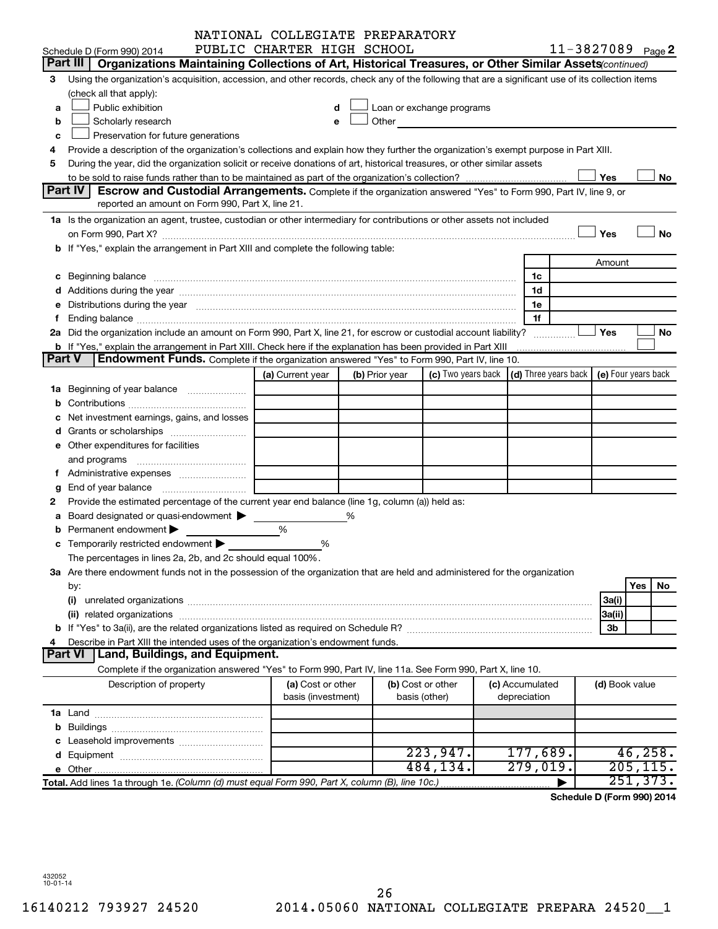|        |                                                                                                                                                                                                                                | NATIONAL COLLEGIATE PREPARATORY |   |                |                            |                                      |   |                |                            |
|--------|--------------------------------------------------------------------------------------------------------------------------------------------------------------------------------------------------------------------------------|---------------------------------|---|----------------|----------------------------|--------------------------------------|---|----------------|----------------------------|
|        | Schedule D (Form 990) 2014                                                                                                                                                                                                     | PUBLIC CHARTER HIGH SCHOOL      |   |                |                            |                                      |   |                | 11-3827089 Page 2          |
|        | Part III   Organizations Maintaining Collections of Art, Historical Treasures, or Other Similar Assets (continued)                                                                                                             |                                 |   |                |                            |                                      |   |                |                            |
| 3      | Using the organization's acquisition, accession, and other records, check any of the following that are a significant use of its collection items                                                                              |                                 |   |                |                            |                                      |   |                |                            |
|        | (check all that apply):                                                                                                                                                                                                        |                                 |   |                |                            |                                      |   |                |                            |
| a      | Public exhibition                                                                                                                                                                                                              |                                 |   |                | Loan or exchange programs  |                                      |   |                |                            |
| b      | Scholarly research                                                                                                                                                                                                             |                                 |   |                | Other <b>Communication</b> |                                      |   |                |                            |
| c      | Preservation for future generations                                                                                                                                                                                            |                                 |   |                |                            |                                      |   |                |                            |
|        | Provide a description of the organization's collections and explain how they further the organization's exempt purpose in Part XIII.                                                                                           |                                 |   |                |                            |                                      |   |                |                            |
| 5      | During the year, did the organization solicit or receive donations of art, historical treasures, or other similar assets                                                                                                       |                                 |   |                |                            |                                      |   |                |                            |
|        |                                                                                                                                                                                                                                |                                 |   |                |                            |                                      |   | Yes            | No                         |
|        | <b>Part IV</b><br><b>Escrow and Custodial Arrangements.</b> Complete if the organization answered "Yes" to Form 990, Part IV, line 9, or                                                                                       |                                 |   |                |                            |                                      |   |                |                            |
|        | reported an amount on Form 990, Part X, line 21.                                                                                                                                                                               |                                 |   |                |                            |                                      |   |                |                            |
|        | 1a Is the organization an agent, trustee, custodian or other intermediary for contributions or other assets not included                                                                                                       |                                 |   |                |                            |                                      |   |                |                            |
|        |                                                                                                                                                                                                                                |                                 |   |                |                            |                                      |   | Yes            | No                         |
|        | b If "Yes," explain the arrangement in Part XIII and complete the following table:                                                                                                                                             |                                 |   |                |                            |                                      |   |                |                            |
|        |                                                                                                                                                                                                                                |                                 |   |                |                            |                                      |   | Amount         |                            |
|        |                                                                                                                                                                                                                                |                                 |   |                |                            |                                      |   |                |                            |
|        |                                                                                                                                                                                                                                |                                 |   |                |                            | 1c                                   |   |                |                            |
|        |                                                                                                                                                                                                                                |                                 |   |                |                            | 1d                                   |   |                |                            |
|        | e Distributions during the year manufactured and contained and contained and contained and contained and contained and contained and contained and contained and contained and contained and contained and contained and conta |                                 |   |                |                            | 1e                                   |   |                |                            |
|        |                                                                                                                                                                                                                                |                                 |   |                |                            | 1f                                   |   |                |                            |
|        | 2a Did the organization include an amount on Form 990, Part X, line 21, for escrow or custodial account liability?                                                                                                             |                                 |   |                |                            |                                      | . | Yes            | No                         |
| Part V | <b>b</b> If "Yes," explain the arrangement in Part XIII. Check here if the explanation has been provided in Part XIII                                                                                                          |                                 |   |                |                            |                                      |   |                |                            |
|        | <b>Endowment Funds.</b> Complete if the organization answered "Yes" to Form 990, Part IV, line 10.                                                                                                                             |                                 |   |                |                            |                                      |   |                |                            |
|        |                                                                                                                                                                                                                                | (a) Current year                |   | (b) Prior year | (c) Two years back         | $\vert$ (d) Three years back $\vert$ |   |                | (e) Four years back        |
|        |                                                                                                                                                                                                                                |                                 |   |                |                            |                                      |   |                |                            |
|        |                                                                                                                                                                                                                                |                                 |   |                |                            |                                      |   |                |                            |
|        | Net investment earnings, gains, and losses                                                                                                                                                                                     |                                 |   |                |                            |                                      |   |                |                            |
|        |                                                                                                                                                                                                                                |                                 |   |                |                            |                                      |   |                |                            |
|        | e Other expenditures for facilities                                                                                                                                                                                            |                                 |   |                |                            |                                      |   |                |                            |
|        |                                                                                                                                                                                                                                |                                 |   |                |                            |                                      |   |                |                            |
|        |                                                                                                                                                                                                                                |                                 |   |                |                            |                                      |   |                |                            |
| g      |                                                                                                                                                                                                                                |                                 |   |                |                            |                                      |   |                |                            |
|        | Provide the estimated percentage of the current year end balance (line 1g, column (a)) held as:                                                                                                                                |                                 |   |                |                            |                                      |   |                |                            |
|        | a Board designated or quasi-endowment >                                                                                                                                                                                        |                                 | % |                |                            |                                      |   |                |                            |
|        | Permanent endowment                                                                                                                                                                                                            | %                               |   |                |                            |                                      |   |                |                            |
|        | c Temporarily restricted endowment $\blacktriangleright$                                                                                                                                                                       | %                               |   |                |                            |                                      |   |                |                            |
|        | The percentages in lines 2a, 2b, and 2c should equal 100%.                                                                                                                                                                     |                                 |   |                |                            |                                      |   |                |                            |
|        | 3a Are there endowment funds not in the possession of the organization that are held and administered for the organization                                                                                                     |                                 |   |                |                            |                                      |   |                |                            |
|        | by:                                                                                                                                                                                                                            |                                 |   |                |                            |                                      |   |                | Yes<br>No.                 |
|        | (i)                                                                                                                                                                                                                            |                                 |   |                |                            |                                      |   | 3a(i)          |                            |
|        |                                                                                                                                                                                                                                |                                 |   |                |                            |                                      |   | 3a(ii)         |                            |
|        |                                                                                                                                                                                                                                |                                 |   |                |                            |                                      |   | 3b             |                            |
|        | Describe in Part XIII the intended uses of the organization's endowment funds.                                                                                                                                                 |                                 |   |                |                            |                                      |   |                |                            |
|        | Land, Buildings, and Equipment.<br><b>Part VI</b>                                                                                                                                                                              |                                 |   |                |                            |                                      |   |                |                            |
|        | Complete if the organization answered "Yes" to Form 990, Part IV, line 11a. See Form 990, Part X, line 10.                                                                                                                     |                                 |   |                |                            |                                      |   |                |                            |
|        | Description of property                                                                                                                                                                                                        | (a) Cost or other               |   |                | (b) Cost or other          | (c) Accumulated                      |   | (d) Book value |                            |
|        |                                                                                                                                                                                                                                | basis (investment)              |   | basis (other)  |                            | depreciation                         |   |                |                            |
|        |                                                                                                                                                                                                                                |                                 |   |                |                            |                                      |   |                |                            |
|        |                                                                                                                                                                                                                                |                                 |   |                |                            |                                      |   |                |                            |
|        |                                                                                                                                                                                                                                |                                 |   |                |                            |                                      |   |                |                            |
|        |                                                                                                                                                                                                                                |                                 |   |                | 223,947.                   | 177,689.                             |   |                | 46, 258.                   |
|        |                                                                                                                                                                                                                                |                                 |   |                | 484,134.                   | 279,019.                             |   |                | 205, 115.                  |
|        |                                                                                                                                                                                                                                |                                 |   |                |                            |                                      |   |                | 251,373.                   |
|        | Total. Add lines 1a through 1e. (Column (d) must equal Form 990, Part X, column (B), line 10c.)                                                                                                                                |                                 |   |                |                            |                                      |   |                | Schodule D (Form 000) 2014 |

**Schedule D (Form 990) 2014**

432052 10-01-14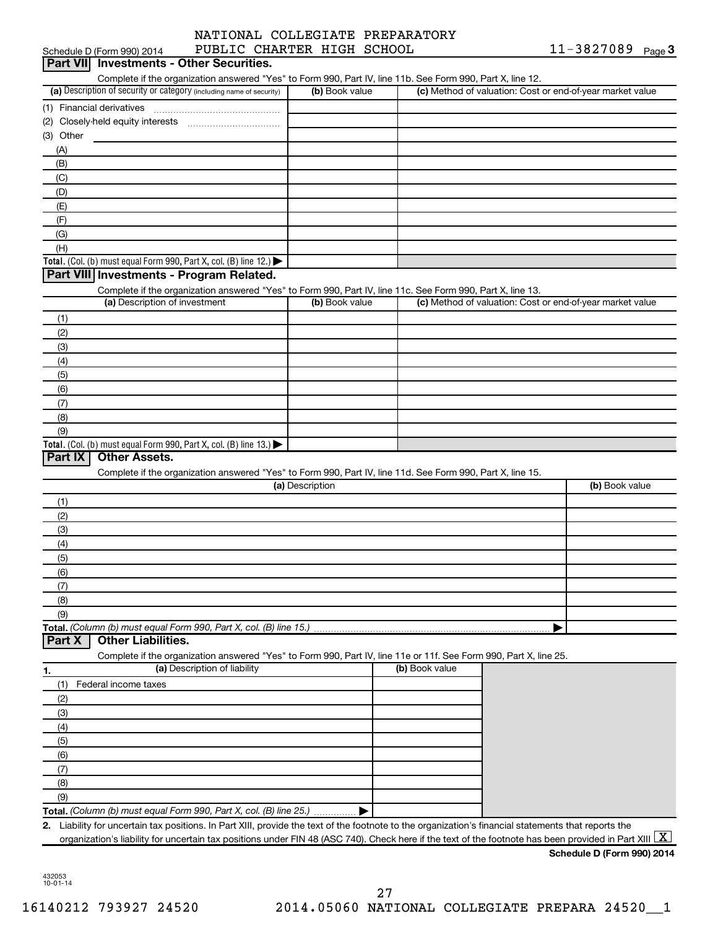|                            | NATIONAL COLLEGIATE PREPARATORY |
|----------------------------|---------------------------------|
| PUBLIC CHARTER HIGH SCHOOL |                                 |

| Schedule D (Form 990) 2014<br>PUBLIC CHARTER HIGH SCHOOL<br>Part VII Investments - Other Securities.                                                                            |                 |                | TT-387108A<br>Page 3                                      |
|---------------------------------------------------------------------------------------------------------------------------------------------------------------------------------|-----------------|----------------|-----------------------------------------------------------|
| Complete if the organization answered "Yes" to Form 990, Part IV, line 11b. See Form 990, Part X, line 12.                                                                      |                 |                |                                                           |
| (a) Description of security or category (including name of security)                                                                                                            | (b) Book value  |                | (c) Method of valuation: Cost or end-of-year market value |
| (1) Financial derivatives                                                                                                                                                       |                 |                |                                                           |
|                                                                                                                                                                                 |                 |                |                                                           |
| (3) Other                                                                                                                                                                       |                 |                |                                                           |
| (A)                                                                                                                                                                             |                 |                |                                                           |
| (B)                                                                                                                                                                             |                 |                |                                                           |
| (C)                                                                                                                                                                             |                 |                |                                                           |
| (D)                                                                                                                                                                             |                 |                |                                                           |
| (E)                                                                                                                                                                             |                 |                |                                                           |
| (F)                                                                                                                                                                             |                 |                |                                                           |
| (G)                                                                                                                                                                             |                 |                |                                                           |
| (H)                                                                                                                                                                             |                 |                |                                                           |
| Total. (Col. (b) must equal Form 990, Part X, col. (B) line 12.)                                                                                                                |                 |                |                                                           |
| Part VIII Investments - Program Related.                                                                                                                                        |                 |                |                                                           |
|                                                                                                                                                                                 |                 |                |                                                           |
| Complete if the organization answered "Yes" to Form 990, Part IV, line 11c. See Form 990, Part X, line 13.<br>(a) Description of investment                                     | (b) Book value  |                | (c) Method of valuation: Cost or end-of-year market value |
|                                                                                                                                                                                 |                 |                |                                                           |
| (1)                                                                                                                                                                             |                 |                |                                                           |
| (2)                                                                                                                                                                             |                 |                |                                                           |
| (3)                                                                                                                                                                             |                 |                |                                                           |
| (4)                                                                                                                                                                             |                 |                |                                                           |
| (5)                                                                                                                                                                             |                 |                |                                                           |
| (6)                                                                                                                                                                             |                 |                |                                                           |
| (7)                                                                                                                                                                             |                 |                |                                                           |
| (8)                                                                                                                                                                             |                 |                |                                                           |
| (9)                                                                                                                                                                             |                 |                |                                                           |
| Total. (Col. (b) must equal Form 990, Part X, col. (B) line 13.)                                                                                                                |                 |                |                                                           |
| Part IX<br><b>Other Assets.</b>                                                                                                                                                 |                 |                |                                                           |
| Complete if the organization answered "Yes" to Form 990, Part IV, line 11d. See Form 990, Part X, line 15.                                                                      | (a) Description |                | (b) Book value                                            |
|                                                                                                                                                                                 |                 |                |                                                           |
| (1)                                                                                                                                                                             |                 |                |                                                           |
| (2)                                                                                                                                                                             |                 |                |                                                           |
| (3)                                                                                                                                                                             |                 |                |                                                           |
| (4)                                                                                                                                                                             |                 |                |                                                           |
| (5)                                                                                                                                                                             |                 |                |                                                           |
| (6)                                                                                                                                                                             |                 |                |                                                           |
| (7)                                                                                                                                                                             |                 |                |                                                           |
| (8)                                                                                                                                                                             |                 |                |                                                           |
| (9)                                                                                                                                                                             |                 |                |                                                           |
|                                                                                                                                                                                 |                 |                |                                                           |
| <b>Other Liabilities.</b><br>Part X                                                                                                                                             |                 |                |                                                           |
| Complete if the organization answered "Yes" to Form 990, Part IV, line 11e or 11f. See Form 990, Part X, line 25.                                                               |                 |                |                                                           |
| (a) Description of liability<br>1.                                                                                                                                              |                 | (b) Book value |                                                           |
| Federal income taxes<br>(1)                                                                                                                                                     |                 |                |                                                           |
| (2)                                                                                                                                                                             |                 |                |                                                           |
| (3)                                                                                                                                                                             |                 |                |                                                           |
| (4)                                                                                                                                                                             |                 |                |                                                           |
| (5)                                                                                                                                                                             |                 |                |                                                           |
| (6)                                                                                                                                                                             |                 |                |                                                           |
| (7)                                                                                                                                                                             |                 |                |                                                           |
| (8)                                                                                                                                                                             |                 |                |                                                           |
| (9)                                                                                                                                                                             |                 |                |                                                           |
| Total. (Column (b) must equal Form 990, Part X, col. (B) line 25.)                                                                                                              |                 |                |                                                           |
| Liability for uncertain tax positions. In Part XIII, provide the text of the footnote to the organization's financial statements that reports the<br>2.                         |                 |                |                                                           |
| organization's liability for uncertain tax positions under FIN 48 (ASC 740). Check here if the text of the footnote has been provided in Part XIII $\lfloor \texttt{X} \rfloor$ |                 |                |                                                           |
|                                                                                                                                                                                 |                 |                |                                                           |

432053 10-01-14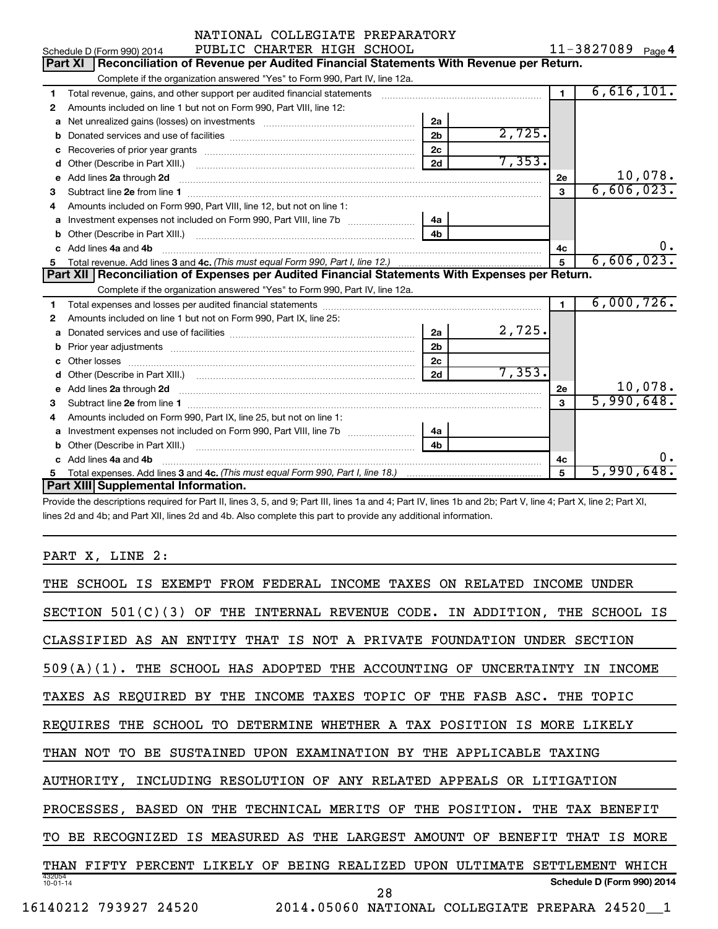|   | NATIONAL COLLEGIATE PREPARATORY                                                                                                                             |                |        |                |                   |
|---|-------------------------------------------------------------------------------------------------------------------------------------------------------------|----------------|--------|----------------|-------------------|
|   | PUBLIC CHARTER HIGH SCHOOL<br>Schedule D (Form 990) 2014                                                                                                    |                |        |                | 11-3827089 Page 4 |
|   | Reconciliation of Revenue per Audited Financial Statements With Revenue per Return.<br><b>Part XI</b>                                                       |                |        |                |                   |
|   | Complete if the organization answered "Yes" to Form 990, Part IV, line 12a.                                                                                 |                |        |                |                   |
| 1 | Total revenue, gains, and other support per audited financial statements [11] [11] Total revenue, gains, and other support per audited financial statements |                |        | $\blacksquare$ | 6,616,101.        |
| 2 | Amounts included on line 1 but not on Form 990, Part VIII, line 12:                                                                                         |                |        |                |                   |
| a |                                                                                                                                                             | 2a             |        |                |                   |
|   |                                                                                                                                                             | 2 <sub>b</sub> | 2,725. |                |                   |
|   |                                                                                                                                                             | 2 <sub>c</sub> |        |                |                   |
| d |                                                                                                                                                             | 2d             | 7,353. |                |                   |
| e | Add lines 2a through 2d                                                                                                                                     |                |        | 2е             | 10,078.           |
| 3 |                                                                                                                                                             |                |        | 3              | 6,606,023.        |
| 4 | Amounts included on Form 990, Part VIII, line 12, but not on line 1:                                                                                        |                |        |                |                   |
| a | Investment expenses not included on Form 990, Part VIII, line 7b [11, 11, 11, 11, 11, 11]                                                                   | 4a             |        |                |                   |
|   |                                                                                                                                                             |                |        |                |                   |
|   | c Add lines 4a and 4b                                                                                                                                       |                |        | 4c             | 0.                |
| 5 |                                                                                                                                                             |                |        | 5              | 6,606,023.        |
|   |                                                                                                                                                             |                |        |                |                   |
|   | Part XII   Reconciliation of Expenses per Audited Financial Statements With Expenses per Return.                                                            |                |        |                |                   |
|   | Complete if the organization answered "Yes" to Form 990, Part IV, line 12a.                                                                                 |                |        |                |                   |
| 1 |                                                                                                                                                             |                |        | $\blacksquare$ | 6,000,726.        |
| 2 | Amounts included on line 1 but not on Form 990, Part IX, line 25:                                                                                           |                |        |                |                   |
| a |                                                                                                                                                             | 2a             | 2,725. |                |                   |
| b |                                                                                                                                                             | 2 <sub>b</sub> |        |                |                   |
|   |                                                                                                                                                             | 2c             |        |                |                   |
|   |                                                                                                                                                             | 2d             | 7,353. |                |                   |
|   | e Add lines 2a through 2d <b>contract and all anomana contract and all anomana contract and all anomana contract a</b>                                      |                |        | 2e             | 10,078.           |
| 3 |                                                                                                                                                             |                |        | 3              | 5,990,648.        |
| 4 | Amounts included on Form 990, Part IX, line 25, but not on line 1:                                                                                          |                |        |                |                   |
|   | a Investment expenses not included on Form 990, Part VIII, line 7b [11, 11, 11, 11]                                                                         | 4a             |        |                |                   |
|   |                                                                                                                                                             | 4 <sub>h</sub> |        |                |                   |
|   | c Add lines 4a and 4b                                                                                                                                       |                |        | 4c             | 0.                |
| 5 | Part XIII Supplemental Information.                                                                                                                         |                |        | 5              | 5,990,648.        |

Provide the descriptions required for Part II, lines 3, 5, and 9; Part III, lines 1a and 4; Part IV, lines 1b and 2b; Part V, line 4; Part X, line 2; Part XI, lines 2d and 4b; and Part XII, lines 2d and 4b. Also complete this part to provide any additional information.

PART X, LINE 2:

| THE SCHOOL IS EXEMPT FROM FEDERAL INCOME TAXES ON RELATED<br>INCOME<br>UNDER                         |
|------------------------------------------------------------------------------------------------------|
| SECTION $501(C)(3)$<br>OF THE<br>INTERNAL REVENUE CODE. IN ADDITION, THE SCHOOL IS                   |
| CLASSIFIED AS AN ENTITY THAT IS NOT A PRIVATE FOUNDATION UNDER SECTION                               |
| 509(A)(1). THE SCHOOL HAS ADOPTED THE ACCOUNTING OF UNCERTAINTY<br>INCOME<br>TN                      |
| BY THE INCOME TAXES TOPIC OF THE FASB ASC. THE TOPIC<br>TAXES AS REQUIRED                            |
| TO DETERMINE WHETHER A TAX POSITION IS MORE LIKELY<br><b>REOUIRES</b><br>THE<br>SCHOOL               |
| SUSTAINED UPON EXAMINATION BY THE APPLICABLE TAXING<br>THAN NOT<br>TO.<br>BE.                        |
| INCLUDING RESOLUTION OF ANY RELATED APPEALS OR LITIGATION<br>AUTHORITY,                              |
| TECHNICAL MERITS OF THE POSITION.<br>PROCESSES, BASED<br>ON<br>THE<br>THE<br>TAX<br>BENEFIT          |
| RECOGNIZED<br>IS MEASURED AS THE LARGEST AMOUNT OF<br><b>BENEFIT</b><br>THAT<br>IS MORE<br>BE.<br>TО |
| FIFTY PERCENT LIKELY OF<br>BEING REALIZED UPON ULTIMATE<br>SETTLEMENT<br>THAN<br>WHTCH               |
| 432054<br>Schedule D (Form 990) 2014<br>$10 - 01 - 14$<br>28                                         |
| 2014.05060 NATIONAL COLLEGIATE PREPARA 24520_1<br>16140212<br>793927 24520                           |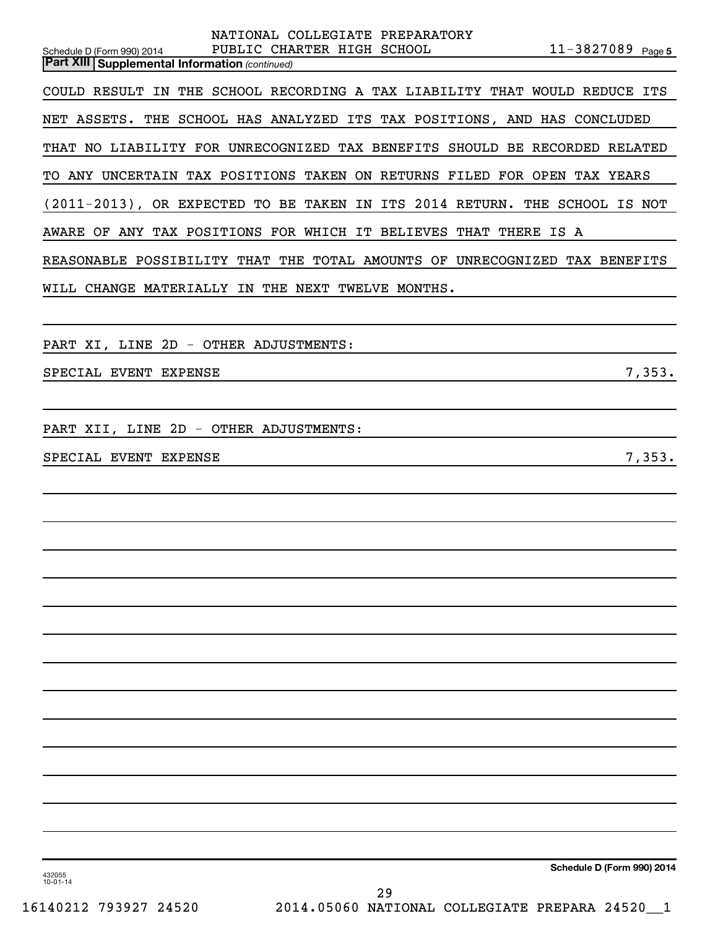| NATIONAL COLLEGIATE PREPARATORY<br>$11 - 3827089$ Page 5<br>PUBLIC CHARTER HIGH SCHOOL<br>Schedule D (Form 990) 2014 |
|----------------------------------------------------------------------------------------------------------------------|
| <b>Part XIII Supplemental Information (continued)</b>                                                                |
| COULD RESULT IN THE SCHOOL RECORDING A TAX LIABILITY THAT WOULD REDUCE ITS                                           |
| NET ASSETS. THE SCHOOL HAS ANALYZED ITS TAX POSITIONS, AND HAS CONCLUDED                                             |
| THAT NO LIABILITY FOR UNRECOGNIZED TAX BENEFITS SHOULD BE RECORDED RELATED                                           |
| TO ANY UNCERTAIN TAX POSITIONS TAKEN ON RETURNS FILED FOR OPEN TAX YEARS                                             |
| (2011-2013), OR EXPECTED TO BE TAKEN IN ITS 2014 RETURN. THE SCHOOL IS NOT                                           |
| AWARE OF ANY TAX POSITIONS FOR WHICH IT BELIEVES THAT THERE IS A                                                     |
| REASONABLE POSSIBILITY THAT THE TOTAL AMOUNTS OF UNRECOGNIZED TAX BENEFITS                                           |
| WILL CHANGE MATERIALLY IN THE NEXT TWELVE MONTHS.                                                                    |
|                                                                                                                      |
| PART XI, LINE 2D - OTHER ADJUSTMENTS:                                                                                |
| 7,353.<br>SPECIAL EVENT EXPENSE                                                                                      |
|                                                                                                                      |
| PART XII, LINE 2D - OTHER ADJUSTMENTS:                                                                               |
| SPECIAL EVENT EXPENSE<br>7,353.                                                                                      |
|                                                                                                                      |
|                                                                                                                      |
|                                                                                                                      |
|                                                                                                                      |
|                                                                                                                      |
|                                                                                                                      |
|                                                                                                                      |
|                                                                                                                      |
|                                                                                                                      |
|                                                                                                                      |
|                                                                                                                      |
|                                                                                                                      |
|                                                                                                                      |
|                                                                                                                      |
|                                                                                                                      |

**Schedule D (Form 990) 2014**

432055 10-01-14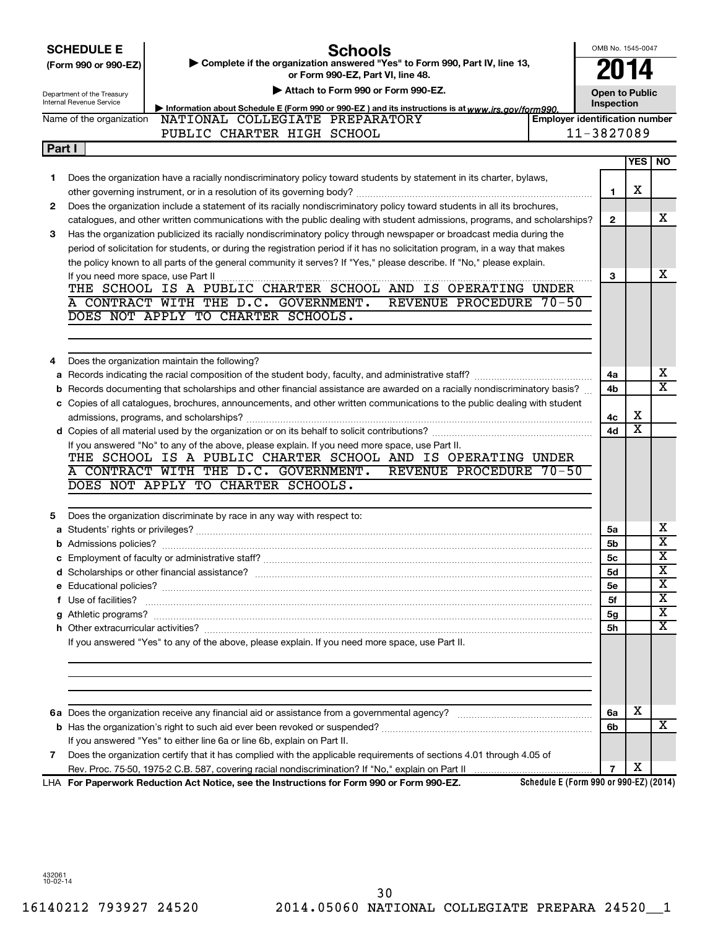|        | <b>Schools</b><br><b>SCHEDULE E</b><br>Complete if the organization answered "Yes" to Form 990, Part IV, line 13,                                                                                                                  | OMB No. 1545-0047     |                         |                            |
|--------|------------------------------------------------------------------------------------------------------------------------------------------------------------------------------------------------------------------------------------|-----------------------|-------------------------|----------------------------|
|        | (Form 990 or 990-EZ)<br>or Form 990-EZ, Part VI, line 48.                                                                                                                                                                          |                       | U14                     |                            |
|        | Attach to Form 990 or Form 990-EZ.<br>Department of the Treasury                                                                                                                                                                   | <b>Open to Public</b> |                         |                            |
|        | <b>Internal Revenue Service</b><br>Information about Schedule E (Form 990 or 990-EZ) and its instructions is at www.irs.gov/form990.                                                                                               | Inspection            |                         |                            |
|        | Name of the organization<br>NATIONAL COLLEGIATE PREPARATORY<br><b>Employer identification number</b>                                                                                                                               |                       |                         |                            |
|        | PUBLIC CHARTER HIGH SCHOOL                                                                                                                                                                                                         | 11-3827089            |                         |                            |
| Part I |                                                                                                                                                                                                                                    |                       |                         |                            |
|        |                                                                                                                                                                                                                                    |                       | <b>YES</b>              | <b>NO</b>                  |
| 1.     | Does the organization have a racially nondiscriminatory policy toward students by statement in its charter, bylaws,                                                                                                                |                       |                         |                            |
|        |                                                                                                                                                                                                                                    | 1                     | х                       |                            |
| 2.     | Does the organization include a statement of its racially nondiscriminatory policy toward students in all its brochures,                                                                                                           |                       |                         |                            |
|        | catalogues, and other written communications with the public dealing with student admissions, programs, and scholarships?                                                                                                          | $\mathbf{2}$          |                         | x                          |
| 3      | Has the organization publicized its racially nondiscriminatory policy through newspaper or broadcast media during the                                                                                                              |                       |                         |                            |
|        | period of solicitation for students, or during the registration period if it has no solicitation program, in a way that makes                                                                                                      |                       |                         |                            |
|        | the policy known to all parts of the general community it serves? If "Yes," please describe. If "No," please explain.                                                                                                              |                       |                         |                            |
|        | If you need more space, use Part II                                                                                                                                                                                                | з                     |                         | x                          |
|        | THE SCHOOL IS A PUBLIC CHARTER SCHOOL AND IS OPERATING UNDER                                                                                                                                                                       |                       |                         |                            |
|        | A CONTRACT WITH THE D.C. GOVERNMENT.<br>REVENUE PROCEDURE 70-50                                                                                                                                                                    |                       |                         |                            |
|        | DOES NOT APPLY TO CHARTER SCHOOLS.                                                                                                                                                                                                 |                       |                         |                            |
|        |                                                                                                                                                                                                                                    |                       |                         |                            |
|        |                                                                                                                                                                                                                                    |                       |                         |                            |
| 4      | Does the organization maintain the following?                                                                                                                                                                                      |                       |                         |                            |
| a      |                                                                                                                                                                                                                                    | 4a                    |                         | х                          |
| b      | Records documenting that scholarships and other financial assistance are awarded on a racially nondiscriminatory basis?                                                                                                            | 4b                    |                         | X                          |
|        | c Copies of all catalogues, brochures, announcements, and other written communications to the public dealing with student                                                                                                          |                       |                         |                            |
|        |                                                                                                                                                                                                                                    | 4c                    | х                       |                            |
|        |                                                                                                                                                                                                                                    | 4d                    | $\overline{\textbf{x}}$ |                            |
|        | If you answered "No" to any of the above, please explain. If you need more space, use Part II.                                                                                                                                     |                       |                         |                            |
|        | THE SCHOOL IS A PUBLIC CHARTER SCHOOL AND IS OPERATING UNDER                                                                                                                                                                       |                       |                         |                            |
|        | A CONTRACT WITH THE D.C. GOVERNMENT.<br>REVENUE PROCEDURE 70-50                                                                                                                                                                    |                       |                         |                            |
|        | DOES NOT APPLY TO CHARTER SCHOOLS.                                                                                                                                                                                                 |                       |                         |                            |
|        |                                                                                                                                                                                                                                    |                       |                         |                            |
| 5      | Does the organization discriminate by race in any way with respect to:                                                                                                                                                             |                       |                         |                            |
|        |                                                                                                                                                                                                                                    | 5a                    |                         | х<br>$\overline{\text{X}}$ |
|        |                                                                                                                                                                                                                                    | 5b                    |                         | $\overline{\texttt{x}}$    |
|        |                                                                                                                                                                                                                                    | 5c                    |                         | $\overline{\mathbf{x}}$    |
|        |                                                                                                                                                                                                                                    | 5d                    |                         | X                          |
|        |                                                                                                                                                                                                                                    | <b>5e</b>             |                         | х                          |
|        | f Use of facilities? <b>www.communities.</b> We can be a series of the contract of the contract of the contract of the contract of the contract of the contract of the contract of the contract of the contract of the contract of | 5f                    |                         | X                          |
|        |                                                                                                                                                                                                                                    | 5g                    |                         | х                          |
|        |                                                                                                                                                                                                                                    | 5h                    |                         |                            |
|        | If you answered "Yes" to any of the above, please explain. If you need more space, use Part II.                                                                                                                                    |                       |                         |                            |
|        |                                                                                                                                                                                                                                    |                       |                         |                            |
|        |                                                                                                                                                                                                                                    |                       |                         |                            |
|        |                                                                                                                                                                                                                                    |                       |                         |                            |
|        |                                                                                                                                                                                                                                    |                       | X                       |                            |
|        |                                                                                                                                                                                                                                    | 6a                    |                         | X                          |
|        |                                                                                                                                                                                                                                    | 6b                    |                         |                            |
|        | If you answered "Yes" to either line 6a or line 6b, explain on Part II.                                                                                                                                                            |                       |                         |                            |
| 7      | Does the organization certify that it has complied with the applicable requirements of sections 4.01 through 4.05 of                                                                                                               | $\overline{7}$        | х                       |                            |
|        |                                                                                                                                                                                                                                    |                       |                         |                            |

**For Paperwork Reduction Act Notice, see the Instructions for Form 990 or Form 990-EZ.** LHA

**Schedule E (Form 990 or 990-EZ) (2014)**

432061 10-02-14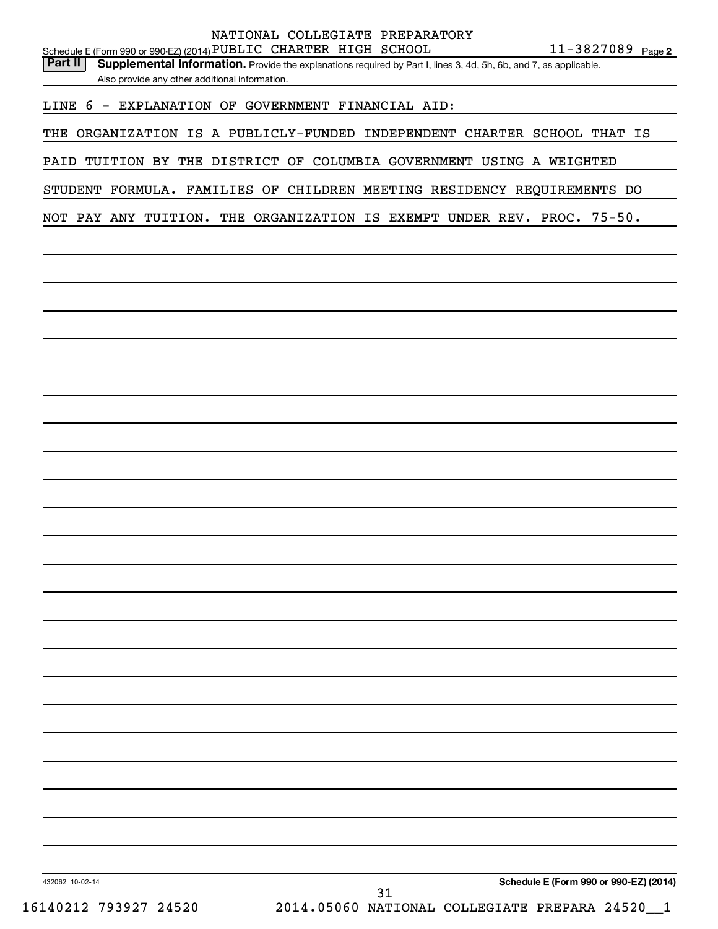|                                                                   | NATIONAL COLLEGIATE PREPARATORY |                     |
|-------------------------------------------------------------------|---------------------------------|---------------------|
| Schedule E (Form 990 or 990-EZ) (2014) PUBLIC CHARTER HIGH SCHOOL |                                 | $11 - 3827089$ Page |

| <b>Part II</b>   Supplemental Information. Provide the explanations required by Part I, lines 3, 4d, 5h, 6b, and 7, as applicable. |
|------------------------------------------------------------------------------------------------------------------------------------|
| Also provide any other additional information.                                                                                     |

LINE 6 - EXPLANATION OF GOVERNMENT FINANCIAL AID:

THE ORGANIZATION IS A PUBLICLY-FUNDED INDEPENDENT CHARTER SCHOOL THAT IS

PAID TUITION BY THE DISTRICT OF COLUMBIA GOVERNMENT USING A WEIGHTED

STUDENT FORMULA. FAMILIES OF CHILDREN MEETING RESIDENCY REQUIREMENTS DO

NOT PAY ANY TUITION. THE ORGANIZATION IS EXEMPT UNDER REV. PROC. 75-50.

31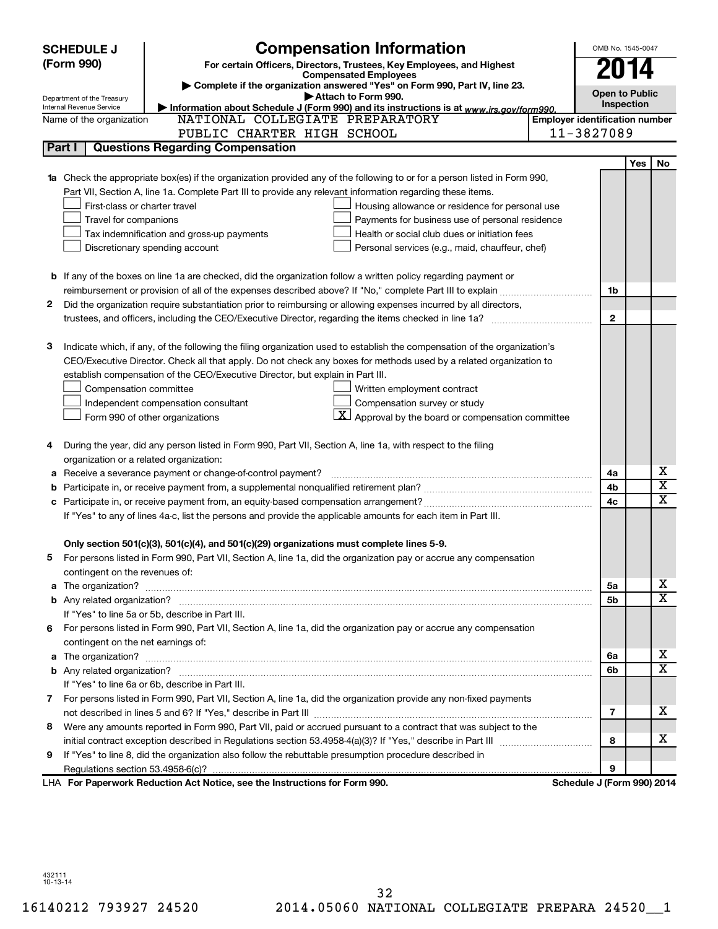| <b>SCHEDULE J</b>                                      | <b>Compensation Information</b>                                                                                           |                                       | OMB No. 1545-0047          |            |                         |
|--------------------------------------------------------|---------------------------------------------------------------------------------------------------------------------------|---------------------------------------|----------------------------|------------|-------------------------|
| (Form 990)                                             | For certain Officers, Directors, Trustees, Key Employees, and Highest                                                     |                                       |                            |            |                         |
|                                                        | <b>Compensated Employees</b>                                                                                              |                                       | 2014                       |            |                         |
|                                                        | Complete if the organization answered "Yes" on Form 990, Part IV, line 23.                                                |                                       | <b>Open to Public</b>      |            |                         |
| Department of the Treasury<br>Internal Revenue Service | Attach to Form 990.<br>Information about Schedule J (Form 990) and its instructions is at www.irs.gov/form990.            |                                       | Inspection                 |            |                         |
| Name of the organization                               | NATIONAL COLLEGIATE PREPARATORY                                                                                           | <b>Employer identification number</b> |                            |            |                         |
|                                                        | PUBLIC CHARTER HIGH SCHOOL                                                                                                |                                       | 11-3827089                 |            |                         |
| Part I                                                 | <b>Questions Regarding Compensation</b>                                                                                   |                                       |                            |            |                         |
|                                                        |                                                                                                                           |                                       |                            | <b>Yes</b> | No                      |
|                                                        | Check the appropriate box(es) if the organization provided any of the following to or for a person listed in Form 990,    |                                       |                            |            |                         |
|                                                        | Part VII, Section A, line 1a. Complete Part III to provide any relevant information regarding these items.                |                                       |                            |            |                         |
|                                                        | First-class or charter travel<br>Housing allowance or residence for personal use                                          |                                       |                            |            |                         |
|                                                        | Travel for companions<br>Payments for business use of personal residence                                                  |                                       |                            |            |                         |
|                                                        | Health or social club dues or initiation fees<br>Tax indemnification and gross-up payments                                |                                       |                            |            |                         |
|                                                        | Discretionary spending account<br>Personal services (e.g., maid, chauffeur, chef)                                         |                                       |                            |            |                         |
|                                                        |                                                                                                                           |                                       |                            |            |                         |
|                                                        | <b>b</b> If any of the boxes on line 1a are checked, did the organization follow a written policy regarding payment or    |                                       |                            |            |                         |
|                                                        |                                                                                                                           |                                       | 1b                         |            |                         |
| 2                                                      | Did the organization require substantiation prior to reimbursing or allowing expenses incurred by all directors,          |                                       |                            |            |                         |
|                                                        | trustees, and officers, including the CEO/Executive Director, regarding the items checked in line 1a?                     |                                       | $\mathbf{2}$               |            |                         |
|                                                        |                                                                                                                           |                                       |                            |            |                         |
| з                                                      | Indicate which, if any, of the following the filing organization used to establish the compensation of the organization's |                                       |                            |            |                         |
|                                                        | CEO/Executive Director. Check all that apply. Do not check any boxes for methods used by a related organization to        |                                       |                            |            |                         |
|                                                        | establish compensation of the CEO/Executive Director, but explain in Part III.                                            |                                       |                            |            |                         |
|                                                        | Compensation committee<br>Written employment contract                                                                     |                                       |                            |            |                         |
|                                                        | Compensation survey or study<br>Independent compensation consultant                                                       |                                       |                            |            |                         |
|                                                        | $ \mathbf{X} $ Approval by the board or compensation committee<br>Form 990 of other organizations                         |                                       |                            |            |                         |
|                                                        |                                                                                                                           |                                       |                            |            |                         |
| 4                                                      | During the year, did any person listed in Form 990, Part VII, Section A, line 1a, with respect to the filing              |                                       |                            |            |                         |
|                                                        | organization or a related organization:                                                                                   |                                       |                            |            |                         |
| а                                                      | Receive a severance payment or change-of-control payment?                                                                 |                                       | 4a                         |            | х                       |
| b                                                      |                                                                                                                           |                                       | 4b                         |            | $\overline{\textbf{x}}$ |
|                                                        |                                                                                                                           |                                       | 4c                         |            | x                       |
|                                                        | If "Yes" to any of lines 4a-c, list the persons and provide the applicable amounts for each item in Part III.             |                                       |                            |            |                         |
|                                                        |                                                                                                                           |                                       |                            |            |                         |
|                                                        | Only section 501(c)(3), 501(c)(4), and 501(c)(29) organizations must complete lines 5-9.                                  |                                       |                            |            |                         |
| b.                                                     | For persons listed in Form 990, Part VII, Section A, line 1a, did the organization pay or accrue any compensation         |                                       |                            |            |                         |
|                                                        | contingent on the revenues of:                                                                                            |                                       |                            |            |                         |
| a                                                      |                                                                                                                           |                                       | 5a                         |            | х                       |
|                                                        |                                                                                                                           |                                       | 5b                         |            | X                       |
|                                                        | If "Yes" to line 5a or 5b, describe in Part III.                                                                          |                                       |                            |            |                         |
|                                                        | 6 For persons listed in Form 990, Part VII, Section A, line 1a, did the organization pay or accrue any compensation       |                                       |                            |            |                         |
|                                                        | contingent on the net earnings of:                                                                                        |                                       |                            |            |                         |
| а                                                      |                                                                                                                           |                                       | 6а                         |            | х                       |
|                                                        |                                                                                                                           |                                       | 6b                         |            | X                       |
|                                                        | If "Yes" to line 6a or 6b, describe in Part III.                                                                          |                                       |                            |            |                         |
|                                                        | 7 For persons listed in Form 990, Part VII, Section A, line 1a, did the organization provide any non-fixed payments       |                                       |                            |            |                         |
|                                                        |                                                                                                                           |                                       | 7                          |            | x                       |
| 8                                                      | Were any amounts reported in Form 990, Part VII, paid or accrued pursuant to a contract that was subject to the           |                                       |                            |            |                         |
|                                                        |                                                                                                                           |                                       | 8                          |            | x                       |
| 9                                                      | If "Yes" to line 8, did the organization also follow the rebuttable presumption procedure described in                    |                                       |                            |            |                         |
|                                                        |                                                                                                                           |                                       | 9                          |            |                         |
|                                                        | LHA For Paperwork Reduction Act Notice, see the Instructions for Form 990.                                                |                                       | Schedule J (Form 990) 2014 |            |                         |

432111 10-13-14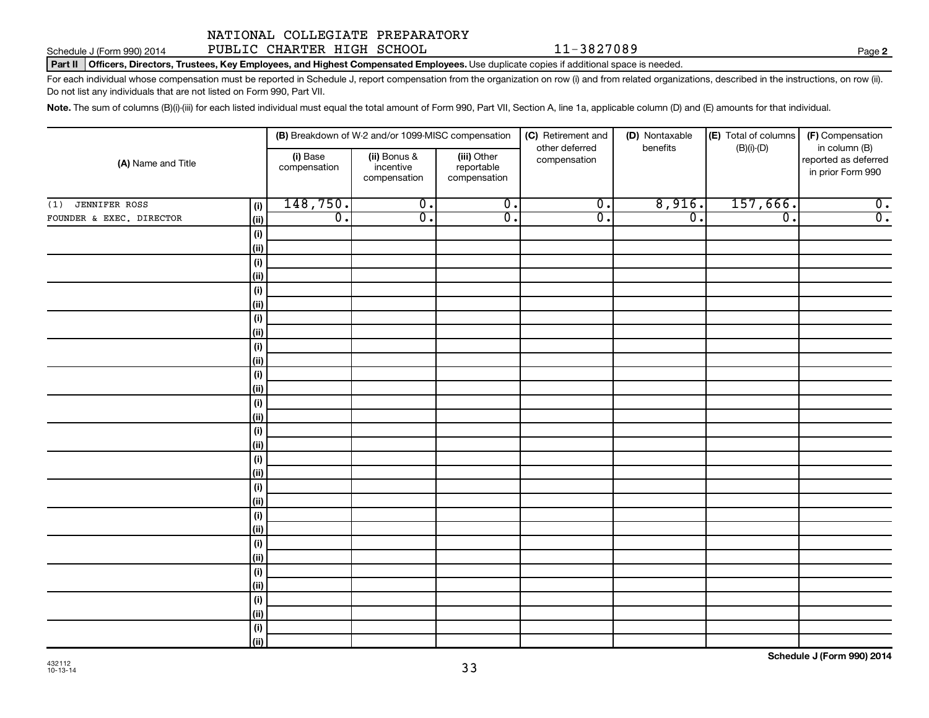Schedule J (Form 990) 2014 Page PUBLIC CHARTER HIGH SCHOOL 11-3827089

Part II | Officers, Directors, Trustees, Key Employees, and Highest Compensated Employees. Use duplicate copies if additional space is needed.

For each individual whose compensation must be reported in Schedule J, report compensation from the organization on row (i) and from related organizations, described in the instructions, on row (ii). Do not list any individuals that are not listed on Form 990, Part VII.

Note. The sum of columns (B)(i)-(iii) for each listed individual must equal the total amount of Form 990, Part VII, Section A, line 1a, applicable column (D) and (E) amounts for that individual.

|                             |             |                          | (B) Breakdown of W-2 and/or 1099-MISC compensation |                                           | (C) Retirement and<br>other deferred | (D) Nontaxable<br>benefits | (E) Total of columns<br>$(B)(i)-(D)$ | (F) Compensation<br>in column (B)         |
|-----------------------------|-------------|--------------------------|----------------------------------------------------|-------------------------------------------|--------------------------------------|----------------------------|--------------------------------------|-------------------------------------------|
| (A) Name and Title          |             | (i) Base<br>compensation | (ii) Bonus &<br>incentive<br>compensation          | (iii) Other<br>reportable<br>compensation | compensation                         |                            |                                      | reported as deferred<br>in prior Form 990 |
| <b>JENNIFER ROSS</b><br>(1) | (i)         | 148,750.                 | $\overline{0}$ .                                   | $\overline{0}$ .                          | $\overline{0}$ .                     | 8,916.                     | 157,666.                             | $\overline{0}$ .                          |
| FOUNDER & EXEC. DIRECTOR    | (ii)        | $\overline{0}$ .         | $\overline{\mathfrak{o}}$ .                        | $\overline{0}$ .                          | $\overline{0}$ .                     | $\overline{0}$ .           | $\overline{0}$ .                     | $\overline{0}$ .                          |
|                             | $(\sf{i})$  |                          |                                                    |                                           |                                      |                            |                                      |                                           |
|                             | (ii)        |                          |                                                    |                                           |                                      |                            |                                      |                                           |
|                             | $(\sf{i})$  |                          |                                                    |                                           |                                      |                            |                                      |                                           |
|                             | (ii)        |                          |                                                    |                                           |                                      |                            |                                      |                                           |
|                             | $(\sf{i})$  |                          |                                                    |                                           |                                      |                            |                                      |                                           |
|                             | (ii)        |                          |                                                    |                                           |                                      |                            |                                      |                                           |
|                             | (i)         |                          |                                                    |                                           |                                      |                            |                                      |                                           |
|                             | (ii)        |                          |                                                    |                                           |                                      |                            |                                      |                                           |
|                             | (i)         |                          |                                                    |                                           |                                      |                            |                                      |                                           |
|                             | (ii)        |                          |                                                    |                                           |                                      |                            |                                      |                                           |
|                             | (i)         |                          |                                                    |                                           |                                      |                            |                                      |                                           |
|                             | (ii)        |                          |                                                    |                                           |                                      |                            |                                      |                                           |
|                             | (i)         |                          |                                                    |                                           |                                      |                            |                                      |                                           |
|                             | (ii)        |                          |                                                    |                                           |                                      |                            |                                      |                                           |
|                             | (i)<br>(ii) |                          |                                                    |                                           |                                      |                            |                                      |                                           |
|                             | (i)         |                          |                                                    |                                           |                                      |                            |                                      |                                           |
|                             | (ii)        |                          |                                                    |                                           |                                      |                            |                                      |                                           |
|                             | (i)         |                          |                                                    |                                           |                                      |                            |                                      |                                           |
|                             | (ii)        |                          |                                                    |                                           |                                      |                            |                                      |                                           |
|                             | (i)         |                          |                                                    |                                           |                                      |                            |                                      |                                           |
|                             | (ii)        |                          |                                                    |                                           |                                      |                            |                                      |                                           |
|                             | (i)         |                          |                                                    |                                           |                                      |                            |                                      |                                           |
|                             | (ii)        |                          |                                                    |                                           |                                      |                            |                                      |                                           |
|                             | (i)         |                          |                                                    |                                           |                                      |                            |                                      |                                           |
|                             | (ii)        |                          |                                                    |                                           |                                      |                            |                                      |                                           |
|                             | (i)         |                          |                                                    |                                           |                                      |                            |                                      |                                           |
|                             | (ii)        |                          |                                                    |                                           |                                      |                            |                                      |                                           |
|                             | (i)         |                          |                                                    |                                           |                                      |                            |                                      |                                           |
|                             | (ii)        |                          |                                                    |                                           |                                      |                            |                                      |                                           |

**2**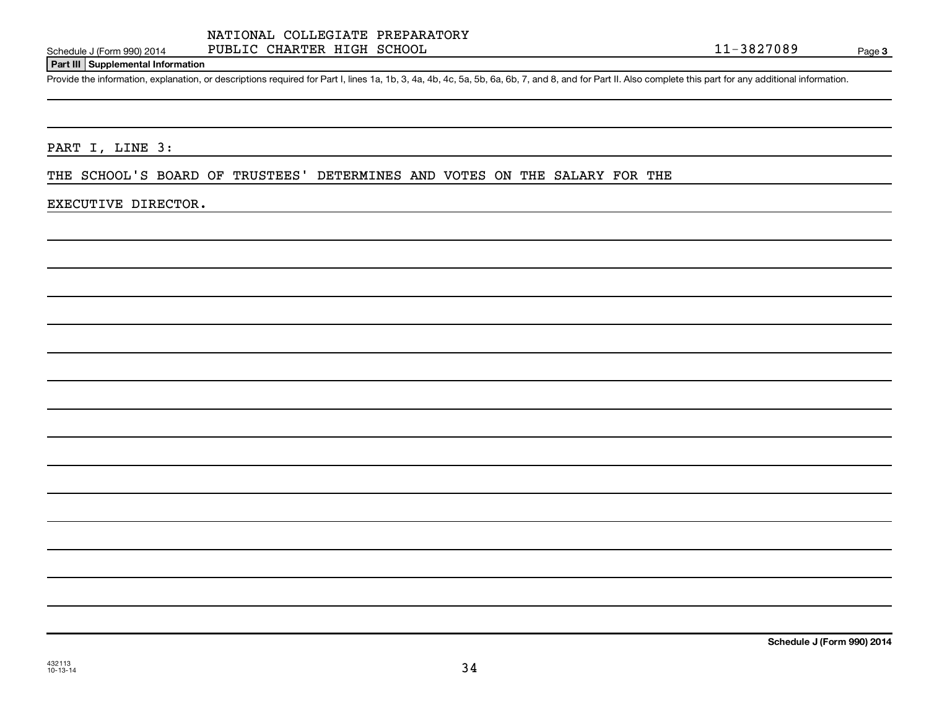## Schedule J (Form 990) 2014 Page PUBLIC CHARTER HIGH SCHOOL 11-3827089

Page 3

#### **Part III Supplemental Information**

Provide the information, explanation, or descriptions required for Part I, lines 1a, 1b, 3, 4a, 4b, 4c, 5a, 5b, 6a, 6b, 7, and 8, and for Part II. Also complete this part for any additional information.

PART I, LINE 3:

THE SCHOOL'S BOARD OF TRUSTEES' DETERMINES AND VOTES ON THE SALARY FOR THE

#### EXECUTIVE DIRECTOR.

**Schedule J (Form 990) 2014**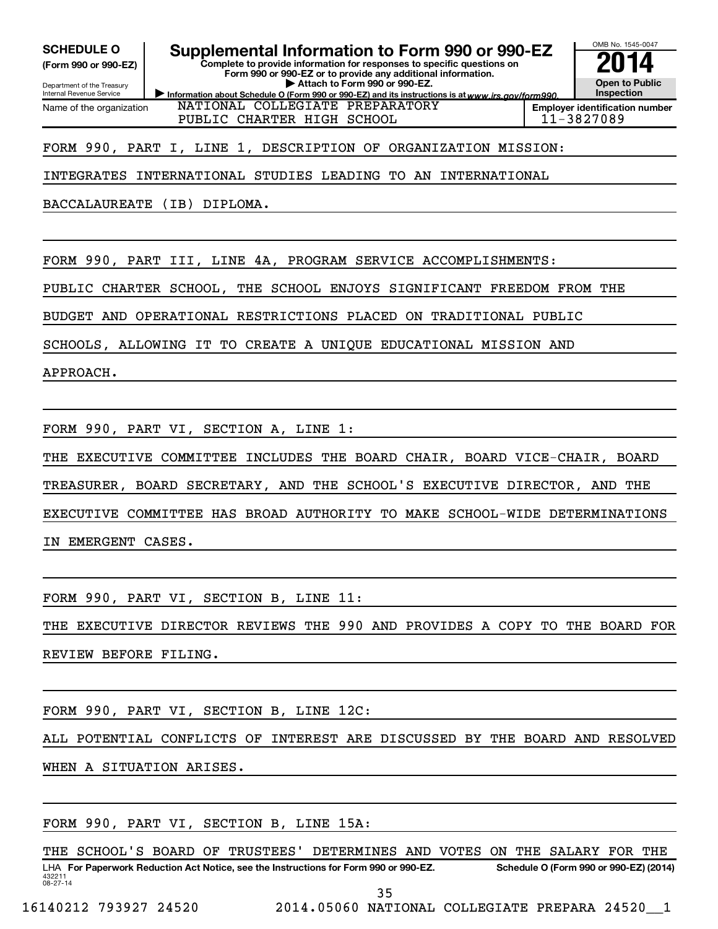**(Form 990 or 990-EZ)**

Department of the Treasury Internal Revenue Service Name of the organization

# SCHEDULE O **Supplemental Information to Form 990 or 990-EZ 2014**<br>(Form 990 or 990-EZ) **2014**

**Complete to provide information for responses to specific questions on Form 990 or 990-EZ or to provide any additional information. | Attach to Form 990 or 990-EZ.**

Information about Schedule O (Form 990 or 990-EZ) and its instructions is at www.irs.gov/form990. NATIONAL COLLEGIATE PREPARATORY PUBLIC CHARTER HIGH SCHOOL 11-3827089



FORM 990, PART I, LINE 1, DESCRIPTION OF ORGANIZATION MISSION:

INTEGRATES INTERNATIONAL STUDIES LEADING TO AN INTERNATIONAL

BACCALAUREATE (IB) DIPLOMA.

FORM 990, PART III, LINE 4A, PROGRAM SERVICE ACCOMPLISHMENTS:

PUBLIC CHARTER SCHOOL, THE SCHOOL ENJOYS SIGNIFICANT FREEDOM FROM THE

BUDGET AND OPERATIONAL RESTRICTIONS PLACED ON TRADITIONAL PUBLIC

SCHOOLS, ALLOWING IT TO CREATE A UNIQUE EDUCATIONAL MISSION AND

APPROACH.

FORM 990, PART VI, SECTION A, LINE 1:

THE EXECUTIVE COMMITTEE INCLUDES THE BOARD CHAIR, BOARD VICE-CHAIR, BOARD

TREASURER, BOARD SECRETARY, AND THE SCHOOL'S EXECUTIVE DIRECTOR, AND THE

EXECUTIVE COMMITTEE HAS BROAD AUTHORITY TO MAKE SCHOOL-WIDE DETERMINATIONS

IN EMERGENT CASES.

FORM 990, PART VI, SECTION B, LINE 11:

THE EXECUTIVE DIRECTOR REVIEWS THE 990 AND PROVIDES A COPY TO THE BOARD FOR REVIEW BEFORE FILING.

FORM 990, PART VI, SECTION B, LINE 12C:

ALL POTENTIAL CONFLICTS OF INTEREST ARE DISCUSSED BY THE BOARD AND RESOLVED WHEN A SITUATION ARISES.

FORM 990, PART VI, SECTION B, LINE 15A:

432211 08-27-14 LHA For Paperwork Reduction Act Notice, see the Instructions for Form 990 or 990-EZ. Schedule O (Form 990 or 990-EZ) (2014) THE SCHOOL'S BOARD OF TRUSTEES' DETERMINES AND VOTES ON THE SALARY FOR THE

35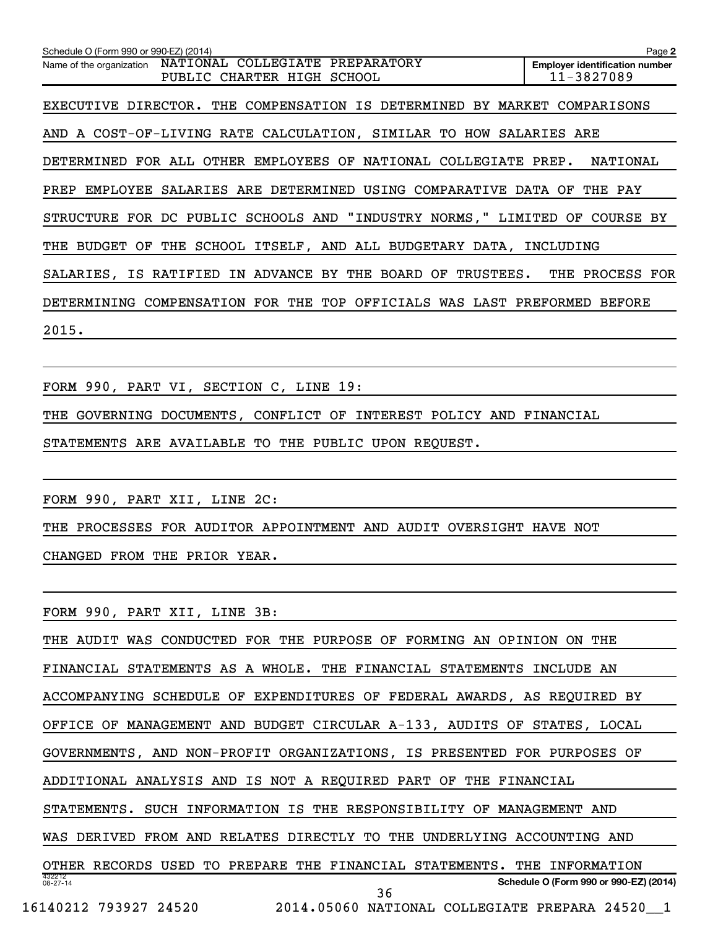**2 Employer identification number** Schedule O (Form 990 or 990-EZ) (2014) Name of the organization NATIONAL COLLEGIATE PREPARATORY PUBLIC CHARTER HIGH SCHOOL 11-3827089 EXECUTIVE DIRECTOR. THE COMPENSATION IS DETERMINED BY MARKET COMPARISONS AND A COST-OF-LIVING RATE CALCULATION, SIMILAR TO HOW SALARIES ARE DETERMINED FOR ALL OTHER EMPLOYEES OF NATIONAL COLLEGIATE PREP. NATIONAL PREP EMPLOYEE SALARIES ARE DETERMINED USING COMPARATIVE DATA OF THE PAY STRUCTURE FOR DC PUBLIC SCHOOLS AND "INDUSTRY NORMS," LIMITED OF COURSE BY THE BUDGET OF THE SCHOOL ITSELF, AND ALL BUDGETARY DATA, INCLUDING SALARIES, IS RATIFIED IN ADVANCE BY THE BOARD OF TRUSTEES. THE PROCESS FOR DETERMINING COMPENSATION FOR THE TOP OFFICIALS WAS LAST PREFORMED BEFORE 2015. FORM 990, PART VI, SECTION C, LINE 19: THE GOVERNING DOCUMENTS, CONFLICT OF INTEREST POLICY AND FINANCIAL STATEMENTS ARE AVAILABLE TO THE PUBLIC UPON REQUEST. FORM 990, PART XII, LINE 2C: THE PROCESSES FOR AUDITOR APPOINTMENT AND AUDIT OVERSIGHT HAVE NOT CHANGED FROM THE PRIOR YEAR. FORM 990, PART XII, LINE 3B: THE AUDIT WAS CONDUCTED FOR THE PURPOSE OF FORMING AN OPINION ON THE FINANCIAL STATEMENTS AS A WHOLE. THE FINANCIAL STATEMENTS INCLUDE AN ACCOMPANYING SCHEDULE OF EXPENDITURES OF FEDERAL AWARDS, AS REQUIRED BY OFFICE OF MANAGEMENT AND BUDGET CIRCULAR A-133, AUDITS OF STATES, LOCAL GOVERNMENTS, AND NON-PROFIT ORGANIZATIONS, IS PRESENTED FOR PURPOSES OF ADDITIONAL ANALYSIS AND IS NOT A REQUIRED PART OF THE FINANCIAL

STATEMENTS. SUCH INFORMATION IS THE RESPONSIBILITY OF MANAGEMENT AND

WAS DERIVED FROM AND RELATES DIRECTLY TO THE UNDERLYING ACCOUNTING AND

432212 08-27-14 **Schedule O (Form 990 or 990-EZ) (2014)** OTHER RECORDS USED TO PREPARE THE FINANCIAL STATEMENTS. THE INFORMATION 36

16140212 793927 24520 2014.05060 NATIONAL COLLEGIATE PREPARA 24520\_\_1